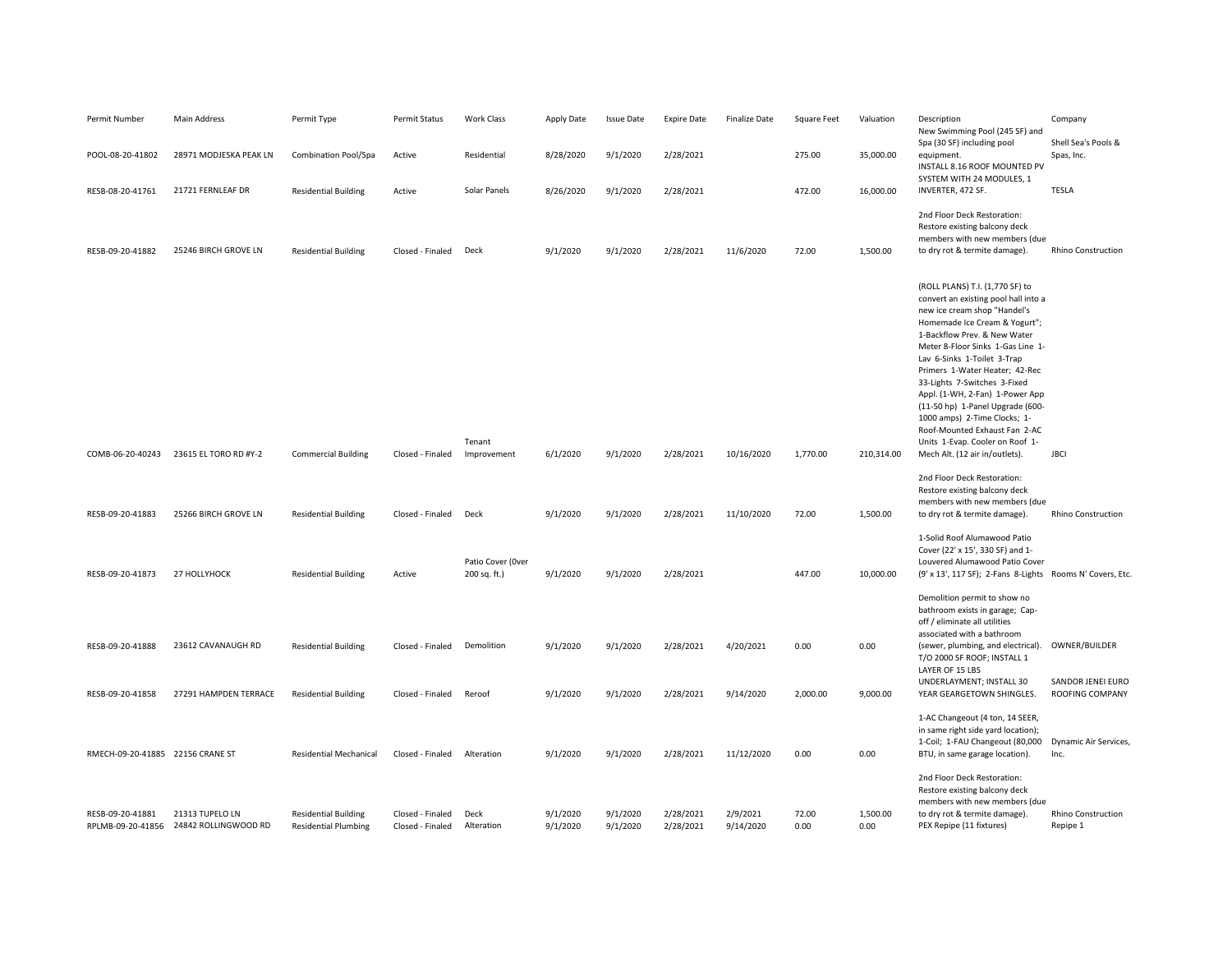| Permit Number                         | Main Address                            | Permit Type                                                | <b>Permit Status</b>                 | Work Class                        | Apply Date           | <b>Issue Date</b>    | <b>Expire Date</b>     | <b>Finalize Date</b>  | <b>Square Feet</b> | Valuation        | Description<br>New Swimming Pool (245 SF) and<br>Spa (30 SF) including pool                                                                                                                                                                                                                                                                                                                                                                                                                                                 | Company<br>Shell Sea's Pools &              |
|---------------------------------------|-----------------------------------------|------------------------------------------------------------|--------------------------------------|-----------------------------------|----------------------|----------------------|------------------------|-----------------------|--------------------|------------------|-----------------------------------------------------------------------------------------------------------------------------------------------------------------------------------------------------------------------------------------------------------------------------------------------------------------------------------------------------------------------------------------------------------------------------------------------------------------------------------------------------------------------------|---------------------------------------------|
| POOL-08-20-41802                      | 28971 MODJESKA PEAK LN                  | Combination Pool/Spa                                       | Active                               | Residential                       | 8/28/2020            | 9/1/2020             | 2/28/2021              |                       | 275.00             | 35,000.00        | equipment.<br>INSTALL 8.16 ROOF MOUNTED PV<br>SYSTEM WITH 24 MODULES, 1                                                                                                                                                                                                                                                                                                                                                                                                                                                     | Spas, Inc.                                  |
| RESB-08-20-41761                      | 21721 FERNLEAF DR                       | <b>Residential Building</b>                                | Active                               | Solar Panels                      | 8/26/2020            | 9/1/2020             | 2/28/2021              |                       | 472.00             | 16,000.00        | INVERTER, 472 SF.                                                                                                                                                                                                                                                                                                                                                                                                                                                                                                           | <b>TESLA</b>                                |
| RESB-09-20-41882                      | 25246 BIRCH GROVE LN                    | <b>Residential Building</b>                                | Closed - Finaled                     | Deck                              | 9/1/2020             | 9/1/2020             | 2/28/2021              | 11/6/2020             | 72.00              | 1,500.00         | 2nd Floor Deck Restoration:<br>Restore existing balcony deck<br>members with new members (due<br>to dry rot & termite damage)                                                                                                                                                                                                                                                                                                                                                                                               | <b>Rhino Construction</b>                   |
| COMB-06-20-40243                      | 23615 EL TORO RD #Y-2                   | <b>Commercial Building</b>                                 | Closed - Finaled                     | Tenant<br>Improvement             | 6/1/2020             | 9/1/2020             | 2/28/2021              | 10/16/2020            | 1,770.00           | 210,314.00       | (ROLL PLANS) T.I. (1,770 SF) to<br>convert an existing pool hall into a<br>new ice cream shop "Handel's<br>Homemade Ice Cream & Yogurt";<br>1-Backflow Prev. & New Water<br>Meter 8-Floor Sinks 1-Gas Line 1-<br>Lav 6-Sinks 1-Toilet 3-Trap<br>Primers 1-Water Heater; 42-Rec<br>33-Lights 7-Switches 3-Fixed<br>Appl. (1-WH, 2-Fan) 1-Power App<br>(11-50 hp) 1-Panel Upgrade (600-<br>1000 amps) 2-Time Clocks; 1-<br>Roof-Mounted Exhaust Fan 2-AC<br>Units 1-Evap. Cooler on Roof 1-<br>Mech Alt. (12 air in/outlets). | <b>JBCI</b>                                 |
| RESB-09-20-41883                      | 25266 BIRCH GROVE LN                    | <b>Residential Building</b>                                | Closed - Finaled                     | Deck                              | 9/1/2020             | 9/1/2020             | 2/28/2021              | 11/10/2020            | 72.00              | 1,500.00         | 2nd Floor Deck Restoration:<br>Restore existing balcony deck<br>members with new members (due<br>to dry rot & termite damage).                                                                                                                                                                                                                                                                                                                                                                                              | <b>Rhino Construction</b>                   |
| RESB-09-20-41873                      | 27 HOLLYHOCK                            | <b>Residential Building</b>                                | Active                               | Patio Cover (Over<br>200 sq. ft.) | 9/1/2020             | 9/1/2020             | 2/28/2021              |                       | 447.00             | 10,000.00        | 1-Solid Roof Alumawood Patio<br>Cover (22' x 15', 330 SF) and 1-<br>Louvered Alumawood Patio Cover<br>(9' x 13', 117 SF); 2-Fans 8-Lights Rooms N' Covers, Etc                                                                                                                                                                                                                                                                                                                                                              |                                             |
|                                       |                                         |                                                            |                                      |                                   |                      |                      |                        |                       |                    |                  | Demolition permit to show no<br>bathroom exists in garage; Cap-<br>off / eliminate all utilities<br>associated with a bathroom                                                                                                                                                                                                                                                                                                                                                                                              |                                             |
| RESB-09-20-41888                      | 23612 CAVANAUGH RD                      | <b>Residential Building</b>                                | Closed - Finaled                     | Demolition                        | 9/1/2020             | 9/1/2020             | 2/28/2021              | 4/20/2021             | 0.00               | 0.00             | (sewer, plumbing, and electrical).<br>T/O 2000 SF ROOF; INSTALL 1<br>LAYER OF 15 LBS                                                                                                                                                                                                                                                                                                                                                                                                                                        | OWNER/BUILDER                               |
| RESB-09-20-41858                      | 27291 HAMPDEN TERRACE                   | <b>Residential Building</b>                                | Closed - Finaled                     | Reroof                            | 9/1/2020             | 9/1/2020             | 2/28/2021              | 9/14/2020             | 2,000.00           | 9,000.00         | UNDERLAYMENT; INSTALL 30<br>YEAR GEARGETOWN SHINGLES.                                                                                                                                                                                                                                                                                                                                                                                                                                                                       | SANDOR JENEI EURO<br><b>ROOFING COMPANY</b> |
| RMECH-09-20-41885 22156 CRANE ST      |                                         | <b>Residential Mechanical</b>                              | Closed - Finaled                     | Alteration                        | 9/1/2020             | 9/1/2020             | 2/28/2021              | 11/12/2020            | 0.00               | 0.00             | 1-AC Changeout (4 ton, 14 SEER,<br>in same right side yard location);<br>1-Coil; 1-FAU Changeout (80,000<br>BTU, in same garage location).                                                                                                                                                                                                                                                                                                                                                                                  | Dynamic Air Services,<br>Inc.               |
| RESB-09-20-41881<br>RPLMB-09-20-41856 | 21313 TUPELO LN<br>24842 ROLLINGWOOD RD | <b>Residential Building</b><br><b>Residential Plumbing</b> | Closed - Finaled<br>Closed - Finaled | Deck<br>Alteration                | 9/1/2020<br>9/1/2020 | 9/1/2020<br>9/1/2020 | 2/28/2021<br>2/28/2021 | 2/9/2021<br>9/14/2020 | 72.00<br>0.00      | 1,500.00<br>0.00 | 2nd Floor Deck Restoration:<br>Restore existing balcony deck<br>members with new members (due<br>to dry rot & termite damage).<br>PEX Repipe (11 fixtures)                                                                                                                                                                                                                                                                                                                                                                  | <b>Rhino Construction</b><br>Repipe 1       |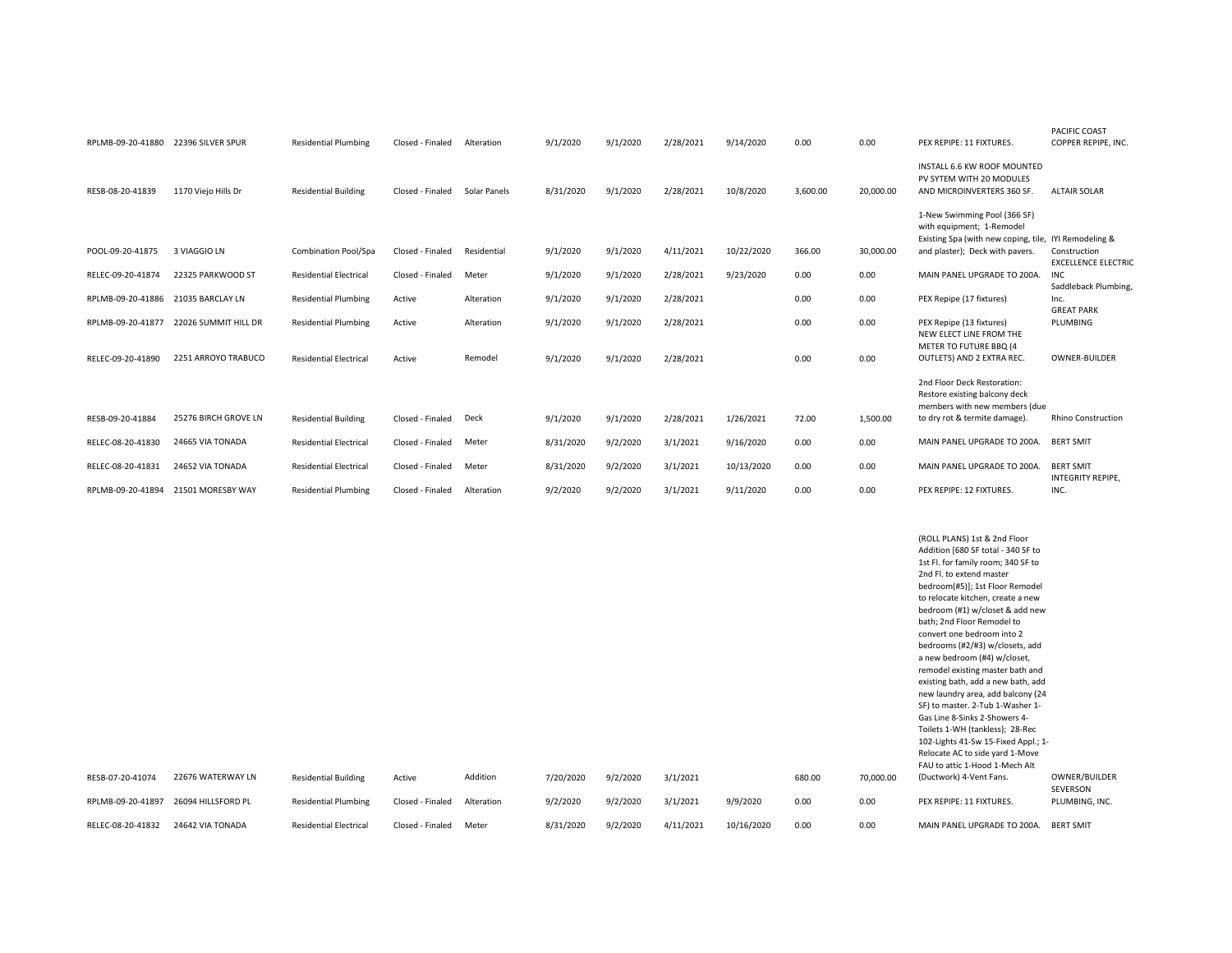|                   |                      |                               |                  |              |           |          |           |            |          |           |                                                                                          | <b>PACIFIC COAST</b>       |
|-------------------|----------------------|-------------------------------|------------------|--------------|-----------|----------|-----------|------------|----------|-----------|------------------------------------------------------------------------------------------|----------------------------|
| RPLMB-09-20-41880 | 22396 SILVER SPUR    | <b>Residential Plumbing</b>   | Closed - Finaled | Alteration   | 9/1/2020  | 9/1/2020 | 2/28/2021 | 9/14/2020  | 0.00     | 0.00      | PEX REPIPE: 11 FIXTURES.                                                                 | COPPER REPIPE, INC.        |
| RESB-08-20-41839  | 1170 Viejo Hills Dr  | <b>Residential Building</b>   | Closed - Finaled | Solar Panels | 8/31/2020 | 9/1/2020 | 2/28/2021 | 10/8/2020  | 3,600.00 | 20,000.00 | INSTALL 6.6 KW ROOF MOUNTED<br>PV SYTEM WITH 20 MODULES<br>AND MICROINVERTERS 360 SF.    | <b>ALTAIR SOLAR</b>        |
|                   |                      |                               |                  |              |           |          |           |            |          |           | 1-New Swimming Pool (366 SF)<br>with equipment; 1-Remodel                                |                            |
| POOL-09-20-41875  | 3 VIAGGIO LN         | Combination Pool/Spa          | Closed - Finaled | Residential  | 9/1/2020  | 9/1/2020 | 4/11/2021 | 10/22/2020 | 366.00   | 30,000.00 | Existing Spa (with new coping, tile, IYI Remodeling &<br>and plaster); Deck with pavers. | Construction               |
|                   |                      |                               |                  |              |           |          |           |            |          |           |                                                                                          | <b>EXCELLENCE ELECTRIC</b> |
| RELEC-09-20-41874 | 22325 PARKWOOD ST    | <b>Residential Electrical</b> | Closed - Finaled | Meter        | 9/1/2020  | 9/1/2020 | 2/28/2021 | 9/23/2020  | 0.00     | 0.00      | MAIN PANEL UPGRADE TO 200A.                                                              | <b>INC</b>                 |
|                   |                      |                               |                  |              |           |          |           |            |          |           |                                                                                          | Saddleback Plumbing,       |
| RPLMB-09-20-41886 | 21035 BARCLAY LN     | <b>Residential Plumbing</b>   | Active           | Alteration   | 9/1/2020  | 9/1/2020 | 2/28/2021 |            | 0.00     | 0.00      | PEX Repipe (17 fixtures)                                                                 | Inc.<br><b>GREAT PARK</b>  |
| RPLMB-09-20-41877 | 22026 SUMMIT HILL DR | <b>Residential Plumbing</b>   | Active           | Alteration   | 9/1/2020  | 9/1/2020 | 2/28/2021 |            | 0.00     | 0.00      | PEX Repipe (13 fixtures)                                                                 | PLUMBING                   |
|                   |                      |                               |                  |              |           |          |           |            |          |           | NEW ELECT LINE FROM THE                                                                  |                            |
| RELEC-09-20-41890 | 2251 ARROYO TRABUCO  | <b>Residential Electrical</b> | Active           | Remodel      | 9/1/2020  | 9/1/2020 | 2/28/2021 |            | 0.00     | 0.00      | METER TO FUTURE BBQ (4<br>OUTLETS) AND 2 EXTRA REC.                                      | OWNER-BUILDER              |
|                   |                      |                               |                  |              |           |          |           |            |          |           |                                                                                          |                            |
|                   |                      |                               |                  |              |           |          |           |            |          |           | 2nd Floor Deck Restoration:                                                              |                            |
|                   |                      |                               |                  |              |           |          |           |            |          |           | Restore existing balcony deck<br>members with new members (due                           |                            |
| RESB-09-20-41884  | 25276 BIRCH GROVE LN | <b>Residential Building</b>   | Closed - Finaled | Deck         | 9/1/2020  | 9/1/2020 | 2/28/2021 | 1/26/2021  | 72.00    | 1,500.00  | to dry rot & termite damage).                                                            | <b>Rhino Construction</b>  |
|                   |                      |                               |                  |              |           |          |           |            |          |           |                                                                                          |                            |
| RELEC-08-20-41830 | 24665 VIA TONADA     | <b>Residential Electrical</b> | Closed - Finaled | Meter        | 8/31/2020 | 9/2/2020 | 3/1/2021  | 9/16/2020  | 0.00     | 0.00      | MAIN PANEL UPGRADE TO 200A.                                                              | <b>BERT SMIT</b>           |
| RELEC-08-20-41831 | 24652 VIA TONADA     | <b>Residential Electrical</b> | Closed - Finaled | Meter        | 8/31/2020 | 9/2/2020 | 3/1/2021  | 10/13/2020 | 0.00     | 0.00      | MAIN PANEL UPGRADE TO 200A.                                                              | <b>BERT SMIT</b>           |
|                   |                      |                               |                  |              |           |          |           |            |          |           |                                                                                          | INTEGRITY REPIPE.          |
| RPLMB-09-20-41894 | 21501 MORESBY WAY    | <b>Residential Plumbing</b>   | Closed - Finaled | Alteration   | 9/2/2020  | 9/2/2020 | 3/1/2021  | 9/11/2020  | 0.00     | 0.00      | PEX REPIPE: 12 FIXTURES.                                                                 | INC.                       |
|                   |                      |                               |                  |              |           |          |           |            |          |           |                                                                                          |                            |

|                   |                    |                               |                  |            |           |          |           |            |        |           | (ROLL PLANS) 1st & 2nd Floor        |                  |
|-------------------|--------------------|-------------------------------|------------------|------------|-----------|----------|-----------|------------|--------|-----------|-------------------------------------|------------------|
|                   |                    |                               |                  |            |           |          |           |            |        |           | Addition [680 SF total - 340 SF to  |                  |
|                   |                    |                               |                  |            |           |          |           |            |        |           | 1st Fl. for family room; 340 SF to  |                  |
|                   |                    |                               |                  |            |           |          |           |            |        |           | 2nd Fl. to extend master            |                  |
|                   |                    |                               |                  |            |           |          |           |            |        |           | bedroom(#5)]; 1st Floor Remodel     |                  |
|                   |                    |                               |                  |            |           |          |           |            |        |           | to relocate kitchen, create a new   |                  |
|                   |                    |                               |                  |            |           |          |           |            |        |           | bedroom (#1) w/closet & add new     |                  |
|                   |                    |                               |                  |            |           |          |           |            |        |           | bath; 2nd Floor Remodel to          |                  |
|                   |                    |                               |                  |            |           |          |           |            |        |           | convert one bedroom into 2          |                  |
|                   |                    |                               |                  |            |           |          |           |            |        |           | bedrooms (#2/#3) w/closets, add     |                  |
|                   |                    |                               |                  |            |           |          |           |            |        |           | a new bedroom (#4) w/closet,        |                  |
|                   |                    |                               |                  |            |           |          |           |            |        |           | remodel existing master bath and    |                  |
|                   |                    |                               |                  |            |           |          |           |            |        |           | existing bath, add a new bath, add  |                  |
|                   |                    |                               |                  |            |           |          |           |            |        |           | new laundry area, add balcony (24   |                  |
|                   |                    |                               |                  |            |           |          |           |            |        |           | SF) to master. 2-Tub 1-Washer 1-    |                  |
|                   |                    |                               |                  |            |           |          |           |            |        |           | Gas Line 8-Sinks 2-Showers 4-       |                  |
|                   |                    |                               |                  |            |           |          |           |            |        |           | Toilets 1-WH (tankless); 28-Rec     |                  |
|                   |                    |                               |                  |            |           |          |           |            |        |           | 102-Lights 41-Sw 15-Fixed Appl.; 1- |                  |
|                   |                    |                               |                  |            |           |          |           |            |        |           | Relocate AC to side yard 1-Move     |                  |
|                   |                    |                               |                  |            |           |          |           |            |        |           | FAU to attic 1-Hood 1-Mech Alt      |                  |
| RESB-07-20-41074  | 22676 WATERWAY LN  | <b>Residential Building</b>   | Active           | Addition   | 7/20/2020 | 9/2/2020 | 3/1/2021  |            | 680.00 | 70,000.00 | (Ductwork) 4-Vent Fans.             | OWNER/BUILDER    |
|                   |                    |                               |                  |            |           |          |           |            |        |           |                                     | SEVERSON         |
| RPLMB-09-20-41897 | 26094 HILLSFORD PL | <b>Residential Plumbing</b>   | Closed - Finaled | Alteration | 9/2/2020  | 9/2/2020 | 3/1/2021  | 9/9/2020   | 0.00   | 0.00      | PEX REPIPE: 11 FIXTURES.            | PLUMBING, INC.   |
| RELEC-08-20-41832 | 24642 VIA TONADA   | <b>Residential Electrical</b> | Closed - Finaled | Meter      | 8/31/2020 | 9/2/2020 | 4/11/2021 | 10/16/2020 | 0.00   | 0.00      | MAIN PANEL UPGRADE TO 200A.         | <b>BERT SMIT</b> |
|                   |                    |                               |                  |            |           |          |           |            |        |           |                                     |                  |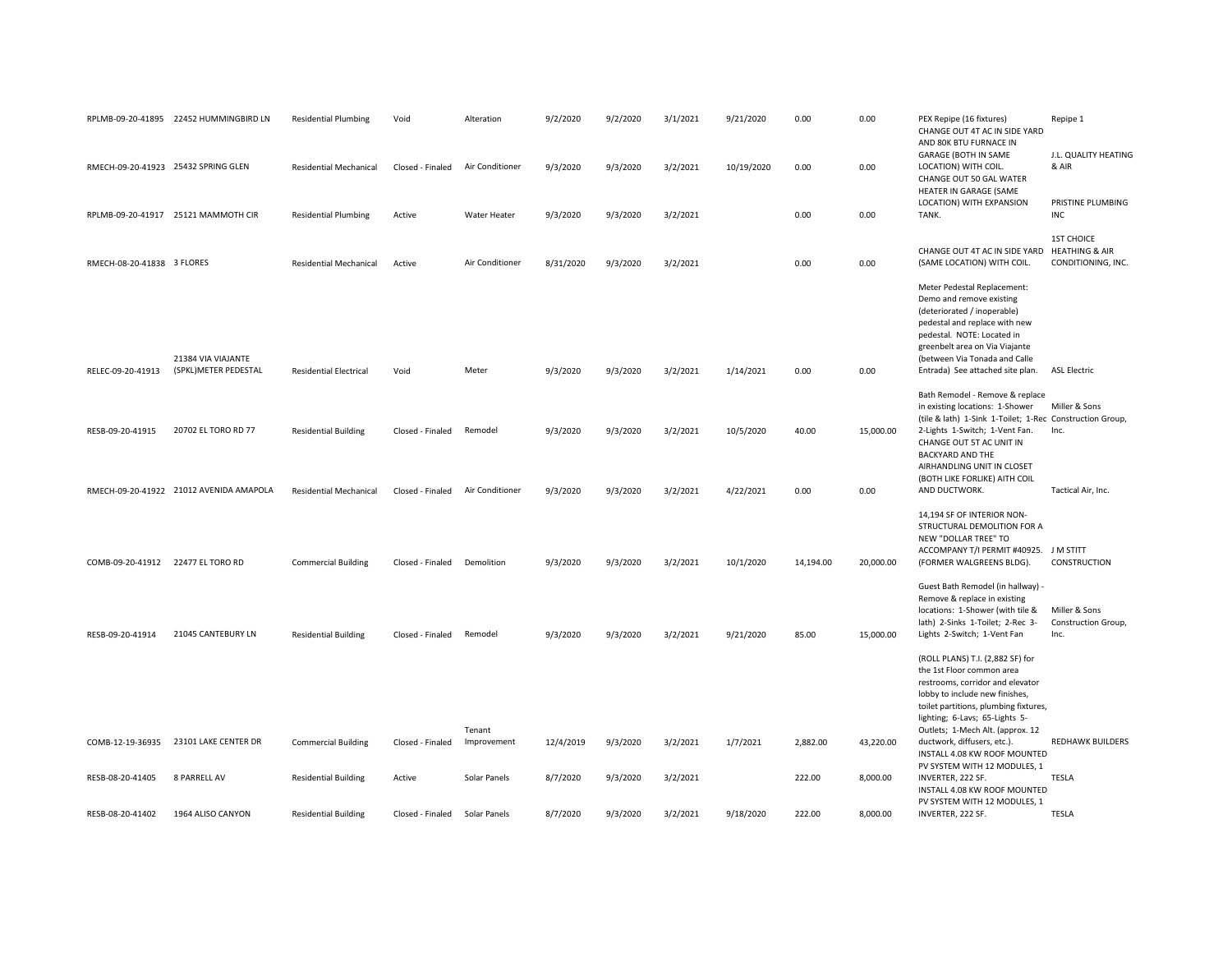|                                     | RPLMB-09-20-41895 22452 HUMMINGBIRD LN     | <b>Residential Plumbing</b>   | Void             | Alteration            | 9/2/2020  | 9/2/2020 | 3/1/2021 | 9/21/2020  | 0.00      | 0.00      | PEX Repipe (16 fixtures)<br>CHANGE OUT 4T AC IN SIDE YARD<br>AND 80K BTU FURNACE IN                                                                                                                                                                          | Repipe 1                                                             |
|-------------------------------------|--------------------------------------------|-------------------------------|------------------|-----------------------|-----------|----------|----------|------------|-----------|-----------|--------------------------------------------------------------------------------------------------------------------------------------------------------------------------------------------------------------------------------------------------------------|----------------------------------------------------------------------|
| RMECH-09-20-41923 25432 SPRING GLEN |                                            | <b>Residential Mechanical</b> | Closed - Finaled | Air Conditioner       | 9/3/2020  | 9/3/2020 | 3/2/2021 | 10/19/2020 | 0.00      | 0.00      | GARAGE (BOTH IN SAME<br>LOCATION) WITH COIL.<br>CHANGE OUT 50 GAL WATER<br>HEATER IN GARAGE (SAME                                                                                                                                                            | J.L. QUALITY HEATING<br>& AIR                                        |
|                                     | RPLMB-09-20-41917 25121 MAMMOTH CIR        | <b>Residential Plumbing</b>   | Active           | Water Heater          | 9/3/2020  | 9/3/2020 | 3/2/2021 |            | 0.00      | 0.00      | LOCATION) WITH EXPANSION<br>TANK.                                                                                                                                                                                                                            | PRISTINE PLUMBING<br>INC                                             |
| RMECH-08-20-41838 3 FLORES          |                                            | <b>Residential Mechanical</b> | Active           | Air Conditioner       | 8/31/2020 | 9/3/2020 | 3/2/2021 |            | 0.00      | 0.00      | CHANGE OUT 4T AC IN SIDE YARD<br>(SAME LOCATION) WITH COIL.                                                                                                                                                                                                  | <b>1ST CHOICE</b><br><b>HEATHING &amp; AIR</b><br>CONDITIONING, INC. |
| RELEC-09-20-41913                   | 21384 VIA VIAJANTE<br>(SPKL)METER PEDESTAL | <b>Residential Electrical</b> | Void             | Meter                 | 9/3/2020  | 9/3/2020 | 3/2/2021 | 1/14/2021  | 0.00      | 0.00      | Meter Pedestal Replacement:<br>Demo and remove existing<br>(deteriorated / inoperable)<br>pedestal and replace with new<br>pedestal. NOTE: Located in<br>greenbelt area on Via Viajante<br>(between Via Tonada and Calle<br>Entrada) See attached site plan. | <b>ASL Electric</b>                                                  |
|                                     |                                            |                               |                  |                       |           |          |          |            |           |           | Bath Remodel - Remove & replace<br>in existing locations: 1-Shower                                                                                                                                                                                           | Miller & Sons                                                        |
| RESB-09-20-41915                    | 20702 EL TORO RD 77                        | <b>Residential Building</b>   | Closed - Finaled | Remodel               | 9/3/2020  | 9/3/2020 | 3/2/2021 | 10/5/2020  | 40.00     | 15,000.00 | (tile & lath) 1-Sink 1-Toilet; 1-Rec Construction Group,<br>2-Lights 1-Switch; 1-Vent Fan.<br>CHANGE OUT 5T AC UNIT IN<br><b>BACKYARD AND THE</b><br>AIRHANDLING UNIT IN CLOSET<br>(BOTH LIKE FORLIKE) AITH COIL                                             | Inc.                                                                 |
|                                     | RMECH-09-20-41922 21012 AVENIDA AMAPOLA    | <b>Residential Mechanical</b> | Closed - Finaled | Air Conditioner       | 9/3/2020  | 9/3/2020 | 3/2/2021 | 4/22/2021  | 0.00      | 0.00      | AND DUCTWORK.                                                                                                                                                                                                                                                | Tactical Air, Inc.                                                   |
| COMB-09-20-41912 22477 EL TORO RD   |                                            | <b>Commercial Building</b>    | Closed - Finaled | Demolition            | 9/3/2020  | 9/3/2020 | 3/2/2021 | 10/1/2020  | 14,194.00 | 20,000.00 | 14,194 SF OF INTERIOR NON-<br>STRUCTURAL DEMOLITION FOR A<br>NEW "DOLLAR TREE" TO<br>ACCOMPANY T/I PERMIT #40925. J M STITT<br>(FORMER WALGREENS BLDG).                                                                                                      | <b>CONSTRUCTION</b>                                                  |
|                                     |                                            |                               |                  |                       |           |          |          |            |           |           | Guest Bath Remodel (in hallway) -<br>Remove & replace in existing<br>locations: 1-Shower (with tile &<br>lath) 2-Sinks 1-Toilet; 2-Rec 3-                                                                                                                    | Miller & Sons<br>Construction Group,                                 |
| RESB-09-20-41914                    | 21045 CANTEBURY LN                         | <b>Residential Building</b>   | Closed - Finaled | Remodel               | 9/3/2020  | 9/3/2020 | 3/2/2021 | 9/21/2020  | 85.00     | 15,000.00 | Lights 2-Switch; 1-Vent Fan                                                                                                                                                                                                                                  | Inc.                                                                 |
|                                     |                                            |                               |                  |                       |           |          |          |            |           |           | (ROLL PLANS) T.I. (2,882 SF) for<br>the 1st Floor common area<br>restrooms, corridor and elevator<br>lobby to include new finishes,<br>toilet partitions, plumbing fixtures,<br>lighting; 6-Lavs; 65-Lights 5-                                               |                                                                      |
| COMB-12-19-36935                    | 23101 LAKE CENTER DR                       | <b>Commercial Building</b>    | Closed - Finaled | Tenant<br>Improvement | 12/4/2019 | 9/3/2020 | 3/2/2021 | 1/7/2021   | 2,882.00  | 43,220.00 | Outlets; 1-Mech Alt. (approx. 12<br>ductwork, diffusers, etc.).<br>INSTALL 4.08 KW ROOF MOUNTED<br>PV SYSTEM WITH 12 MODULES, 1                                                                                                                              | <b>REDHAWK BUILDERS</b>                                              |
| RESB-08-20-41405                    | 8 PARRELL AV                               | <b>Residential Building</b>   | Active           | Solar Panels          | 8/7/2020  | 9/3/2020 | 3/2/2021 |            | 222.00    | 8,000.00  | INVERTER, 222 SF.<br>INSTALL 4.08 KW ROOF MOUNTED<br>PV SYSTEM WITH 12 MODULES, 1                                                                                                                                                                            | <b>TESLA</b>                                                         |
| RESB-08-20-41402                    | 1964 ALISO CANYON                          | <b>Residential Building</b>   | Closed - Finaled | Solar Panels          | 8/7/2020  | 9/3/2020 | 3/2/2021 | 9/18/2020  | 222.00    | 8.000.00  | INVERTER, 222 SF.                                                                                                                                                                                                                                            | <b>TESLA</b>                                                         |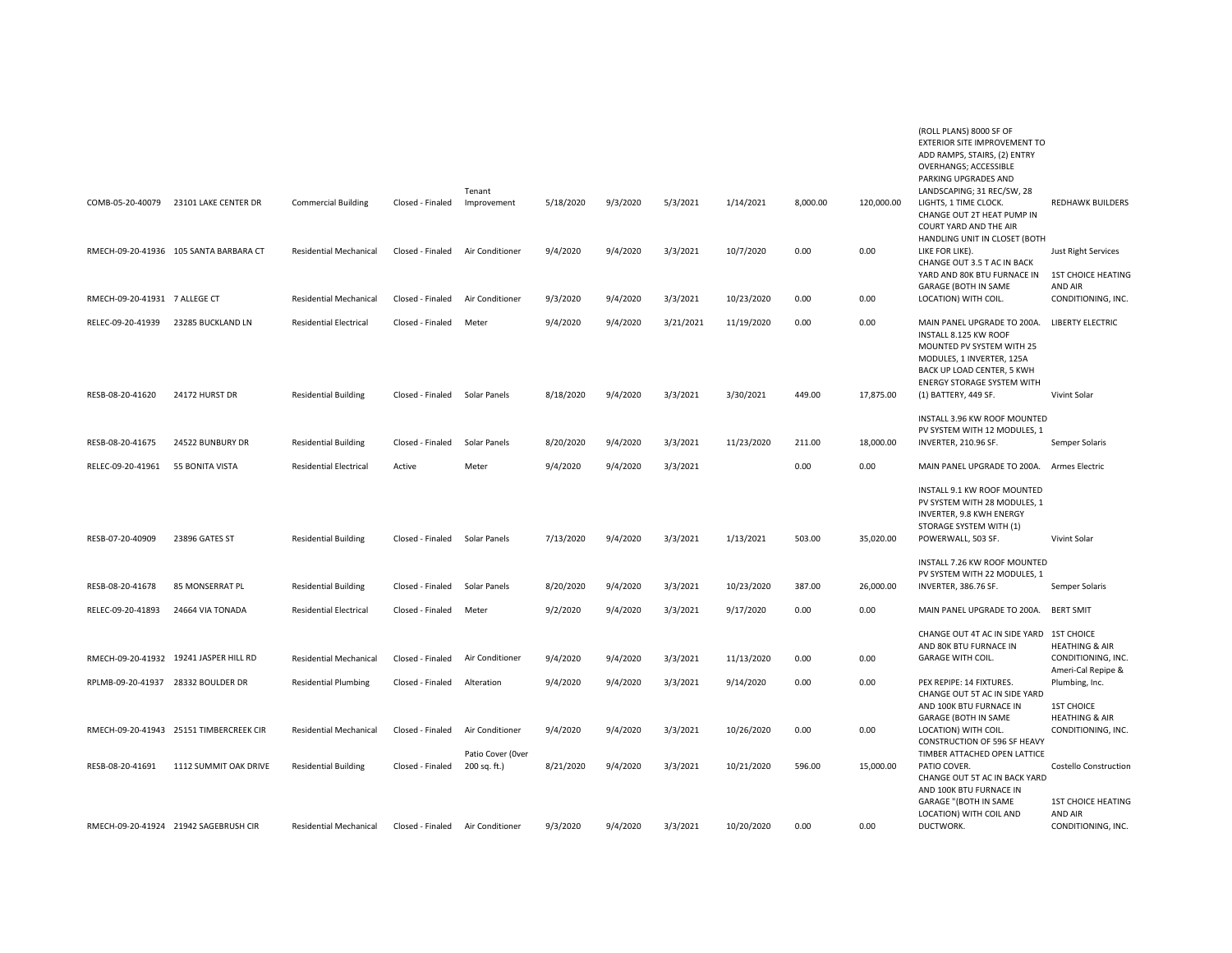|                                    |                                         |                               |                  |                                   |           |          |           |            |          |            | (ROLL PLANS) 8000 SF OF<br>EXTERIOR SITE IMPROVEMENT TO<br>ADD RAMPS, STAIRS, (2) ENTRY<br><b>OVERHANGS; ACCESSIBLE</b><br>PARKING UPGRADES AND                                   |                                                                       |
|------------------------------------|-----------------------------------------|-------------------------------|------------------|-----------------------------------|-----------|----------|-----------|------------|----------|------------|-----------------------------------------------------------------------------------------------------------------------------------------------------------------------------------|-----------------------------------------------------------------------|
|                                    | COMB-05-20-40079 23101 LAKE CENTER DR   | <b>Commercial Building</b>    | Closed - Finaled | Tenant<br>Improvement             | 5/18/2020 | 9/3/2020 | 5/3/2021  | 1/14/2021  | 8,000.00 | 120,000.00 | LANDSCAPING; 31 REC/SW, 28<br>LIGHTS, 1 TIME CLOCK.<br>CHANGE OUT 2T HEAT PUMP IN<br>COURT YARD AND THE AIR                                                                       | <b>REDHAWK BUILDERS</b>                                               |
|                                    | RMECH-09-20-41936 105 SANTA BARBARA CT  | <b>Residential Mechanical</b> | Closed - Finaled | Air Conditioner                   | 9/4/2020  | 9/4/2020 | 3/3/2021  | 10/7/2020  | 0.00     | 0.00       | HANDLING UNIT IN CLOSET (BOTH<br>LIKE FOR LIKE).<br>CHANGE OUT 3.5 T AC IN BACK<br>YARD AND 80K BTU FURNACE IN 1ST CHOICE HEATING<br><b>GARAGE (BOTH IN SAME</b>                  | <b>Just Right Services</b><br><b>AND AIR</b>                          |
| RMECH-09-20-41931 7 ALLEGE CT      |                                         | <b>Residential Mechanical</b> | Closed - Finaled | Air Conditioner                   | 9/3/2020  | 9/4/2020 | 3/3/2021  | 10/23/2020 | 0.00     | 0.00       | LOCATION) WITH COIL.                                                                                                                                                              | CONDITIONING, INC.                                                    |
| RELEC-09-20-41939                  | 23285 BUCKLAND LN                       | <b>Residential Electrical</b> | Closed - Finaled | Meter                             | 9/4/2020  | 9/4/2020 | 3/21/2021 | 11/19/2020 | 0.00     | 0.00       | MAIN PANEL UPGRADE TO 200A.<br>INSTALL 8.125 KW ROOF<br>MOUNTED PV SYSTEM WITH 25<br>MODULES, 1 INVERTER, 125A<br>BACK UP LOAD CENTER, 5 KWH<br><b>ENERGY STORAGE SYSTEM WITH</b> | <b>LIBERTY ELECTRIC</b>                                               |
| RESB-08-20-41620                   | 24172 HURST DR                          | <b>Residential Building</b>   | Closed - Finaled | Solar Panels                      | 8/18/2020 | 9/4/2020 | 3/3/2021  | 3/30/2021  | 449.00   | 17,875.00  | (1) BATTERY, 449 SF.                                                                                                                                                              | Vivint Solar                                                          |
| RESB-08-20-41675                   | 24522 BUNBURY DR                        | <b>Residential Building</b>   | Closed - Finaled | Solar Panels                      | 8/20/2020 | 9/4/2020 | 3/3/2021  | 11/23/2020 | 211.00   | 18,000.00  | INSTALL 3.96 KW ROOF MOUNTED<br>PV SYSTEM WITH 12 MODULES, 1<br>INVERTER, 210.96 SF.                                                                                              | Semper Solaris                                                        |
| RELEC-09-20-41961                  | 55 BONITA VISTA                         | <b>Residential Electrical</b> | Active           | Meter                             | 9/4/2020  | 9/4/2020 | 3/3/2021  |            | 0.00     | 0.00       | MAIN PANEL UPGRADE TO 200A.                                                                                                                                                       | Armes Electric                                                        |
| RESB-07-20-40909                   | 23896 GATES ST                          | <b>Residential Building</b>   | Closed - Finaled | Solar Panels                      | 7/13/2020 | 9/4/2020 | 3/3/2021  | 1/13/2021  | 503.00   | 35,020.00  | INSTALL 9.1 KW ROOF MOUNTED<br>PV SYSTEM WITH 28 MODULES, 1<br>INVERTER, 9.8 KWH ENERGY<br>STORAGE SYSTEM WITH (1)<br>POWERWALL, 503 SF.                                          | Vivint Solar                                                          |
| RESB-08-20-41678                   | 85 MONSERRAT PL                         | <b>Residential Building</b>   | Closed - Finaled | Solar Panels                      | 8/20/2020 | 9/4/2020 | 3/3/2021  | 10/23/2020 | 387.00   | 26,000.00  | INSTALL 7.26 KW ROOF MOUNTED<br>PV SYSTEM WITH 22 MODULES, 1<br>INVERTER, 386.76 SF.                                                                                              | Semper Solaris                                                        |
| RELEC-09-20-41893                  | 24664 VIA TONADA                        | <b>Residential Electrical</b> | Closed - Finaled | Meter                             | 9/2/2020  | 9/4/2020 | 3/3/2021  | 9/17/2020  | 0.00     | 0.00       | MAIN PANEL UPGRADE TO 200A.                                                                                                                                                       | <b>BERT SMIT</b>                                                      |
|                                    | RMECH-09-20-41932 19241 JASPER HILL RD  | <b>Residential Mechanical</b> | Closed - Finaled | Air Conditioner                   | 9/4/2020  | 9/4/2020 | 3/3/2021  | 11/13/2020 | 0.00     | 0.00       | CHANGE OUT 4T AC IN SIDE YARD 1ST CHOICE<br>AND 80K BTU FURNACE IN<br><b>GARAGE WITH COIL.</b>                                                                                    | <b>HEATHING &amp; AIR</b><br>CONDITIONING, INC.<br>Ameri-Cal Repipe & |
| RPLMB-09-20-41937 28332 BOULDER DR |                                         | <b>Residential Plumbing</b>   | Closed - Finaled | Alteration                        | 9/4/2020  | 9/4/2020 | 3/3/2021  | 9/14/2020  | 0.00     | 0.00       | PEX REPIPE: 14 FIXTURES.<br>CHANGE OUT 5T AC IN SIDE YARD                                                                                                                         | Plumbing, Inc.                                                        |
|                                    |                                         |                               |                  |                                   |           |          |           |            |          |            | AND 100K BTU FURNACE IN<br>GARAGE (BOTH IN SAME                                                                                                                                   | <b>1ST CHOICE</b><br><b>HEATHING &amp; AIR</b>                        |
|                                    | RMECH-09-20-41943 25151 TIMBERCREEK CIR | <b>Residential Mechanical</b> | Closed - Finaled | Air Conditioner                   | 9/4/2020  | 9/4/2020 | 3/3/2021  | 10/26/2020 | 0.00     | 0.00       | LOCATION) WITH COIL.<br>CONSTRUCTION OF 596 SF HEAVY                                                                                                                              | CONDITIONING, INC.                                                    |
| RESB-08-20-41691                   | 1112 SUMMIT OAK DRIVE                   | <b>Residential Building</b>   | Closed - Finaled | Patio Cover (Over<br>200 sq. ft.) | 8/21/2020 | 9/4/2020 | 3/3/2021  | 10/21/2020 | 596.00   | 15,000.00  | TIMBER ATTACHED OPEN LATTICE<br>PATIO COVER.<br>CHANGE OUT 5T AC IN BACK YARD<br>AND 100K BTU FURNACE IN<br>GARAGE "(BOTH IN SAME                                                 | <b>Costello Construction</b><br><b>1ST CHOICE HEATING</b>             |
|                                    | RMECH-09-20-41924 21942 SAGEBRUSH CIR   | <b>Residential Mechanical</b> | Closed - Finaled | Air Conditioner                   | 9/3/2020  | 9/4/2020 | 3/3/2021  | 10/20/2020 | 0.00     | 0.00       | LOCATION) WITH COIL AND<br>DUCTWORK.                                                                                                                                              | <b>AND AIR</b><br>CONDITIONING, INC.                                  |
|                                    |                                         |                               |                  |                                   |           |          |           |            |          |            |                                                                                                                                                                                   |                                                                       |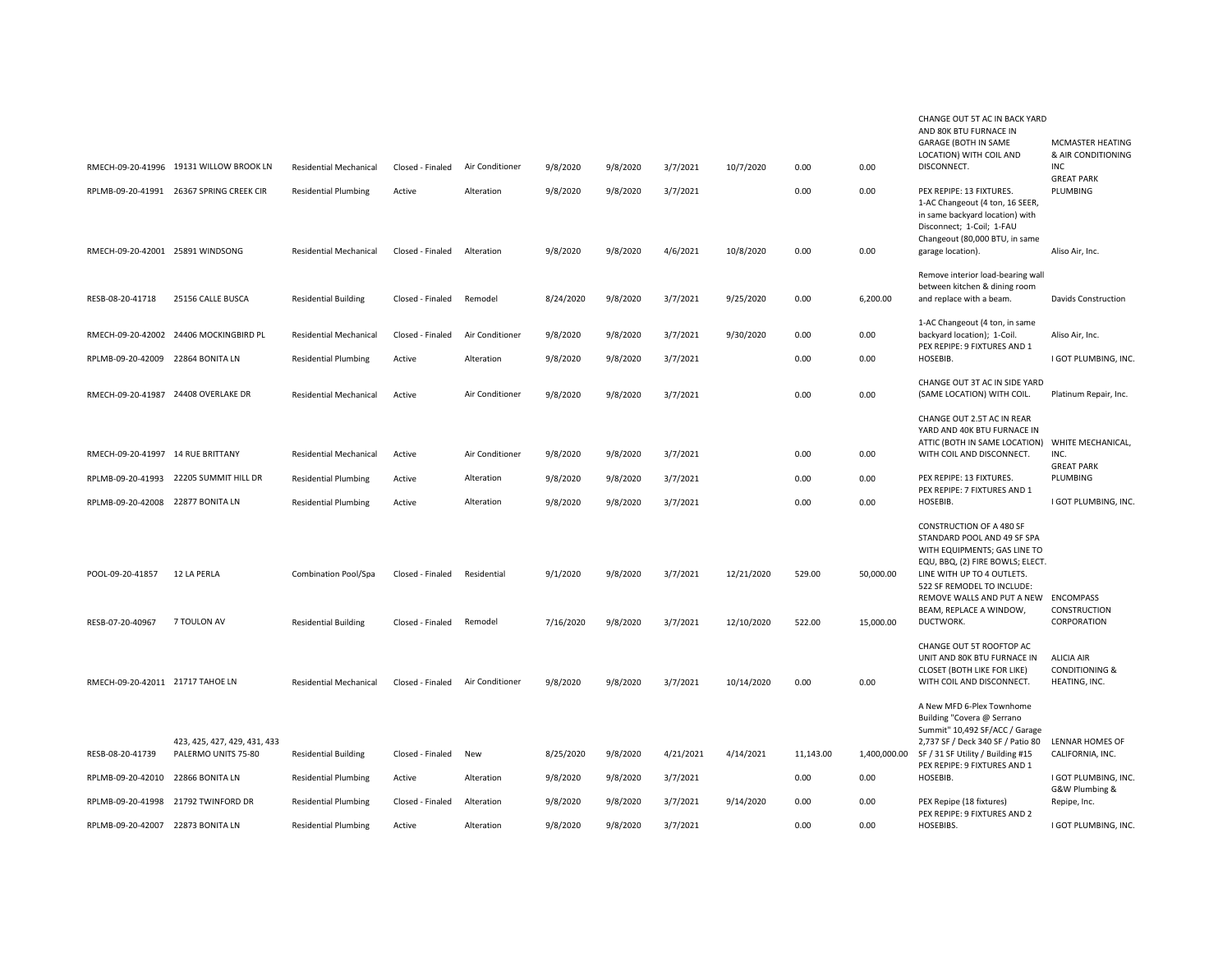|                                      |                                                     |                               |                                      |                        |           |          |           |            |                  |                        | CHANGE OUT 5T AC IN BACK YARD<br>AND 80K BTU FURNACE IN<br><b>GARAGE (BOTH IN SAME</b><br>LOCATION) WITH COIL AND                                                                                                                                                       | MCMASTER HEATING<br>& AIR CONDITIONING                          |
|--------------------------------------|-----------------------------------------------------|-------------------------------|--------------------------------------|------------------------|-----------|----------|-----------|------------|------------------|------------------------|-------------------------------------------------------------------------------------------------------------------------------------------------------------------------------------------------------------------------------------------------------------------------|-----------------------------------------------------------------|
|                                      | RMECH-09-20-41996 19131 WILLOW BROOK LN             | <b>Residential Mechanical</b> | Closed - Finaled                     | Air Conditioner        | 9/8/2020  | 9/8/2020 | 3/7/2021  | 10/7/2020  | 0.00             | 0.00                   | DISCONNECT.                                                                                                                                                                                                                                                             | INC<br><b>GREAT PARK</b>                                        |
|                                      | RPLMB-09-20-41991 26367 SPRING CREEK CIR            | <b>Residential Plumbing</b>   | Active                               | Alteration             | 9/8/2020  | 9/8/2020 | 3/7/2021  |            | 0.00             | 0.00                   | PEX REPIPE: 13 FIXTURES.<br>1-AC Changeout (4 ton, 16 SEER,<br>in same backyard location) with<br>Disconnect; 1-Coil; 1-FAU                                                                                                                                             | PLUMBING                                                        |
| RMECH-09-20-42001 25891 WINDSONG     |                                                     | <b>Residential Mechanical</b> | Closed - Finaled                     | Alteration             | 9/8/2020  | 9/8/2020 | 4/6/2021  | 10/8/2020  | 0.00             | 0.00                   | Changeout (80,000 BTU, in same<br>garage location).                                                                                                                                                                                                                     | Aliso Air, Inc.                                                 |
| RESB-08-20-41718                     | 25156 CALLE BUSCA                                   | <b>Residential Building</b>   | Closed - Finaled                     | Remodel                | 8/24/2020 | 9/8/2020 | 3/7/2021  | 9/25/2020  | 0.00             | 6,200.00               | Remove interior load-bearing wall<br>between kitchen & dining room<br>and replace with a beam.                                                                                                                                                                          | Davids Construction                                             |
|                                      | RMECH-09-20-42002 24406 MOCKINGBIRD PL              | <b>Residential Mechanical</b> | Closed - Finaled                     | Air Conditioner        | 9/8/2020  | 9/8/2020 | 3/7/2021  | 9/30/2020  | 0.00             | 0.00                   | 1-AC Changeout (4 ton, in same<br>backyard location); 1-Coil.                                                                                                                                                                                                           | Aliso Air, Inc.                                                 |
| RPLMB-09-20-42009 22864 BONITA LN    |                                                     | <b>Residential Plumbing</b>   | Active                               | Alteration             | 9/8/2020  | 9/8/2020 | 3/7/2021  |            | 0.00             | 0.00                   | PEX REPIPE: 9 FIXTURES AND 1<br>HOSEBIB.                                                                                                                                                                                                                                | I GOT PLUMBING, INC.                                            |
| RMECH-09-20-41987 24408 OVERLAKE DR  |                                                     | Residential Mechanical        | Active                               | Air Conditioner        | 9/8/2020  | 9/8/2020 | 3/7/2021  |            | 0.00             | 0.00                   | CHANGE OUT 3T AC IN SIDE YARD<br>(SAME LOCATION) WITH COIL.                                                                                                                                                                                                             | Platinum Repair, Inc.                                           |
|                                      |                                                     |                               |                                      |                        |           |          |           |            |                  |                        | CHANGE OUT 2.5T AC IN REAR<br>YARD AND 40K BTU FURNACE IN<br>ATTIC (BOTH IN SAME LOCATION) WHITE MECHANICAL,                                                                                                                                                            |                                                                 |
| RMECH-09-20-41997 14 RUE BRITTANY    |                                                     | <b>Residential Mechanical</b> | Active                               | Air Conditioner        | 9/8/2020  | 9/8/2020 | 3/7/2021  |            | 0.00             | 0.00                   | WITH COIL AND DISCONNECT.                                                                                                                                                                                                                                               | INC.<br><b>GREAT PARK</b>                                       |
| RPLMB-09-20-41993                    | 22205 SUMMIT HILL DR                                | <b>Residential Plumbing</b>   | Active                               | Alteration             | 9/8/2020  | 9/8/2020 | 3/7/2021  |            | 0.00             | 0.00                   | PEX REPIPE: 13 FIXTURES.<br>PEX REPIPE: 7 FIXTURES AND 1                                                                                                                                                                                                                | PLUMBING                                                        |
| RPLMB-09-20-42008 22877 BONITA LN    |                                                     | <b>Residential Plumbing</b>   | Active                               | Alteration             | 9/8/2020  | 9/8/2020 | 3/7/2021  |            | 0.00             | 0.00                   | HOSEBIB.                                                                                                                                                                                                                                                                | I GOT PLUMBING, INC.                                            |
| POOL-09-20-41857<br>RESB-07-20-40967 | 12 LA PERLA<br>7 TOULON AV                          | <b>Combination Pool/Spa</b>   | Closed - Finaled<br>Closed - Finaled | Residential<br>Remodel | 9/1/2020  | 9/8/2020 | 3/7/2021  | 12/21/2020 | 529.00<br>522.00 | 50,000.00<br>15,000.00 | CONSTRUCTION OF A 480 SF<br>STANDARD POOL AND 49 SF SPA<br>WITH EQUIPMENTS; GAS LINE TO<br>EQU, BBQ, (2) FIRE BOWLS; ELECT.<br>LINE WITH UP TO 4 OUTLETS.<br>522 SF REMODEL TO INCLUDE:<br>REMOVE WALLS AND PUT A NEW ENCOMPASS<br>BEAM, REPLACE A WINDOW,<br>DUCTWORK. | CONSTRUCTION<br>CORPORATION                                     |
|                                      |                                                     | <b>Residential Building</b>   |                                      |                        | 7/16/2020 | 9/8/2020 | 3/7/2021  | 12/10/2020 |                  |                        |                                                                                                                                                                                                                                                                         |                                                                 |
| RMECH-09-20-42011 21717 TAHOE LN     |                                                     | <b>Residential Mechanical</b> | Closed - Finaled                     | Air Conditioner        | 9/8/2020  | 9/8/2020 | 3/7/2021  | 10/14/2020 | 0.00             | 0.00                   | CHANGE OUT 5T ROOFTOP AC<br>UNIT AND 80K BTU FURNACE IN<br>CLOSET (BOTH LIKE FOR LIKE)<br>WITH COIL AND DISCONNECT.                                                                                                                                                     | <b>ALICIA AIR</b><br><b>CONDITIONING &amp;</b><br>HEATING, INC. |
| RESB-08-20-41739                     | 423, 425, 427, 429, 431, 433<br>PALERMO UNITS 75-80 | <b>Residential Building</b>   | Closed - Finaled                     | New                    | 8/25/2020 | 9/8/2020 | 4/21/2021 | 4/14/2021  | 11,143.00        |                        | A New MFD 6-Plex Townhome<br>Building "Covera @ Serrano<br>Summit" 10,492 SF/ACC / Garage<br>2,737 SF / Deck 340 SF / Patio 80<br>1,400,000.00 SF / 31 SF Utility / Building #15<br>PEX REPIPE: 9 FIXTURES AND 1                                                        | <b>LENNAR HOMES OF</b><br>CALIFORNIA, INC.                      |
| RPLMB-09-20-42010                    | 22866 BONITA LN                                     | <b>Residential Plumbing</b>   | Active                               | Alteration             | 9/8/2020  | 9/8/2020 | 3/7/2021  |            | 0.00             | 0.00                   | HOSEBIB.                                                                                                                                                                                                                                                                | I GOT PLUMBING, INC.<br>G&W Plumbing &                          |
|                                      | RPLMB-09-20-41998 21792 TWINFORD DR                 | <b>Residential Plumbing</b>   | Closed - Finaled                     | Alteration             | 9/8/2020  | 9/8/2020 | 3/7/2021  | 9/14/2020  | 0.00             | 0.00                   | PEX Repipe (18 fixtures)<br>PEX REPIPE: 9 FIXTURES AND 2                                                                                                                                                                                                                | Repipe, Inc.                                                    |
| RPLMB-09-20-42007 22873 BONITA LN    |                                                     | <b>Residential Plumbing</b>   | Active                               | Alteration             | 9/8/2020  | 9/8/2020 | 3/7/2021  |            | 0.00             | 0.00                   | HOSEBIBS.                                                                                                                                                                                                                                                               | I GOT PLUMBING, INC.                                            |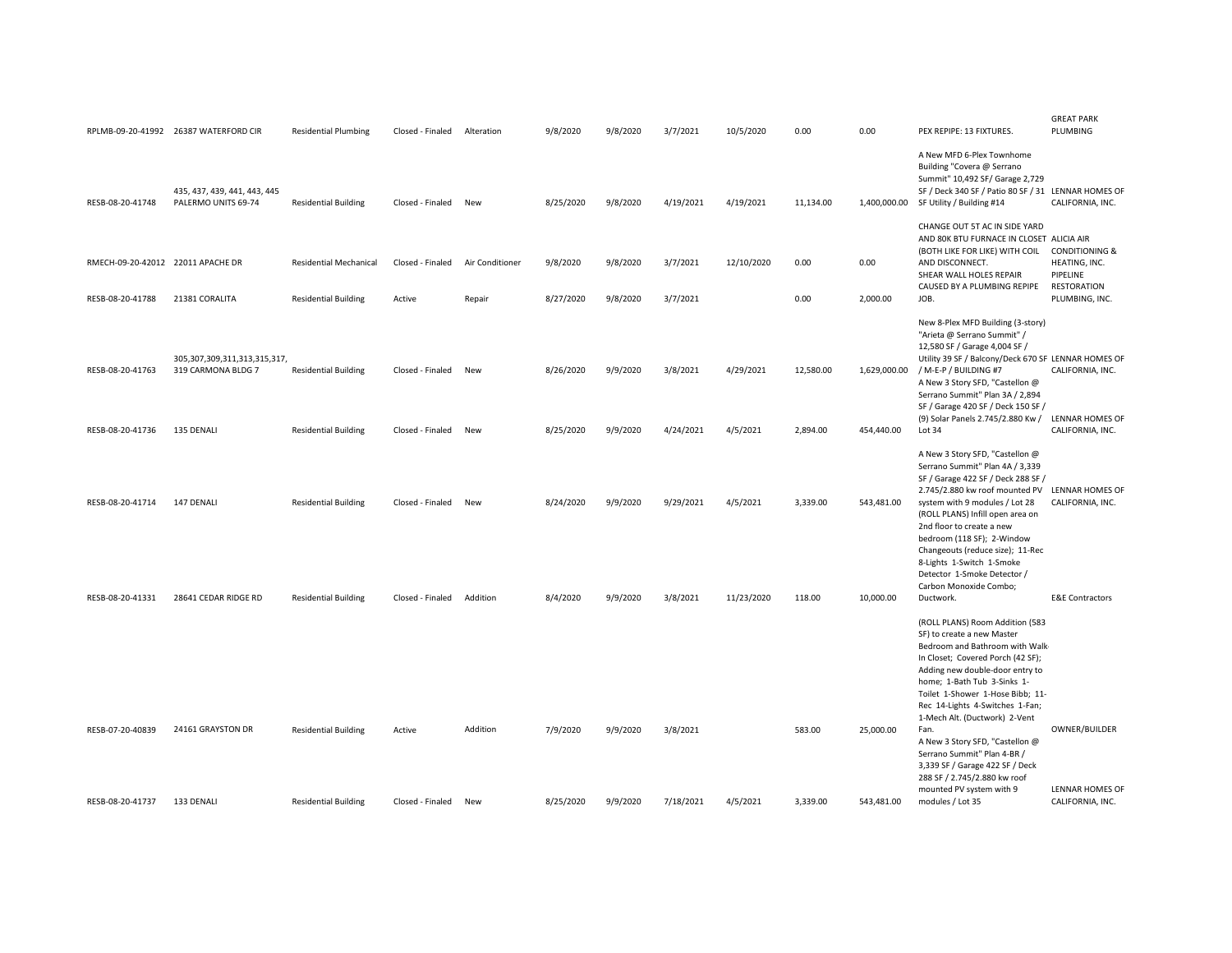|                                   | RPLMB-09-20-41992 26387 WATERFORD CIR                    | <b>Residential Plumbing</b>   | Closed - Finaled | Alteration      | 9/8/2020  | 9/8/2020 | 3/7/2021  | 10/5/2020  | 0.00      | 0.00       | PEX REPIPE: 13 FIXTURES.                                                                                                                                                                                                                                                                                                                                                    | <b>GREAT PARK</b><br>PLUMBING                                                |
|-----------------------------------|----------------------------------------------------------|-------------------------------|------------------|-----------------|-----------|----------|-----------|------------|-----------|------------|-----------------------------------------------------------------------------------------------------------------------------------------------------------------------------------------------------------------------------------------------------------------------------------------------------------------------------------------------------------------------------|------------------------------------------------------------------------------|
| RESB-08-20-41748                  | 435, 437, 439, 441, 443, 445<br>PALERMO UNITS 69-74      | <b>Residential Building</b>   | Closed - Finaled | New             | 8/25/2020 | 9/8/2020 | 4/19/2021 | 4/19/2021  | 11,134.00 |            | A New MFD 6-Plex Townhome<br>Building "Covera @ Serrano<br>Summit" 10,492 SF/ Garage 2,729<br>SF / Deck 340 SF / Patio 80 SF / 31 LENNAR HOMES OF<br>1,400,000.00 SF Utility / Building #14                                                                                                                                                                                 | CALIFORNIA, INC.                                                             |
| RMECH-09-20-42012 22011 APACHE DR |                                                          | <b>Residential Mechanical</b> | Closed - Finaled | Air Conditioner | 9/8/2020  | 9/8/2020 | 3/7/2021  | 12/10/2020 | 0.00      | 0.00       | CHANGE OUT 5T AC IN SIDE YARD<br>AND 80K BTU FURNACE IN CLOSET ALICIA AIR<br>(BOTH LIKE FOR LIKE) WITH COIL<br>AND DISCONNECT.<br>SHEAR WALL HOLES REPAIR<br>CAUSED BY A PLUMBING REPIPE                                                                                                                                                                                    | <b>CONDITIONING &amp;</b><br>HEATING, INC.<br>PIPELINE<br><b>RESTORATION</b> |
| RESB-08-20-41788                  | 21381 CORALITA                                           | <b>Residential Building</b>   | Active           | Repair          | 8/27/2020 | 9/8/2020 | 3/7/2021  |            | 0.00      | 2,000.00   | JOB.                                                                                                                                                                                                                                                                                                                                                                        | PLUMBING, INC.                                                               |
| RESB-08-20-41763                  | 305, 307, 309, 311, 313, 315, 317,<br>319 CARMONA BLDG 7 | <b>Residential Building</b>   | Closed - Finaled | New             | 8/26/2020 | 9/9/2020 | 3/8/2021  | 4/29/2021  | 12,580.00 |            | New 8-Plex MFD Building (3-story)<br>"Arieta @ Serrano Summit" /<br>12,580 SF / Garage 4,004 SF /<br>Utility 39 SF / Balcony/Deck 670 SF LENNAR HOMES OF<br>1,629,000.00 / M-E-P / BUILDING #7<br>A New 3 Story SFD, "Castellon @<br>Serrano Summit" Plan 3A / 2,894<br>SF / Garage 420 SF / Deck 150 SF /                                                                  | CALIFORNIA, INC.<br>LENNAR HOMES OF                                          |
| RESB-08-20-41736                  | 135 DENALI                                               | <b>Residential Building</b>   | Closed - Finaled | New             | 8/25/2020 | 9/9/2020 | 4/24/2021 | 4/5/2021   | 2,894.00  | 454,440.00 | (9) Solar Panels 2.745/2.880 Kw /<br>Lot 34                                                                                                                                                                                                                                                                                                                                 | CALIFORNIA, INC.                                                             |
| RESB-08-20-41714                  | 147 DENALI                                               | <b>Residential Building</b>   | Closed - Finaled | New             | 8/24/2020 | 9/9/2020 | 9/29/2021 | 4/5/2021   | 3,339.00  | 543,481.00 | A New 3 Story SFD, "Castellon @<br>Serrano Summit" Plan 4A / 3,339<br>SF / Garage 422 SF / Deck 288 SF /<br>2.745/2.880 kw roof mounted PV<br>system with 9 modules / Lot 28<br>(ROLL PLANS) Infill open area on<br>2nd floor to create a new<br>bedroom (118 SF); 2-Window<br>Changeouts (reduce size); 11-Rec<br>8-Lights 1-Switch 1-Smoke<br>Detector 1-Smoke Detector / | <b>LENNAR HOMES OF</b><br>CALIFORNIA, INC.                                   |
| RESB-08-20-41331                  | 28641 CEDAR RIDGE RD                                     | <b>Residential Building</b>   | Closed - Finaled | Addition        | 8/4/2020  | 9/9/2020 | 3/8/2021  | 11/23/2020 | 118.00    | 10,000.00  | Carbon Monoxide Combo;<br>Ductwork.                                                                                                                                                                                                                                                                                                                                         | <b>E&amp;E Contractors</b>                                                   |
|                                   |                                                          |                               |                  |                 |           |          |           |            |           |            | (ROLL PLANS) Room Addition (583<br>SF) to create a new Master<br>Bedroom and Bathroom with Walk-<br>In Closet; Covered Porch (42 SF);<br>Adding new double-door entry to<br>home; 1-Bath Tub 3-Sinks 1-<br>Toilet 1-Shower 1-Hose Bibb; 11-<br>Rec 14-Lights 4-Switches 1-Fan;<br>1-Mech Alt. (Ductwork) 2-Vent                                                             |                                                                              |
| RESB-07-20-40839                  | 24161 GRAYSTON DR                                        | <b>Residential Building</b>   | Active           | Addition        | 7/9/2020  | 9/9/2020 | 3/8/2021  |            | 583.00    | 25,000.00  | Fan.<br>A New 3 Story SFD, "Castellon @<br>Serrano Summit" Plan 4-BR /<br>3,339 SF / Garage 422 SF / Deck<br>288 SF / 2.745/2.880 kw roof                                                                                                                                                                                                                                   | OWNER/BUILDER                                                                |
| RESB-08-20-41737                  | 133 DENALI                                               | <b>Residential Building</b>   | Closed - Finaled | New             | 8/25/2020 | 9/9/2020 | 7/18/2021 | 4/5/2021   | 3,339.00  | 543,481.00 | mounted PV system with 9<br>modules / Lot 35                                                                                                                                                                                                                                                                                                                                | <b>LENNAR HOMES OF</b><br>CALIFORNIA, INC.                                   |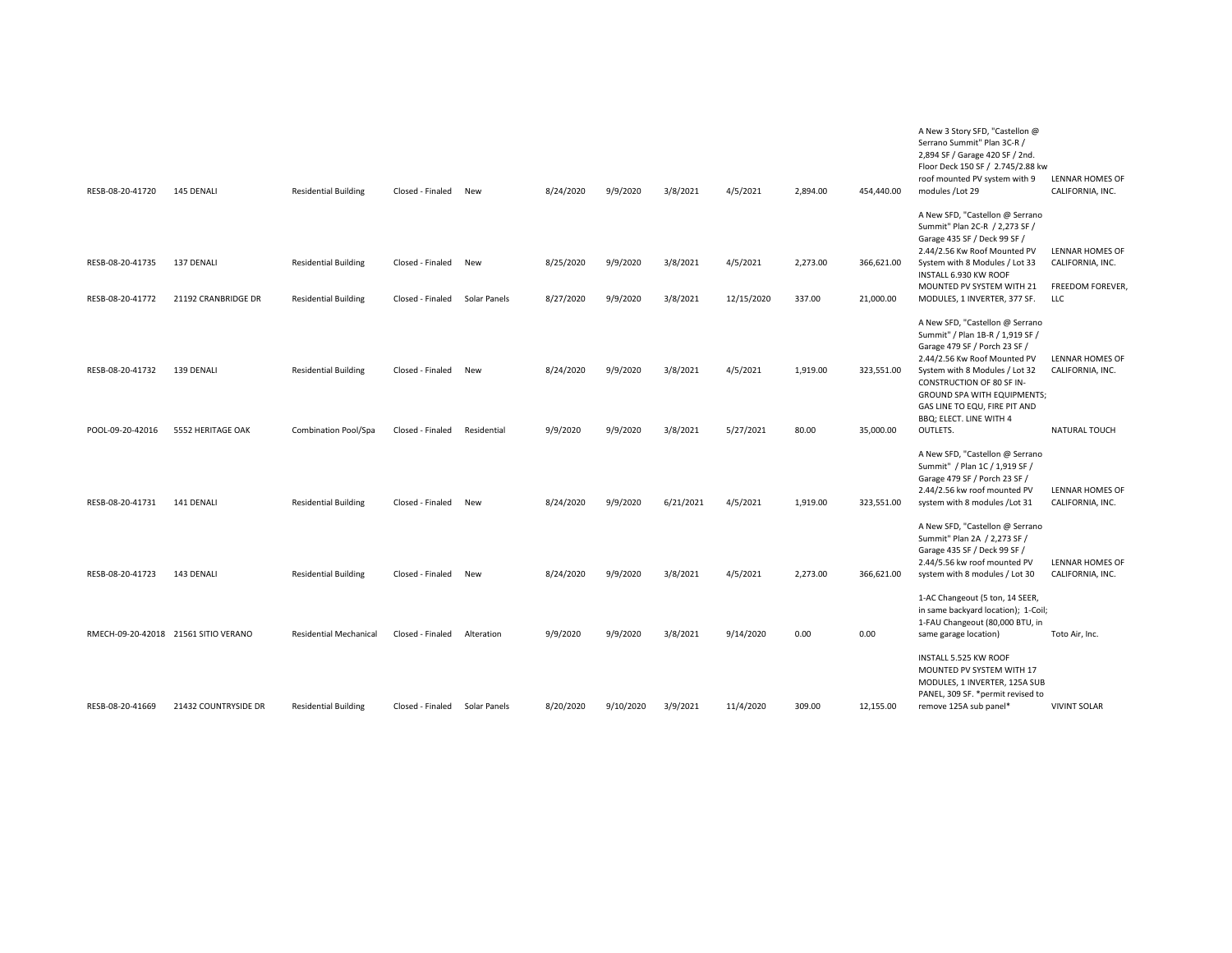| RESB-08-20-41720                     | 145 DENALI                           | <b>Residential Building</b>                                | Closed - Finaled                     | New                 | 8/24/2020              | 9/9/2020             | 3/8/2021             | 4/5/2021               | 2,894.00           | 454,440.00              | A New 3 Story SFD, "Castellon @<br>Serrano Summit" Plan 3C-R /<br>2,894 SF / Garage 420 SF / 2nd.<br>Floor Deck 150 SF / 2.745/2.88 kw<br>roof mounted PV system with 9<br>modules /Lot 29                                                                                                                 | <b>LENNAR HOMES OF</b><br>CALIFORNIA, INC.                            |
|--------------------------------------|--------------------------------------|------------------------------------------------------------|--------------------------------------|---------------------|------------------------|----------------------|----------------------|------------------------|--------------------|-------------------------|------------------------------------------------------------------------------------------------------------------------------------------------------------------------------------------------------------------------------------------------------------------------------------------------------------|-----------------------------------------------------------------------|
| RESB-08-20-41735<br>RESB-08-20-41772 | 137 DENALI<br>21192 CRANBRIDGE DR    | <b>Residential Building</b><br><b>Residential Building</b> | Closed - Finaled<br>Closed - Finaled | New<br>Solar Panels | 8/25/2020<br>8/27/2020 | 9/9/2020<br>9/9/2020 | 3/8/2021<br>3/8/2021 | 4/5/2021<br>12/15/2020 | 2,273.00<br>337.00 | 366,621.00<br>21,000.00 | A New SFD, "Castellon @ Serrano<br>Summit" Plan 2C-R / 2,273 SF /<br>Garage 435 SF / Deck 99 SF /<br>2.44/2.56 Kw Roof Mounted PV<br>System with 8 Modules / Lot 33<br>INSTALL 6.930 KW ROOF<br>MOUNTED PV SYSTEM WITH 21<br>MODULES, 1 INVERTER, 377 SF.                                                  | <b>LENNAR HOMES OF</b><br>CALIFORNIA, INC.<br>FREEDOM FOREVER,<br>LLC |
| RESB-08-20-41732<br>POOL-09-20-42016 | 139 DENALI<br>5552 HERITAGE OAK      | <b>Residential Building</b><br>Combination Pool/Spa        | Closed - Finaled<br>Closed - Finaled | New<br>Residential  | 8/24/2020<br>9/9/2020  | 9/9/2020<br>9/9/2020 | 3/8/2021<br>3/8/2021 | 4/5/2021<br>5/27/2021  | 1,919.00<br>80.00  | 323,551.00<br>35,000.00 | A New SFD, "Castellon @ Serrano<br>Summit" / Plan 1B-R / 1,919 SF /<br>Garage 479 SF / Porch 23 SF /<br>2.44/2.56 Kw Roof Mounted PV<br>System with 8 Modules / Lot 32<br>CONSTRUCTION OF 80 SF IN-<br>GROUND SPA WITH EQUIPMENTS;<br>GAS LINE TO EQU, FIRE PIT AND<br>BBQ; ELECT. LINE WITH 4<br>OUTLETS. | <b>LENNAR HOMES OF</b><br>CALIFORNIA, INC.<br>NATURAL TOUCH           |
| RESB-08-20-41731                     | 141 DENALI                           | <b>Residential Building</b>                                | Closed - Finaled                     | New                 | 8/24/2020              | 9/9/2020             | 6/21/2021            | 4/5/2021               | 1,919.00           | 323,551.00              | A New SFD, "Castellon @ Serrano<br>Summit" / Plan 1C / 1,919 SF /<br>Garage 479 SF / Porch 23 SF /<br>2.44/2.56 kw roof mounted PV<br>system with 8 modules / Lot 31<br>A New SFD, "Castellon @ Serrano                                                                                                    | <b>LENNAR HOMES OF</b><br>CALIFORNIA, INC.                            |
| RESB-08-20-41723                     | 143 DENALI                           | <b>Residential Building</b>                                | Closed - Finaled                     | New                 | 8/24/2020              | 9/9/2020             | 3/8/2021             | 4/5/2021               | 2,273.00           | 366,621.00              | Summit" Plan 2A / 2,273 SF /<br>Garage 435 SF / Deck 99 SF /<br>2.44/5.56 kw roof mounted PV<br>system with 8 modules / Lot 30                                                                                                                                                                             | <b>LENNAR HOMES OF</b><br>CALIFORNIA, INC.                            |
|                                      | RMECH-09-20-42018 21561 SITIO VERANO | <b>Residential Mechanical</b>                              | Closed - Finaled                     | Alteration          | 9/9/2020               | 9/9/2020             | 3/8/2021             | 9/14/2020              | 0.00               | 0.00                    | 1-AC Changeout (5 ton, 14 SEER,<br>in same backyard location); 1-Coil;<br>1-FAU Changeout (80,000 BTU, in<br>same garage location)                                                                                                                                                                         | Toto Air, Inc.                                                        |
| RESB-08-20-41669                     | 21432 COUNTRYSIDE DR                 | <b>Residential Building</b>                                | Closed - Finaled                     | Solar Panels        | 8/20/2020              | 9/10/2020            | 3/9/2021             | 11/4/2020              | 309.00             | 12,155.00               | INSTALL 5.525 KW ROOF<br>MOUNTED PV SYSTEM WITH 17<br>MODULES, 1 INVERTER, 125A SUB<br>PANEL, 309 SF. * permit revised to<br>remove 125A sub panel*                                                                                                                                                        | <b>VIVINT SOLAR</b>                                                   |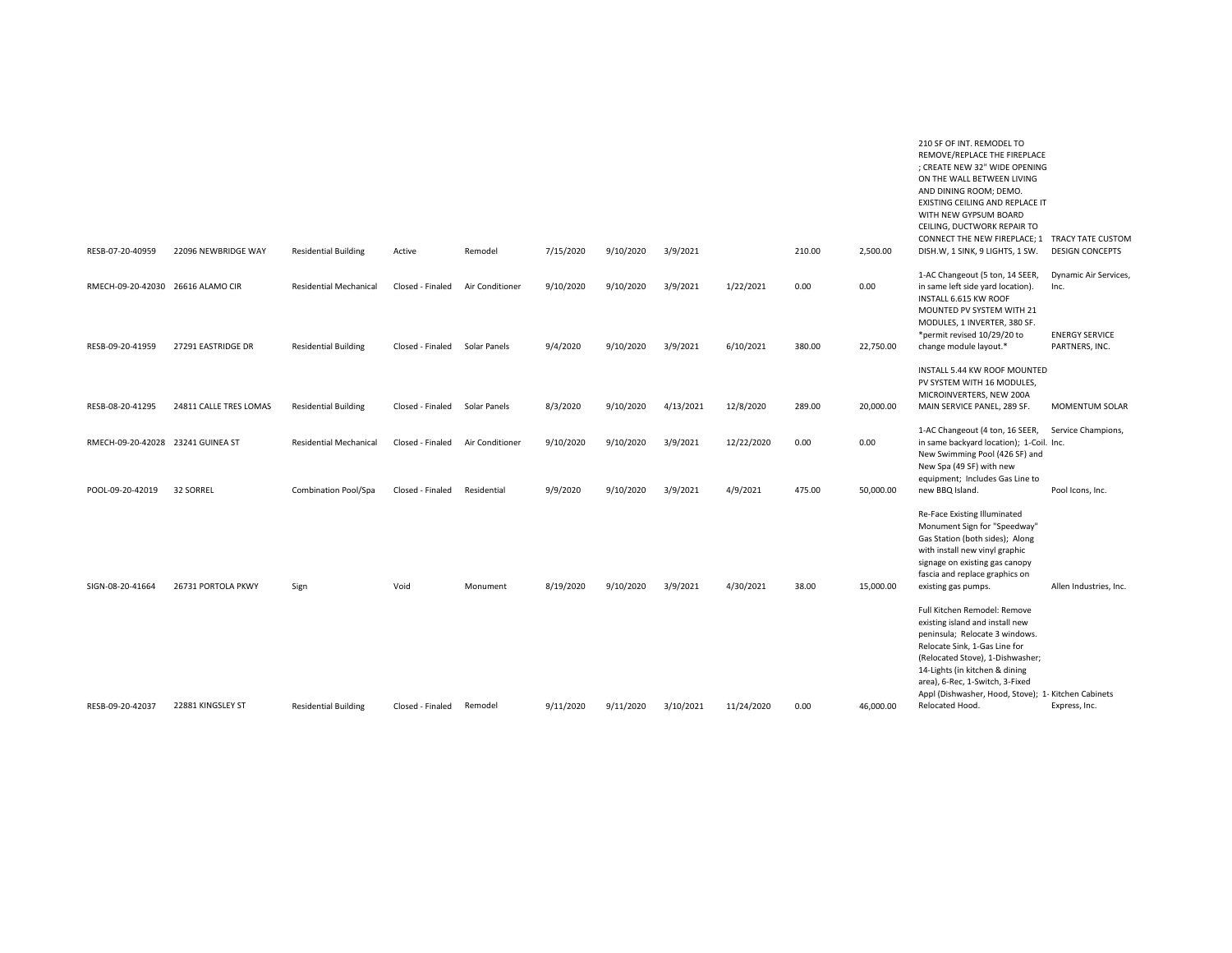| RESB-07-20-40959                  | 22096 NEWBRIDGE WAY    | <b>Residential Building</b>   | Active           | Remodel         | 7/15/2020 | 9/10/2020 | 3/9/2021  |            | 210.00 | 2.500.00  | 210 SF OF INT. REMODEL TO<br>REMOVE/REPLACE THE FIREPLACE<br>: CREATE NEW 32" WIDE OPENING<br>ON THE WALL BETWEEN LIVING<br>AND DINING ROOM; DEMO.<br>EXISTING CEILING AND REPLACE IT<br>WITH NEW GYPSUM BOARD<br>CEILING, DUCTWORK REPAIR TO<br>CONNECT THE NEW FIREPLACE; 1 TRACY TATE CUSTOM<br>DISH.W, 1 SINK, 9 LIGHTS, 1 SW. | <b>DESIGN CONCEPTS</b>                  |
|-----------------------------------|------------------------|-------------------------------|------------------|-----------------|-----------|-----------|-----------|------------|--------|-----------|------------------------------------------------------------------------------------------------------------------------------------------------------------------------------------------------------------------------------------------------------------------------------------------------------------------------------------|-----------------------------------------|
|                                   |                        |                               |                  |                 |           |           |           |            |        |           |                                                                                                                                                                                                                                                                                                                                    |                                         |
| RMECH-09-20-42030 26616 ALAMO CIR |                        | <b>Residential Mechanical</b> | Closed - Finaled | Air Conditioner | 9/10/2020 | 9/10/2020 | 3/9/2021  | 1/22/2021  | 0.00   | 0.00      | 1-AC Changeout (5 ton, 14 SEER,<br>in same left side yard location).<br>INSTALL 6.615 KW ROOF<br>MOUNTED PV SYSTEM WITH 21<br>MODULES, 1 INVERTER, 380 SF.                                                                                                                                                                         | Dynamic Air Services,<br>Inc.           |
| RESB-09-20-41959                  | 27291 EASTRIDGE DR     | <b>Residential Building</b>   | Closed - Finaled | Solar Panels    | 9/4/2020  | 9/10/2020 | 3/9/2021  | 6/10/2021  | 380.00 | 22,750.00 | *permit revised 10/29/20 to<br>change module layout.*                                                                                                                                                                                                                                                                              | <b>ENERGY SERVICE</b><br>PARTNERS, INC. |
| RESB-08-20-41295                  | 24811 CALLE TRES LOMAS | <b>Residential Building</b>   | Closed - Finaled | Solar Panels    | 8/3/2020  | 9/10/2020 | 4/13/2021 | 12/8/2020  | 289.00 | 20,000.00 | INSTALL 5.44 KW ROOF MOUNTED<br>PV SYSTEM WITH 16 MODULES,<br>MICROINVERTERS, NEW 200A<br>MAIN SERVICE PANEL, 289 SF.                                                                                                                                                                                                              | <b>MOMENTUM SOLAR</b>                   |
| RMECH-09-20-42028 23241 GUINEA ST |                        | <b>Residential Mechanical</b> | Closed - Finaled | Air Conditioner | 9/10/2020 | 9/10/2020 | 3/9/2021  | 12/22/2020 | 0.00   | 0.00      | 1-AC Changeout (4 ton, 16 SEER,<br>in same backyard location); 1-Coil. Inc.<br>New Swimming Pool (426 SF) and<br>New Spa (49 SF) with new<br>equipment; Includes Gas Line to                                                                                                                                                       | Service Champions,                      |
| POOL-09-20-42019                  | 32 SORREL              | <b>Combination Pool/Spa</b>   | Closed - Finaled | Residential     | 9/9/2020  | 9/10/2020 | 3/9/2021  | 4/9/2021   | 475.00 | 50,000.00 | new BBQ Island.                                                                                                                                                                                                                                                                                                                    | Pool Icons, Inc.                        |
| SIGN-08-20-41664                  | 26731 PORTOLA PKWY     | Sign                          | Void             | Monument        | 8/19/2020 | 9/10/2020 | 3/9/2021  | 4/30/2021  | 38.00  | 15,000.00 | Re-Face Existing Illuminated<br>Monument Sign for "Speedway"<br>Gas Station (both sides); Along<br>with install new vinyl graphic<br>signage on existing gas canopy<br>fascia and replace graphics on<br>existing gas pumps.                                                                                                       | Allen Industries, Inc.                  |
|                                   |                        |                               |                  |                 |           |           |           |            |        |           | Full Kitchen Remodel: Remove<br>existing island and install new<br>peninsula; Relocate 3 windows.<br>Relocate Sink, 1-Gas Line for<br>(Relocated Stove), 1-Dishwasher;<br>14-Lights (in kitchen & dining<br>area), 6-Rec, 1-Switch, 3-Fixed<br>Appl (Dishwasher, Hood, Stove); 1- Kitchen Cabinets                                 |                                         |
| RESB-09-20-42037                  | 22881 KINGSLEY ST      | <b>Residential Building</b>   | Closed - Finaled | Remodel         | 9/11/2020 | 9/11/2020 | 3/10/2021 | 11/24/2020 | 0.00   | 46,000.00 | Relocated Hood.                                                                                                                                                                                                                                                                                                                    | Express, Inc.                           |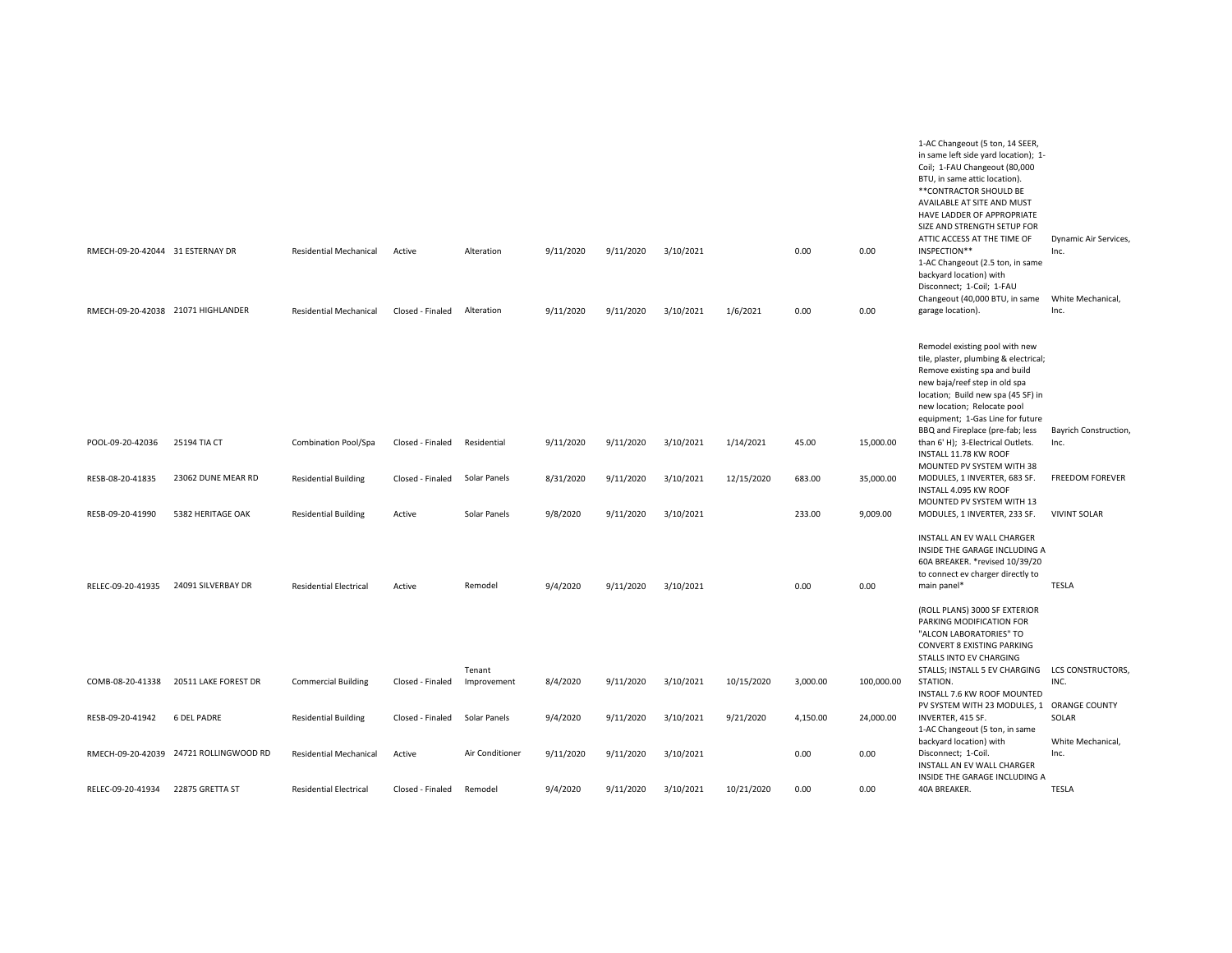|                                    |                                        |                               |                  |                       |           |           |           |            |          |            | 1-AC Changeout (5 ton, 14 SEER,<br>in same left side yard location); 1-<br>Coil; 1-FAU Changeout (80,000<br>BTU, in same attic location).<br>**CONTRACTOR SHOULD BE<br>AVAILABLE AT SITE AND MUST<br>HAVE LADDER OF APPROPRIATE<br>SIZE AND STRENGTH SETUP FOR<br>ATTIC ACCESS AT THE TIME OF | Dynamic Air Services,         |
|------------------------------------|----------------------------------------|-------------------------------|------------------|-----------------------|-----------|-----------|-----------|------------|----------|------------|-----------------------------------------------------------------------------------------------------------------------------------------------------------------------------------------------------------------------------------------------------------------------------------------------|-------------------------------|
| RMECH-09-20-42044 31 ESTERNAY DR   |                                        | <b>Residential Mechanical</b> | Active           | Alteration            | 9/11/2020 | 9/11/2020 | 3/10/2021 |            | 0.00     | 0.00       | INSPECTION**<br>1-AC Changeout (2.5 ton, in same<br>backyard location) with<br>Disconnect; 1-Coil; 1-FAU                                                                                                                                                                                      | Inc.                          |
|                                    |                                        |                               |                  |                       |           |           |           |            |          |            | Changeout (40,000 BTU, in same White Mechanical,                                                                                                                                                                                                                                              |                               |
| RMECH-09-20-42038 21071 HIGHLANDER |                                        | <b>Residential Mechanical</b> | Closed - Finaled | Alteration            | 9/11/2020 | 9/11/2020 | 3/10/2021 | 1/6/2021   | 0.00     | 0.00       | garage location).                                                                                                                                                                                                                                                                             | Inc.                          |
|                                    |                                        |                               |                  |                       |           |           |           |            |          |            | Remodel existing pool with new<br>tile, plaster, plumbing & electrical;<br>Remove existing spa and build<br>new baja/reef step in old spa<br>location; Build new spa (45 SF) in<br>new location; Relocate pool<br>equipment; 1-Gas Line for future                                            |                               |
| POOL-09-20-42036                   | 25194 TIA CT                           | Combination Pool/Spa          | Closed - Finaled | Residential           | 9/11/2020 | 9/11/2020 | 3/10/2021 | 1/14/2021  | 45.00    | 15,000.00  | BBQ and Fireplace (pre-fab; less<br>than 6' H); 3-Electrical Outlets.<br>INSTALL 11.78 KW ROOF<br>MOUNTED PV SYSTEM WITH 38                                                                                                                                                                   | Bayrich Construction,<br>Inc. |
| RESB-08-20-41835                   | 23062 DUNE MEAR RD                     | <b>Residential Building</b>   | Closed - Finaled | Solar Panels          | 8/31/2020 | 9/11/2020 | 3/10/2021 | 12/15/2020 | 683.00   | 35,000.00  | MODULES, 1 INVERTER, 683 SF.<br>INSTALL 4.095 KW ROOF<br>MOUNTED PV SYSTEM WITH 13                                                                                                                                                                                                            | <b>FREEDOM FOREVER</b>        |
| RESB-09-20-41990                   | 5382 HERITAGE OAK                      | <b>Residential Building</b>   | Active           | Solar Panels          | 9/8/2020  | 9/11/2020 | 3/10/2021 |            | 233.00   | 9,009.00   | MODULES, 1 INVERTER, 233 SF.                                                                                                                                                                                                                                                                  | <b>VIVINT SOLAR</b>           |
| RELEC-09-20-41935                  | 24091 SILVERBAY DR                     | <b>Residential Electrical</b> | Active           | Remodel               | 9/4/2020  | 9/11/2020 | 3/10/2021 |            | 0.00     | 0.00       | INSTALL AN EV WALL CHARGER<br>INSIDE THE GARAGE INCLUDING A<br>60A BREAKER. * revised 10/39/20<br>to connect ev charger directly to<br>main panel*                                                                                                                                            | TESLA                         |
|                                    |                                        |                               |                  |                       |           |           |           |            |          |            | (ROLL PLANS) 3000 SF EXTERIOR<br>PARKING MODIFICATION FOR<br>"ALCON LABORATORIES" TO<br>CONVERT 8 EXISTING PARKING<br>STALLS INTO EV CHARGING                                                                                                                                                 |                               |
| COMB-08-20-41338                   | 20511 LAKE FOREST DR                   | <b>Commercial Building</b>    | Closed - Finaled | Tenant<br>Improvement | 8/4/2020  | 9/11/2020 | 3/10/2021 | 10/15/2020 | 3,000.00 | 100,000.00 | STALLS; INSTALL 5 EV CHARGING LCS CONSTRUCTORS,<br>STATION.<br>INSTALL 7.6 KW ROOF MOUNTED                                                                                                                                                                                                    | INC.                          |
| RESB-09-20-41942                   | <b>6 DEL PADRE</b>                     | <b>Residential Building</b>   | Closed - Finaled | Solar Panels          | 9/4/2020  | 9/11/2020 | 3/10/2021 | 9/21/2020  | 4,150.00 | 24,000.00  | PV SYSTEM WITH 23 MODULES, 1 ORANGE COUNTY<br>INVERTER, 415 SF.                                                                                                                                                                                                                               | SOLAR                         |
|                                    |                                        |                               |                  |                       |           |           |           |            |          |            | 1-AC Changeout (5 ton, in same<br>backyard location) with                                                                                                                                                                                                                                     | White Mechanical,             |
|                                    | RMECH-09-20-42039 24721 ROLLINGWOOD RD | <b>Residential Mechanical</b> | Active           | Air Conditioner       | 9/11/2020 | 9/11/2020 | 3/10/2021 |            | 0.00     | 0.00       | Disconnect; 1-Coil.<br>INSTALL AN EV WALL CHARGER<br>INSIDE THE GARAGE INCLUDING A                                                                                                                                                                                                            | Inc.                          |
| RELEC-09-20-41934                  | 22875 GRETTA ST                        | <b>Residential Electrical</b> | Closed - Finaled | Remodel               | 9/4/2020  | 9/11/2020 | 3/10/2021 | 10/21/2020 | 0.00     | 0.00       | 40A BREAKER.                                                                                                                                                                                                                                                                                  | <b>TESLA</b>                  |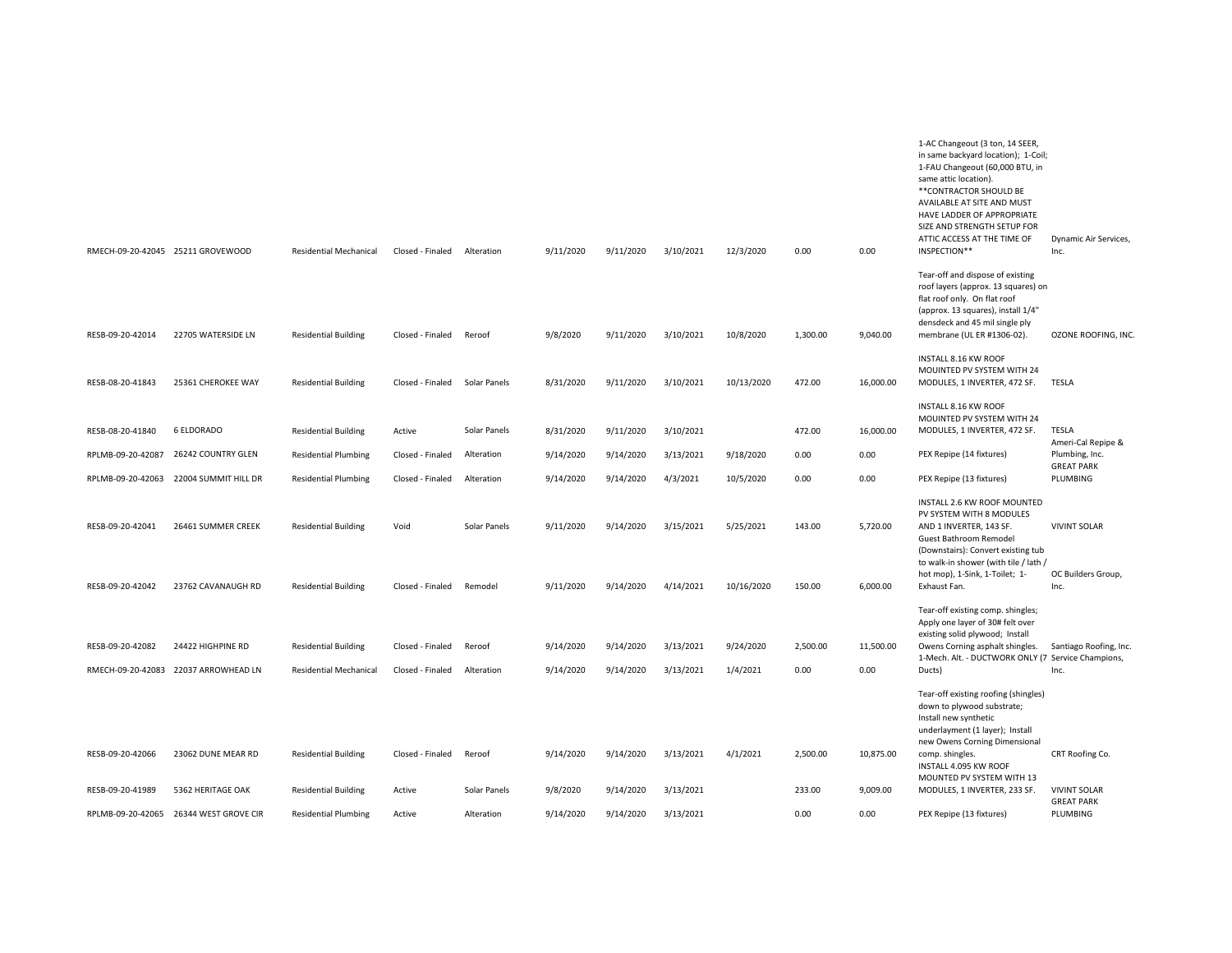|                                      | RMECH-09-20-42045 25211 GROVEWOOD                         | <b>Residential Mechanical</b>                                | Closed - Finaled                     | Alteration              | 9/11/2020              | 9/11/2020              | 3/10/2021              | 12/3/2020               | 0.00             | 0.00                 | 1-AC Changeout (3 ton, 14 SEER,<br>in same backyard location); 1-Coil;<br>1-FAU Changeout (60,000 BTU, in<br>same attic location).<br>** CONTRACTOR SHOULD BE<br>AVAILABLE AT SITE AND MUST<br>HAVE LADDER OF APPROPRIATE<br>SIZE AND STRENGTH SETUP FOR<br>ATTIC ACCESS AT THE TIME OF<br>INSPECTION** | Dynamic Air Services,<br>Inc.                     |
|--------------------------------------|-----------------------------------------------------------|--------------------------------------------------------------|--------------------------------------|-------------------------|------------------------|------------------------|------------------------|-------------------------|------------------|----------------------|---------------------------------------------------------------------------------------------------------------------------------------------------------------------------------------------------------------------------------------------------------------------------------------------------------|---------------------------------------------------|
| RESB-09-20-42014                     | 22705 WATERSIDE LN                                        | <b>Residential Building</b>                                  | Closed - Finaled                     | Reroof                  | 9/8/2020               | 9/11/2020              | 3/10/2021              | 10/8/2020               | 1,300.00         | 9,040.00             | Tear-off and dispose of existing<br>roof layers (approx. 13 squares) on<br>flat roof only. On flat roof<br>(approx. 13 squares), install 1/4"<br>densdeck and 45 mil single ply<br>membrane (UL ER #1306-02).                                                                                           | OZONE ROOFING, INC.                               |
| RESB-08-20-41843                     | 25361 CHEROKEE WAY                                        | <b>Residential Building</b>                                  | Closed - Finaled                     | Solar Panels            | 8/31/2020              | 9/11/2020              | 3/10/2021              | 10/13/2020              | 472.00           | 16,000.00            | INSTALL 8.16 KW ROOF<br>MOUINTED PV SYSTEM WITH 24<br>MODULES, 1 INVERTER, 472 SF.                                                                                                                                                                                                                      | <b>TESLA</b>                                      |
| RESB-08-20-41840                     | 6 ELDORADO                                                | <b>Residential Building</b>                                  | Active                               | Solar Panels            | 8/31/2020              | 9/11/2020              | 3/10/2021              |                         | 472.00           | 16,000.00            | INSTALL 8.16 KW ROOF<br>MOUINTED PV SYSTEM WITH 24<br>MODULES, 1 INVERTER, 472 SF.                                                                                                                                                                                                                      | <b>TESLA</b><br>Ameri-Cal Repipe &                |
| RPLMB-09-20-42087                    | 26242 COUNTRY GLEN                                        | <b>Residential Plumbing</b>                                  | Closed - Finaled                     | Alteration              | 9/14/2020              | 9/14/2020              | 3/13/2021              | 9/18/2020               | 0.00             | 0.00                 | PEX Repipe (14 fixtures)                                                                                                                                                                                                                                                                                | Plumbing, Inc.<br><b>GREAT PARK</b>               |
| RPLMB-09-20-42063                    | 22004 SUMMIT HILL DR                                      | <b>Residential Plumbing</b>                                  | Closed - Finaled                     | Alteration              | 9/14/2020              | 9/14/2020              | 4/3/2021               | 10/5/2020               | 0.00             | 0.00                 | PEX Repipe (13 fixtures)                                                                                                                                                                                                                                                                                | PLUMBING                                          |
| RESB-09-20-42041<br>RESB-09-20-42042 | 26461 SUMMER CREEK<br>23762 CAVANAUGH RD                  | <b>Residential Building</b><br><b>Residential Building</b>   | Void<br>Closed - Finaled             | Solar Panels<br>Remodel | 9/11/2020<br>9/11/2020 | 9/14/2020<br>9/14/2020 | 3/15/2021<br>4/14/2021 | 5/25/2021<br>10/16/2020 | 143.00<br>150.00 | 5,720.00<br>6,000.00 | INSTALL 2.6 KW ROOF MOUNTED<br>PV SYSTEM WITH 8 MODULES<br>AND 1 INVERTER, 143 SF.<br>Guest Bathroom Remodel<br>(Downstairs): Convert existing tub<br>to walk-in shower (with tile / lath /<br>hot mop), 1-Sink, 1-Toilet; 1-<br>Exhaust Fan.                                                           | <b>VIVINT SOLAR</b><br>OC Builders Group,<br>Inc. |
|                                      |                                                           |                                                              |                                      |                         |                        |                        |                        |                         |                  |                      | Tear-off existing comp. shingles;                                                                                                                                                                                                                                                                       |                                                   |
| RESB-09-20-42082                     | 24422 HIGHPINE RD<br>RMECH-09-20-42083 22037 ARROWHEAD LN | <b>Residential Building</b><br><b>Residential Mechanical</b> | Closed - Finaled<br>Closed - Finaled | Reroof<br>Alteration    | 9/14/2020<br>9/14/2020 | 9/14/2020<br>9/14/2020 | 3/13/2021<br>3/13/2021 | 9/24/2020<br>1/4/2021   | 2,500.00<br>0.00 | 11,500.00<br>0.00    | Apply one layer of 30# felt over<br>existing solid plywood; Install<br>Owens Corning asphalt shingles.<br>1-Mech. Alt. - DUCTWORK ONLY (7 Service Champions,<br>Ducts)                                                                                                                                  | Santiago Roofing, Inc.<br>Inc.                    |
| RESB-09-20-42066                     | 23062 DUNE MEAR RD                                        | <b>Residential Building</b>                                  | Closed - Finaled                     | Reroof                  | 9/14/2020              | 9/14/2020              | 3/13/2021              | 4/1/2021                | 2,500.00         | 10,875.00            | Tear-off existing roofing (shingles)<br>down to plywood substrate;<br>Install new synthetic<br>underlayment (1 layer); Install<br>new Owens Corning Dimensional<br>comp. shingles.<br>INSTALL 4.095 KW ROOF<br>MOUNTED PV SYSTEM WITH 13                                                                | CRT Roofing Co.                                   |
| RESB-09-20-41989                     | 5362 HERITAGE OAK                                         | <b>Residential Building</b>                                  | Active                               | Solar Panels            | 9/8/2020               | 9/14/2020              | 3/13/2021              |                         | 233.00           | 9,009.00             | MODULES, 1 INVERTER, 233 SF.                                                                                                                                                                                                                                                                            | <b>VIVINT SOLAR</b><br><b>GREAT PARK</b>          |
| RPLMB-09-20-42065                    | 26344 WEST GROVE CIR                                      | <b>Residential Plumbing</b>                                  | Active                               | Alteration              | 9/14/2020              | 9/14/2020              | 3/13/2021              |                         | 0.00             | 0.00                 | PEX Repipe (13 fixtures)                                                                                                                                                                                                                                                                                | PLUMBING                                          |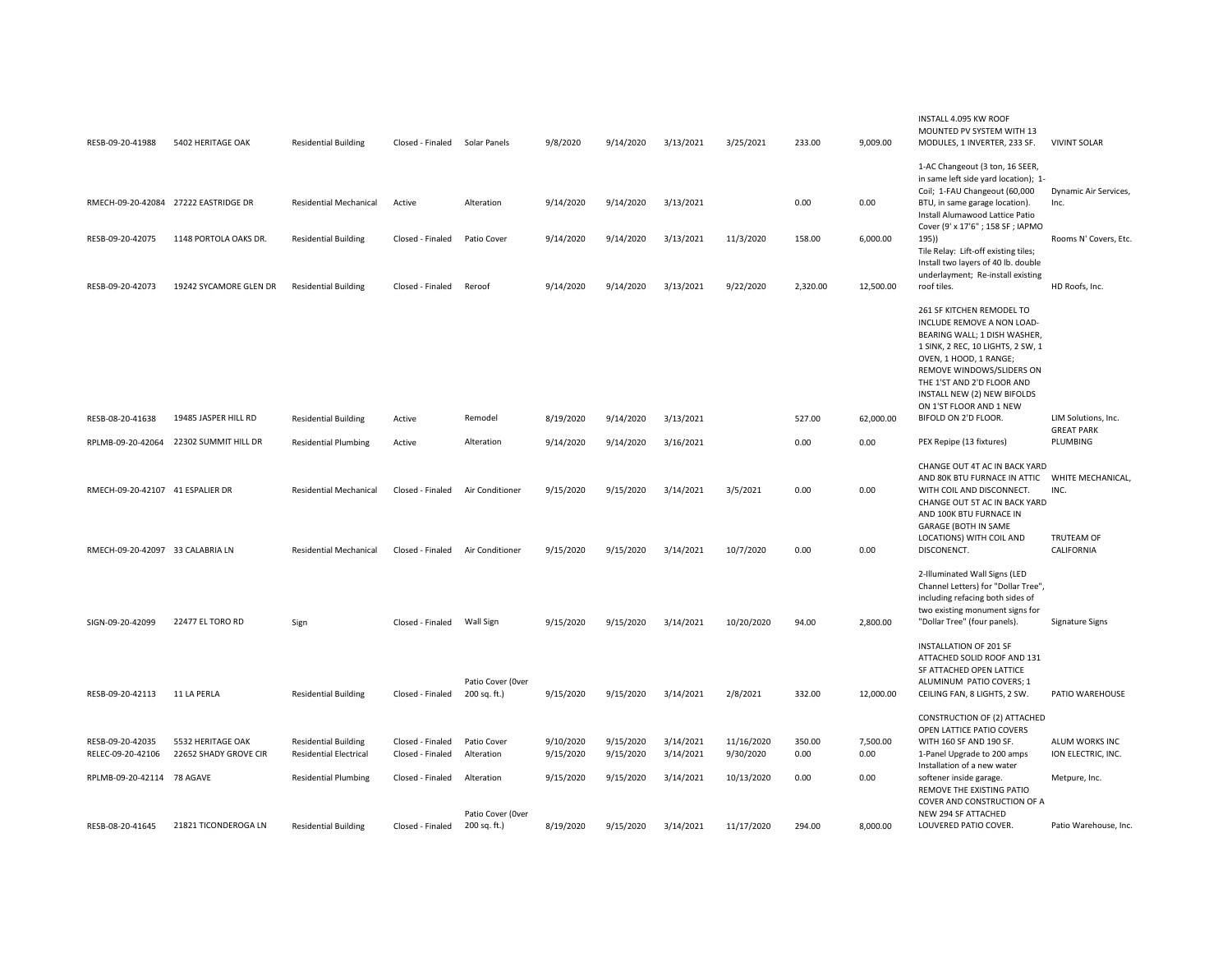| RESB-09-20-41988                      | 5402 HERITAGE OAK                          | <b>Residential Building</b>                                  | Closed - Finaled Solar Panels        |                                   | 9/8/2020               | 9/14/2020              | 3/13/2021              | 3/25/2021               | 233.00         | 9,009.00         | INSTALL 4.095 KW ROOF<br>MOUNTED PV SYSTEM WITH 13<br>MODULES, 1 INVERTER, 233 SF.                                                                                                                                                                                          | <b>VIVINT SOLAR</b>                      |
|---------------------------------------|--------------------------------------------|--------------------------------------------------------------|--------------------------------------|-----------------------------------|------------------------|------------------------|------------------------|-------------------------|----------------|------------------|-----------------------------------------------------------------------------------------------------------------------------------------------------------------------------------------------------------------------------------------------------------------------------|------------------------------------------|
|                                       |                                            |                                                              |                                      |                                   |                        |                        |                        |                         |                |                  | 1-AC Changeout (3 ton, 16 SEER,<br>in same left side yard location); 1-<br>Coil; 1-FAU Changeout (60,000                                                                                                                                                                    | Dynamic Air Services,                    |
| RMECH-09-20-42084 27222 EASTRIDGE DR  |                                            | <b>Residential Mechanical</b>                                | Active                               | Alteration                        | 9/14/2020              | 9/14/2020              | 3/13/2021              |                         | 0.00           | 0.00             | BTU, in same garage location).<br>Install Alumawood Lattice Patio<br>Cover (9' x 17'6"; 158 SF; IAPMO                                                                                                                                                                       | Inc.                                     |
| RESB-09-20-42075                      | 1148 PORTOLA OAKS DR.                      | <b>Residential Building</b>                                  | Closed - Finaled                     | Patio Cover                       | 9/14/2020              | 9/14/2020              | 3/13/2021              | 11/3/2020               | 158.00         | 6,000.00         | 195))<br>Tile Relay: Lift-off existing tiles;<br>Install two layers of 40 lb. double<br>underlayment; Re-install existing                                                                                                                                                   | Rooms N' Covers, Etc.                    |
| RESB-09-20-42073                      | 19242 SYCAMORE GLEN DR                     | <b>Residential Building</b>                                  | Closed - Finaled                     | Reroof                            | 9/14/2020              | 9/14/2020              | 3/13/2021              | 9/22/2020               | 2,320.00       | 12,500.00        | roof tiles.                                                                                                                                                                                                                                                                 | HD Roofs, Inc.                           |
|                                       |                                            |                                                              |                                      |                                   |                        |                        |                        |                         |                |                  | 261 SF KITCHEN REMODEL TO<br>INCLUDE REMOVE A NON LOAD-<br>BEARING WALL; 1 DISH WASHER,<br>1 SINK, 2 REC, 10 LIGHTS, 2 SW, 1<br>OVEN, 1 HOOD, 1 RANGE;<br>REMOVE WINDOWS/SLIDERS ON<br>THE 1'ST AND 2'D FLOOR AND<br>INSTALL NEW (2) NEW BIFOLDS<br>ON 1'ST FLOOR AND 1 NEW |                                          |
| RESB-08-20-41638                      | 19485 JASPER HILL RD                       | <b>Residential Building</b>                                  | Active                               | Remodel                           | 8/19/2020              | 9/14/2020              | 3/13/2021              |                         | 527.00         | 62,000.00        | BIFOLD ON 2'D FLOOR.                                                                                                                                                                                                                                                        | LIM Solutions, Inc.<br><b>GREAT PARK</b> |
| RPLMB-09-20-42064                     | 22302 SUMMIT HILL DR                       | <b>Residential Plumbing</b>                                  | Active                               | Alteration                        | 9/14/2020              | 9/14/2020              | 3/16/2021              |                         | 0.00           | 0.00             | PEX Repipe (13 fixtures)                                                                                                                                                                                                                                                    | PLUMBING                                 |
| RMECH-09-20-42107 41 ESPALIER DR      |                                            | <b>Residential Mechanical</b>                                | Closed - Finaled                     | Air Conditioner                   | 9/15/2020              | 9/15/2020              | 3/14/2021              | 3/5/2021                | 0.00           | 0.00             | CHANGE OUT 4T AC IN BACK YARD<br>AND 80K BTU FURNACE IN ATTIC<br>WITH COIL AND DISCONNECT.<br>CHANGE OUT 5T AC IN BACK YARD<br>AND 100K BTU FURNACE IN<br><b>GARAGE (BOTH IN SAME</b>                                                                                       | WHITE MECHANICAL,<br>INC.                |
| RMECH-09-20-42097 33 CALABRIA LN      |                                            | <b>Residential Mechanical</b>                                | Closed - Finaled                     | Air Conditioner                   | 9/15/2020              | 9/15/2020              | 3/14/2021              | 10/7/2020               | 0.00           | 0.00             | LOCATIONS) WITH COIL AND<br>DISCONENCT.                                                                                                                                                                                                                                     | <b>TRUTEAM OF</b><br>CALIFORNIA          |
| SIGN-09-20-42099                      | 22477 EL TORO RD                           | Sign                                                         | Closed - Finaled                     | Wall Sign                         | 9/15/2020              | 9/15/2020              | 3/14/2021              | 10/20/2020              | 94.00          | 2,800.00         | 2-Illuminated Wall Signs (LED<br>Channel Letters) for "Dollar Tree",<br>including refacing both sides of<br>two existing monument signs for<br>"Dollar Tree" (four panels).                                                                                                 | Signature Signs                          |
|                                       |                                            |                                                              |                                      | Patio Cover (Over                 |                        |                        |                        |                         |                |                  | <b>INSTALLATION OF 201 SF</b><br>ATTACHED SOLID ROOF AND 131<br>SF ATTACHED OPEN LATTICE<br>ALUMINUM PATIO COVERS; 1                                                                                                                                                        |                                          |
| RESB-09-20-42113                      | 11 LA PERLA                                | <b>Residential Building</b>                                  | Closed - Finaled                     | 200 sq. ft.)                      | 9/15/2020              | 9/15/2020              | 3/14/2021              | 2/8/2021                | 332.00         | 12,000.00        | CEILING FAN, 8 LIGHTS, 2 SW.                                                                                                                                                                                                                                                | PATIO WAREHOUSE                          |
|                                       |                                            |                                                              |                                      |                                   |                        |                        |                        |                         |                |                  | CONSTRUCTION OF (2) ATTACHED<br>OPEN LATTICE PATIO COVERS                                                                                                                                                                                                                   |                                          |
| RESB-09-20-42035<br>RELEC-09-20-42106 | 5532 HERITAGE OAK<br>22652 SHADY GROVE CIR | <b>Residential Building</b><br><b>Residential Electrical</b> | Closed - Finaled<br>Closed - Finaled | Patio Cover<br>Alteration         | 9/10/2020<br>9/15/2020 | 9/15/2020<br>9/15/2020 | 3/14/2021<br>3/14/2021 | 11/16/2020<br>9/30/2020 | 350.00<br>0.00 | 7,500.00<br>0.00 | WITH 160 SF AND 190 SF.<br>1-Panel Upgrade to 200 amps                                                                                                                                                                                                                      | ALUM WORKS INC<br>ION ELECTRIC, INC.     |
| RPLMB-09-20-42114 78 AGAVE            |                                            | <b>Residential Plumbing</b>                                  | Closed - Finaled                     | Alteration                        | 9/15/2020              | 9/15/2020              | 3/14/2021              | 10/13/2020              | 0.00           | 0.00             | Installation of a new water<br>softener inside garage.<br>REMOVE THE EXISTING PATIO<br>COVER AND CONSTRUCTION OF A                                                                                                                                                          | Metpure, Inc.                            |
| RESB-08-20-41645                      | 21821 TICONDEROGA LN                       | <b>Residential Building</b>                                  | Closed - Finaled                     | Patio Cover (Over<br>200 sq. ft.) | 8/19/2020              | 9/15/2020              | 3/14/2021              | 11/17/2020              | 294.00         | 8.000.00         | NEW 294 SF ATTACHED<br>LOUVERED PATIO COVER.                                                                                                                                                                                                                                | Patio Warehouse, Inc.                    |
|                                       |                                            |                                                              |                                      |                                   |                        |                        |                        |                         |                |                  |                                                                                                                                                                                                                                                                             |                                          |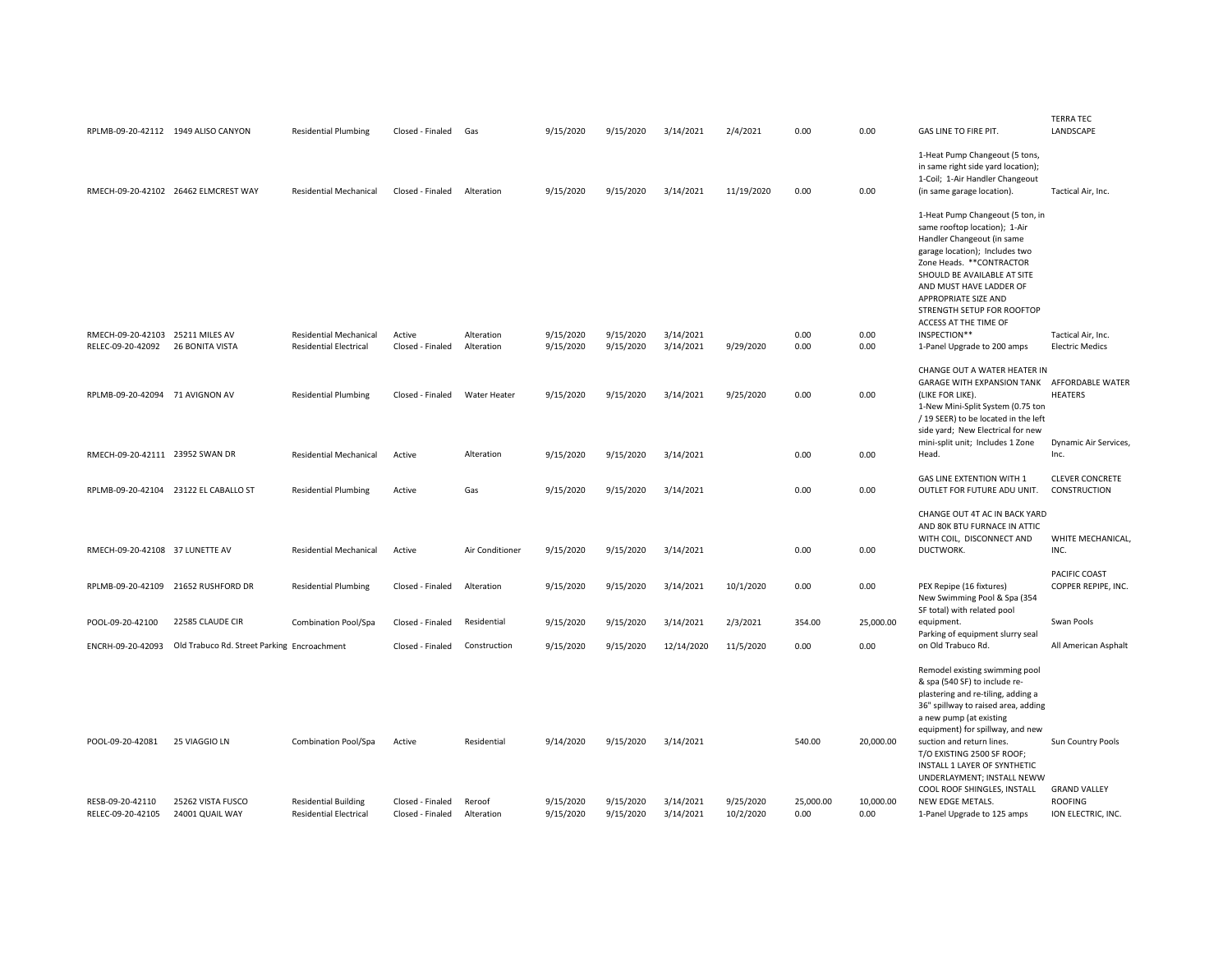|                                  |                                             |                               |                  |                          |                        |           |            |            |           |           |                                                                                                                                                                                                                                                                                                                                      | <b>TERRA TEC</b>                             |
|----------------------------------|---------------------------------------------|-------------------------------|------------------|--------------------------|------------------------|-----------|------------|------------|-----------|-----------|--------------------------------------------------------------------------------------------------------------------------------------------------------------------------------------------------------------------------------------------------------------------------------------------------------------------------------------|----------------------------------------------|
|                                  | RPLMB-09-20-42112 1949 ALISO CANYON         | <b>Residential Plumbing</b>   | Closed - Finaled | Gas                      | 9/15/2020              | 9/15/2020 | 3/14/2021  | 2/4/2021   | 0.00      | 0.00      | GAS LINE TO FIRE PIT.                                                                                                                                                                                                                                                                                                                | LANDSCAPE                                    |
|                                  | RMECH-09-20-42102 26462 ELMCREST WAY        | <b>Residential Mechanical</b> | Closed - Finaled | Alteration               | 9/15/2020              | 9/15/2020 | 3/14/2021  | 11/19/2020 | 0.00      | 0.00      | 1-Heat Pump Changeout (5 tons,<br>in same right side yard location);<br>1-Coil; 1-Air Handler Changeout<br>(in same garage location).                                                                                                                                                                                                | Tactical Air, Inc.                           |
| RMECH-09-20-42103 25211 MILES AV |                                             | <b>Residential Mechanical</b> | Active           |                          |                        | 9/15/2020 | 3/14/2021  |            | 0.00      | 0.00      | 1-Heat Pump Changeout (5 ton, in<br>same rooftop location); 1-Air<br>Handler Changeout (in same<br>garage location); Includes two<br>Zone Heads. ** CONTRACTOR<br>SHOULD BE AVAILABLE AT SITE<br>AND MUST HAVE LADDER OF<br>APPROPRIATE SIZE AND<br>STRENGTH SETUP FOR ROOFTOP<br>ACCESS AT THE TIME OF<br>INSPECTION**              |                                              |
| RELEC-09-20-42092                | 26 BONITA VISTA                             | <b>Residential Electrical</b> | Closed - Finaled | Alteration<br>Alteration | 9/15/2020<br>9/15/2020 | 9/15/2020 | 3/14/2021  | 9/29/2020  | 0.00      | 0.00      | 1-Panel Upgrade to 200 amps                                                                                                                                                                                                                                                                                                          | Tactical Air, Inc.<br><b>Electric Medics</b> |
|                                  |                                             |                               |                  |                          |                        |           |            |            |           |           | CHANGE OUT A WATER HEATER IN<br><b>GARAGE WITH EXPANSION TANK</b>                                                                                                                                                                                                                                                                    | AFFORDABLE WATER                             |
| RPLMB-09-20-42094 71 AVIGNON AV  |                                             | <b>Residential Plumbing</b>   | Closed - Finaled | Water Heater             | 9/15/2020              | 9/15/2020 | 3/14/2021  | 9/25/2020  | 0.00      | 0.00      | (LIKE FOR LIKE).<br>1-New Mini-Split System (0.75 ton<br>/ 19 SEER) to be located in the left<br>side yard; New Electrical for new                                                                                                                                                                                                   | <b>HEATERS</b>                               |
| RMECH-09-20-42111 23952 SWAN DR  |                                             | <b>Residential Mechanical</b> | Active           | Alteration               | 9/15/2020              | 9/15/2020 | 3/14/2021  |            | 0.00      | 0.00      | mini-split unit; Includes 1 Zone<br>Head.                                                                                                                                                                                                                                                                                            | Dynamic Air Services,<br>Inc.                |
|                                  |                                             |                               |                  |                          |                        |           |            |            |           |           |                                                                                                                                                                                                                                                                                                                                      |                                              |
|                                  | RPLMB-09-20-42104 23122 EL CABALLO ST       | <b>Residential Plumbing</b>   | Active           | Gas                      | 9/15/2020              | 9/15/2020 | 3/14/2021  |            | 0.00      | 0.00      | <b>GAS LINE EXTENTION WITH 1</b><br>OUTLET FOR FUTURE ADU UNIT.                                                                                                                                                                                                                                                                      | <b>CLEVER CONCRETE</b><br>CONSTRUCTION       |
|                                  |                                             |                               |                  |                          |                        |           |            |            |           |           | CHANGE OUT 4T AC IN BACK YARD<br>AND 80K BTU FURNACE IN ATTIC<br>WITH COIL, DISCONNECT AND                                                                                                                                                                                                                                           | WHITE MECHANICAL,                            |
| RMECH-09-20-42108 37 LUNETTE AV  |                                             | <b>Residential Mechanical</b> | Active           | Air Conditioner          | 9/15/2020              | 9/15/2020 | 3/14/2021  |            | 0.00      | 0.00      | DUCTWORK.                                                                                                                                                                                                                                                                                                                            | INC.                                         |
|                                  | RPLMB-09-20-42109 21652 RUSHFORD DR         | <b>Residential Plumbing</b>   | Closed - Finaled | Alteration               | 9/15/2020              | 9/15/2020 | 3/14/2021  | 10/1/2020  | 0.00      | 0.00      | PEX Repipe (16 fixtures)<br>New Swimming Pool & Spa (354                                                                                                                                                                                                                                                                             | PACIFIC COAST<br>COPPER REPIPE, INC.         |
| POOL-09-20-42100                 | 22585 CLAUDE CIR                            | Combination Pool/Spa          | Closed - Finaled | Residential              | 9/15/2020              | 9/15/2020 | 3/14/2021  | 2/3/2021   | 354.00    | 25,000.00 | SF total) with related pool<br>equipment.                                                                                                                                                                                                                                                                                            | Swan Pools                                   |
|                                  |                                             |                               |                  |                          |                        |           |            |            |           |           | Parking of equipment slurry seal                                                                                                                                                                                                                                                                                                     |                                              |
| ENCRH-09-20-42093                | Old Trabuco Rd. Street Parking Encroachment |                               | Closed - Finaled | Construction             | 9/15/2020              | 9/15/2020 | 12/14/2020 | 11/5/2020  | 0.00      | 0.00      | on Old Trabuco Rd.                                                                                                                                                                                                                                                                                                                   | All American Asphalt                         |
| POOL-09-20-42081                 | 25 VIAGGIO LN                               | Combination Pool/Spa          | Active           | Residential              | 9/14/2020              | 9/15/2020 | 3/14/2021  |            | 540.00    | 20,000.00 | Remodel existing swimming pool<br>& spa (540 SF) to include re-<br>plastering and re-tiling, adding a<br>36" spillway to raised area, adding<br>a new pump (at existing<br>equipment) for spillway, and new<br>suction and return lines.<br>T/O EXISTING 2500 SF ROOF;<br>INSTALL 1 LAYER OF SYNTHETIC<br>UNDERLAYMENT; INSTALL NEWW | Sun Country Pools                            |
| RESB-09-20-42110                 | 25262 VISTA FUSCO                           | <b>Residential Building</b>   | Closed - Finaled | Reroof                   | 9/15/2020              | 9/15/2020 | 3/14/2021  | 9/25/2020  | 25,000.00 | 10,000.00 | COOL ROOF SHINGLES, INSTALL<br>NEW EDGE METALS.                                                                                                                                                                                                                                                                                      | <b>GRAND VALLEY</b><br><b>ROOFING</b>        |
| RELEC-09-20-42105                | 24001 QUAIL WAY                             | <b>Residential Electrical</b> | Closed - Finaled | Alteration               | 9/15/2020              | 9/15/2020 | 3/14/2021  | 10/2/2020  | 0.00      | 0.00      | 1-Panel Upgrade to 125 amps                                                                                                                                                                                                                                                                                                          | ION ELECTRIC. INC.                           |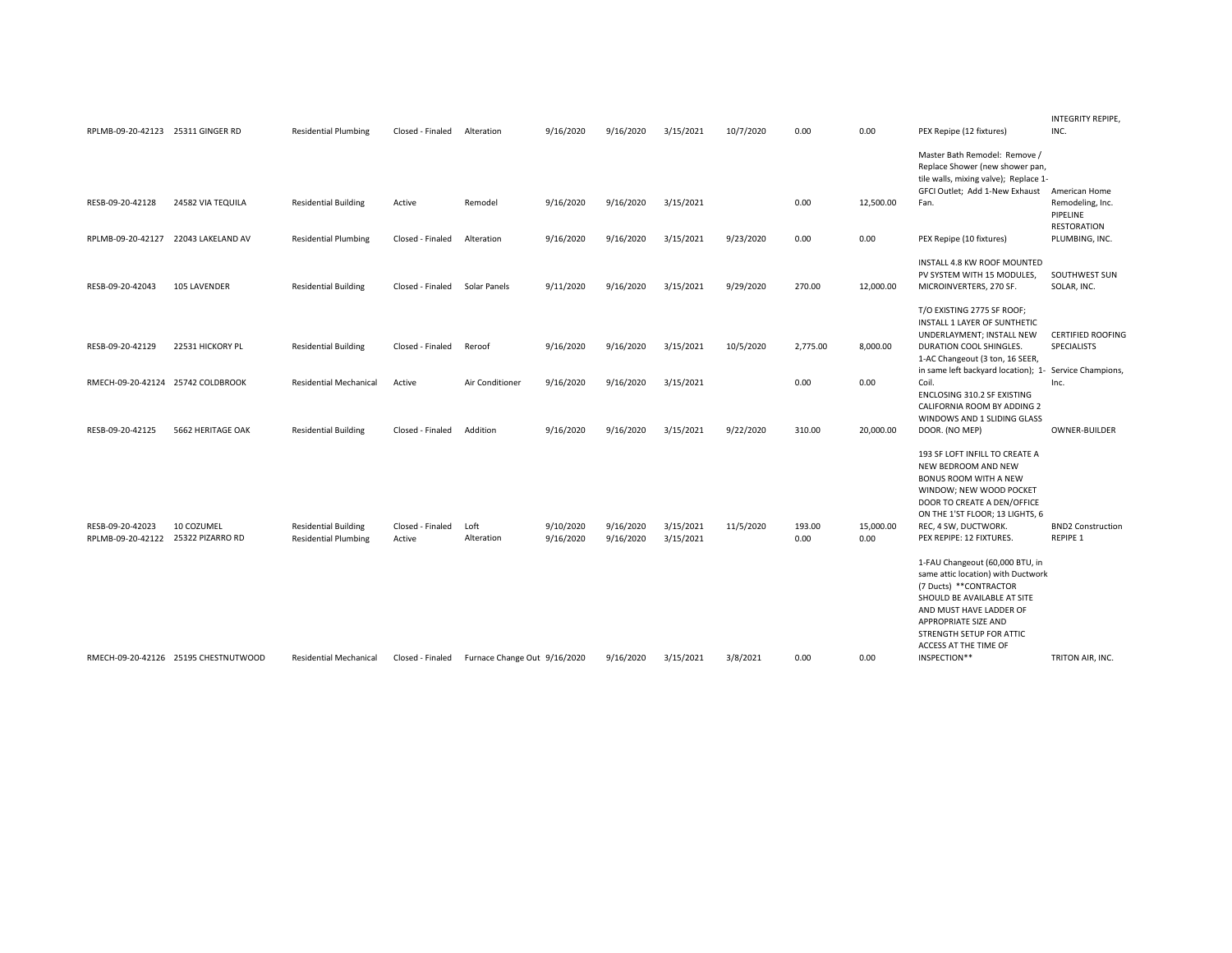| RPLMB-09-20-42123 25311 GINGER RD     |                                      | <b>Residential Plumbing</b>                                | Closed - Finaled           | Alteration                   | 9/16/2020              | 9/16/2020              | 3/15/2021              | 10/7/2020 | 0.00           | 0.00              | PEX Repipe (12 fixtures)                                                                                                                                                                                                                                | INTEGRITY REPIPE,<br>INC.                                            |
|---------------------------------------|--------------------------------------|------------------------------------------------------------|----------------------------|------------------------------|------------------------|------------------------|------------------------|-----------|----------------|-------------------|---------------------------------------------------------------------------------------------------------------------------------------------------------------------------------------------------------------------------------------------------------|----------------------------------------------------------------------|
| RESB-09-20-42128                      | 24582 VIA TEQUILA                    | <b>Residential Building</b>                                | Active                     | Remodel                      | 9/16/2020              | 9/16/2020              | 3/15/2021              |           | 0.00           | 12,500.00         | Master Bath Remodel: Remove /<br>Replace Shower (new shower pan,<br>tile walls, mixing valve); Replace 1-<br>GFCI Outlet; Add 1-New Exhaust<br>Fan.                                                                                                     | American Home<br>Remodeling, Inc.<br>PIPELINE                        |
| RPLMB-09-20-42127                     | 22043 LAKELAND AV                    | <b>Residential Plumbing</b>                                | Closed - Finaled           | Alteration                   | 9/16/2020              | 9/16/2020              | 3/15/2021              | 9/23/2020 | 0.00           | 0.00              | PEX Repipe (10 fixtures)                                                                                                                                                                                                                                | <b>RESTORATION</b><br>PLUMBING, INC.                                 |
| RESB-09-20-42043                      | 105 LAVENDER                         | <b>Residential Building</b>                                | Closed - Finaled           | Solar Panels                 | 9/11/2020              | 9/16/2020              | 3/15/2021              | 9/29/2020 | 270.00         | 12,000.00         | INSTALL 4.8 KW ROOF MOUNTED<br>PV SYSTEM WITH 15 MODULES,<br>MICROINVERTERS, 270 SF.                                                                                                                                                                    | SOUTHWEST SUN<br>SOLAR, INC.                                         |
| RESB-09-20-42129                      | 22531 HICKORY PL                     | <b>Residential Building</b>                                | Closed - Finaled           | Reroof                       | 9/16/2020              | 9/16/2020              | 3/15/2021              | 10/5/2020 | 2,775.00       | 8,000.00          | T/O EXISTING 2775 SF ROOF;<br>INSTALL 1 LAYER OF SUNTHETIC<br>UNDERLAYMENT; INSTALL NEW<br>DURATION COOL SHINGLES.<br>1-AC Changeout (3 ton, 16 SEER,<br>in same left backyard location); 1-                                                            | <b>CERTIFIED ROOFING</b><br><b>SPECIALISTS</b><br>Service Champions, |
| RMECH-09-20-42124 25742 COLDBROOK     |                                      | <b>Residential Mechanical</b>                              | Active                     | Air Conditioner              | 9/16/2020              | 9/16/2020              | 3/15/2021              |           | 0.00           | 0.00              | Coil.<br>ENCLOSING 310.2 SF EXISTING<br>CALIFORNIA ROOM BY ADDING 2<br>WINDOWS AND 1 SLIDING GLASS                                                                                                                                                      | Inc.                                                                 |
| RESB-09-20-42125                      | 5662 HERITAGE OAK                    | <b>Residential Building</b>                                | Closed - Finaled           | Addition                     | 9/16/2020              | 9/16/2020              | 3/15/2021              | 9/22/2020 | 310.00         | 20,000.00         | DOOR. (NO MEP)<br>193 SF LOFT INFILL TO CREATE A<br>NEW BEDROOM AND NEW<br><b>BONUS ROOM WITH A NEW</b><br>WINDOW; NEW WOOD POCKET<br>DOOR TO CREATE A DEN/OFFICE<br>ON THE 1'ST FLOOR; 13 LIGHTS, 6                                                    | OWNER-BUILDER                                                        |
| RESB-09-20-42023<br>RPLMB-09-20-42122 | 10 COZUMEL<br>25322 PIZARRO RD       | <b>Residential Building</b><br><b>Residential Plumbing</b> | Closed - Finaled<br>Active | Loft<br>Alteration           | 9/10/2020<br>9/16/2020 | 9/16/2020<br>9/16/2020 | 3/15/2021<br>3/15/2021 | 11/5/2020 | 193.00<br>0.00 | 15,000.00<br>0.00 | REC, 4 SW, DUCTWORK.<br>PEX REPIPE: 12 FIXTURES.                                                                                                                                                                                                        | <b>BND2 Construction</b><br><b>REPIPE 1</b>                          |
|                                       | RMECH-09-20-42126 25195 CHESTNUTWOOD | <b>Residential Mechanical</b>                              | Closed - Finaled           | Furnace Change Out 9/16/2020 |                        | 9/16/2020              | 3/15/2021              | 3/8/2021  | 0.00           | 0.00              | 1-FAU Changeout (60,000 BTU, in<br>same attic location) with Ductwork<br>(7 Ducts) ** CONTRACTOR<br>SHOULD BE AVAILABLE AT SITE<br>AND MUST HAVE LADDER OF<br>APPROPRIATE SIZE AND<br>STRENGTH SETUP FOR ATTIC<br>ACCESS AT THE TIME OF<br>INSPECTION** | TRITON AIR, INC.                                                     |
|                                       |                                      |                                                            |                            |                              |                        |                        |                        |           |                |                   |                                                                                                                                                                                                                                                         |                                                                      |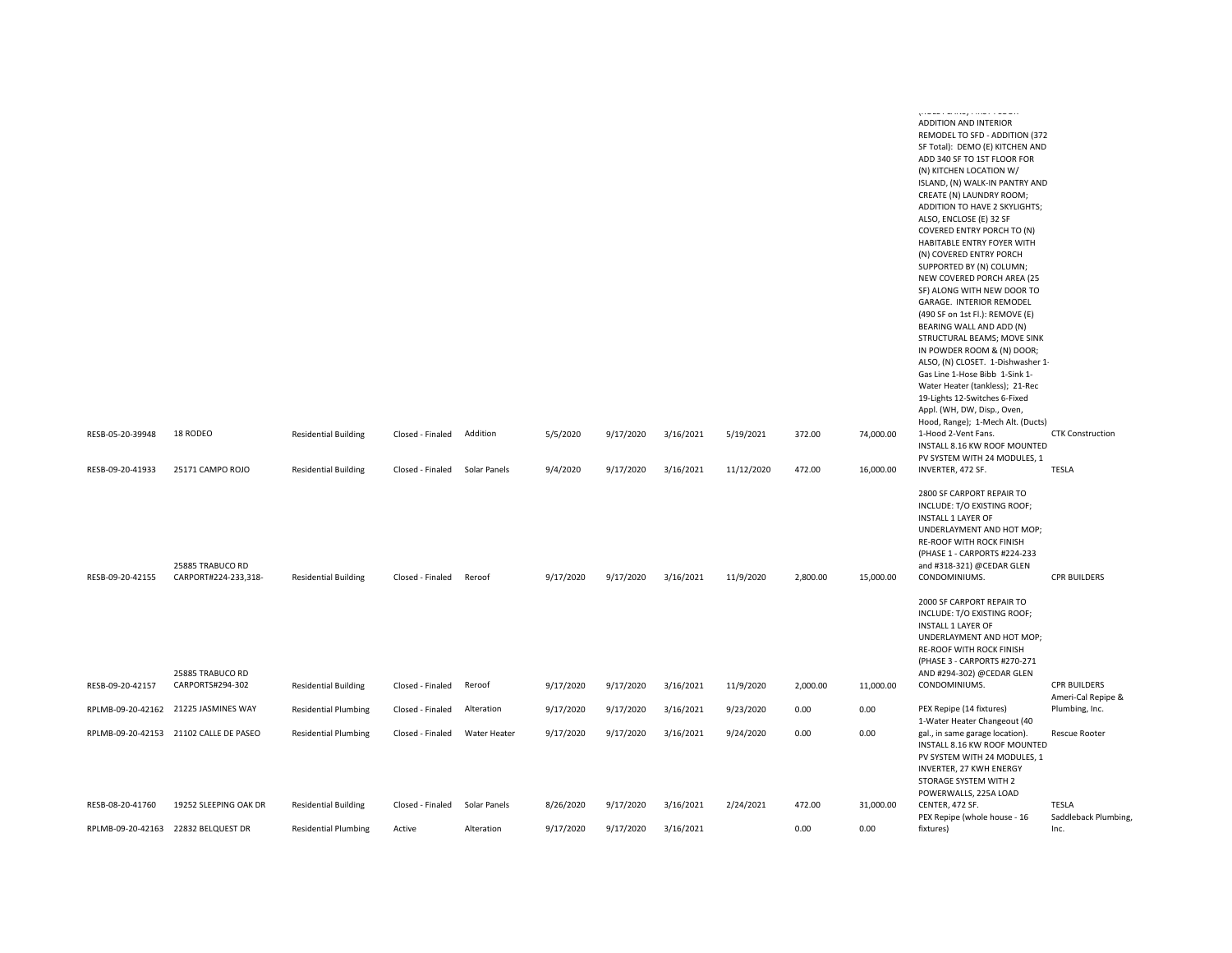| RESB-05-20-39948 | 18 RODEO                                 | <b>Residential Building</b> | Closed - Finaled | Addition     | 5/5/2020  | 9/17/2020 | 3/16/2021 | 5/19/2021  | 372.00   | 74,000.00 | ADDITION AND INTERIOR<br>REMODEL TO SFD - ADDITION (372<br>SF Total): DEMO (E) KITCHEN AND<br>ADD 340 SF TO 1ST FLOOR FOR<br>(N) KITCHEN LOCATION W/<br>ISLAND, (N) WALK-IN PANTRY AND<br>CREATE (N) LAUNDRY ROOM;<br>ADDITION TO HAVE 2 SKYLIGHTS;<br>ALSO, ENCLOSE (E) 32 SF<br>COVERED ENTRY PORCH TO (N)<br>HABITABLE ENTRY FOYER WITH<br>(N) COVERED ENTRY PORCH<br>SUPPORTED BY (N) COLUMN;<br>NEW COVERED PORCH AREA (25<br>SF) ALONG WITH NEW DOOR TO<br>GARAGE. INTERIOR REMODEL<br>(490 SF on 1st Fl.): REMOVE (E)<br>BEARING WALL AND ADD (N)<br>STRUCTURAL BEAMS; MOVE SINK<br>IN POWDER ROOM & (N) DOOR;<br>ALSO, (N) CLOSET. 1-Dishwasher 1-<br>Gas Line 1-Hose Bibb 1-Sink 1-<br>Water Heater (tankless); 21-Rec<br>19-Lights 12-Switches 6-Fixed<br>Appl. (WH, DW, Disp., Oven,<br>Hood, Range); 1-Mech Alt. (Ducts)<br>1-Hood 2-Vent Fans. | <b>CTK Construction</b>                   |
|------------------|------------------------------------------|-----------------------------|------------------|--------------|-----------|-----------|-----------|------------|----------|-----------|-------------------------------------------------------------------------------------------------------------------------------------------------------------------------------------------------------------------------------------------------------------------------------------------------------------------------------------------------------------------------------------------------------------------------------------------------------------------------------------------------------------------------------------------------------------------------------------------------------------------------------------------------------------------------------------------------------------------------------------------------------------------------------------------------------------------------------------------------------------|-------------------------------------------|
|                  |                                          |                             |                  |              |           |           |           |            |          |           | INSTALL 8.16 KW ROOF MOUNTED<br>PV SYSTEM WITH 24 MODULES, 1                                                                                                                                                                                                                                                                                                                                                                                                                                                                                                                                                                                                                                                                                                                                                                                                |                                           |
| RESB-09-20-41933 | 25171 CAMPO ROJO                         | <b>Residential Building</b> | Closed - Finaled | Solar Panels | 9/4/2020  | 9/17/2020 | 3/16/2021 | 11/12/2020 | 472.00   | 16,000.00 | INVERTER, 472 SF.                                                                                                                                                                                                                                                                                                                                                                                                                                                                                                                                                                                                                                                                                                                                                                                                                                           | <b>TESLA</b>                              |
| RESB-09-20-42155 | 25885 TRABUCO RD<br>CARPORT#224-233,318- | <b>Residential Building</b> | Closed - Finaled | Reroof       | 9/17/2020 | 9/17/2020 | 3/16/2021 | 11/9/2020  | 2,800.00 | 15,000.00 | 2800 SF CARPORT REPAIR TO<br>INCLUDE: T/O EXISTING ROOF;<br><b>INSTALL 1 LAYER OF</b><br>UNDERLAYMENT AND HOT MOP;<br><b>RE-ROOF WITH ROCK FINISH</b><br>(PHASE 1 - CARPORTS #224-233<br>and #318-321) @CEDAR GLEN<br>CONDOMINIUMS.                                                                                                                                                                                                                                                                                                                                                                                                                                                                                                                                                                                                                         | <b>CPR BUILDERS</b>                       |
|                  | 25885 TRABUCO RD                         |                             |                  |              |           |           |           |            |          |           | 2000 SF CARPORT REPAIR TO<br>INCLUDE: T/O EXISTING ROOF;<br><b>INSTALL 1 LAYER OF</b><br>UNDERLAYMENT AND HOT MOP;<br>RE-ROOF WITH ROCK FINISH<br>(PHASE 3 - CARPORTS #270-271<br>AND #294-302) @CEDAR GLEN                                                                                                                                                                                                                                                                                                                                                                                                                                                                                                                                                                                                                                                 |                                           |
| RESB-09-20-42157 | CARPORTS#294-302                         | <b>Residential Building</b> | Closed - Finaled | Reroof       | 9/17/2020 | 9/17/2020 | 3/16/2021 | 11/9/2020  | 2,000.00 | 11,000.00 | CONDOMINIUMS.                                                                                                                                                                                                                                                                                                                                                                                                                                                                                                                                                                                                                                                                                                                                                                                                                                               | <b>CPR BUILDERS</b><br>Ameri-Cal Repipe & |
|                  | RPLMB-09-20-42162 21225 JASMINES WAY     | <b>Residential Plumbing</b> | Closed - Finaled | Alteration   | 9/17/2020 | 9/17/2020 | 3/16/2021 | 9/23/2020  | 0.00     | 0.00      | PEX Repipe (14 fixtures)<br>1-Water Heater Changeout (40                                                                                                                                                                                                                                                                                                                                                                                                                                                                                                                                                                                                                                                                                                                                                                                                    | Plumbing, Inc.                            |
|                  | RPLMB-09-20-42153 21102 CALLE DE PASEO   | <b>Residential Plumbing</b> | Closed - Finaled | Water Heater | 9/17/2020 | 9/17/2020 | 3/16/2021 | 9/24/2020  | 0.00     | 0.00      | gal., in same garage location).<br>INSTALL 8.16 KW ROOF MOUNTED<br>PV SYSTEM WITH 24 MODULES. 1<br>INVERTER, 27 KWH ENERGY<br>STORAGE SYSTEM WITH 2<br>POWERWALLS, 225A LOAD                                                                                                                                                                                                                                                                                                                                                                                                                                                                                                                                                                                                                                                                                | <b>Rescue Rooter</b>                      |
| RESB-08-20-41760 | 19252 SLEEPING OAK DR                    | <b>Residential Building</b> | Closed - Finaled | Solar Panels | 8/26/2020 | 9/17/2020 | 3/16/2021 | 2/24/2021  | 472.00   | 31,000.00 | CENTER, 472 SF.<br>PEX Repipe (whole house - 16                                                                                                                                                                                                                                                                                                                                                                                                                                                                                                                                                                                                                                                                                                                                                                                                             | <b>TESLA</b><br>Saddleback Plumbing,      |
|                  | RPLMB-09-20-42163 22832 BELQUEST DR      | <b>Residential Plumbing</b> | Active           | Alteration   | 9/17/2020 | 9/17/2020 | 3/16/2021 |            | 0.00     | 0.00      | fixtures)                                                                                                                                                                                                                                                                                                                                                                                                                                                                                                                                                                                                                                                                                                                                                                                                                                                   | Inc.                                      |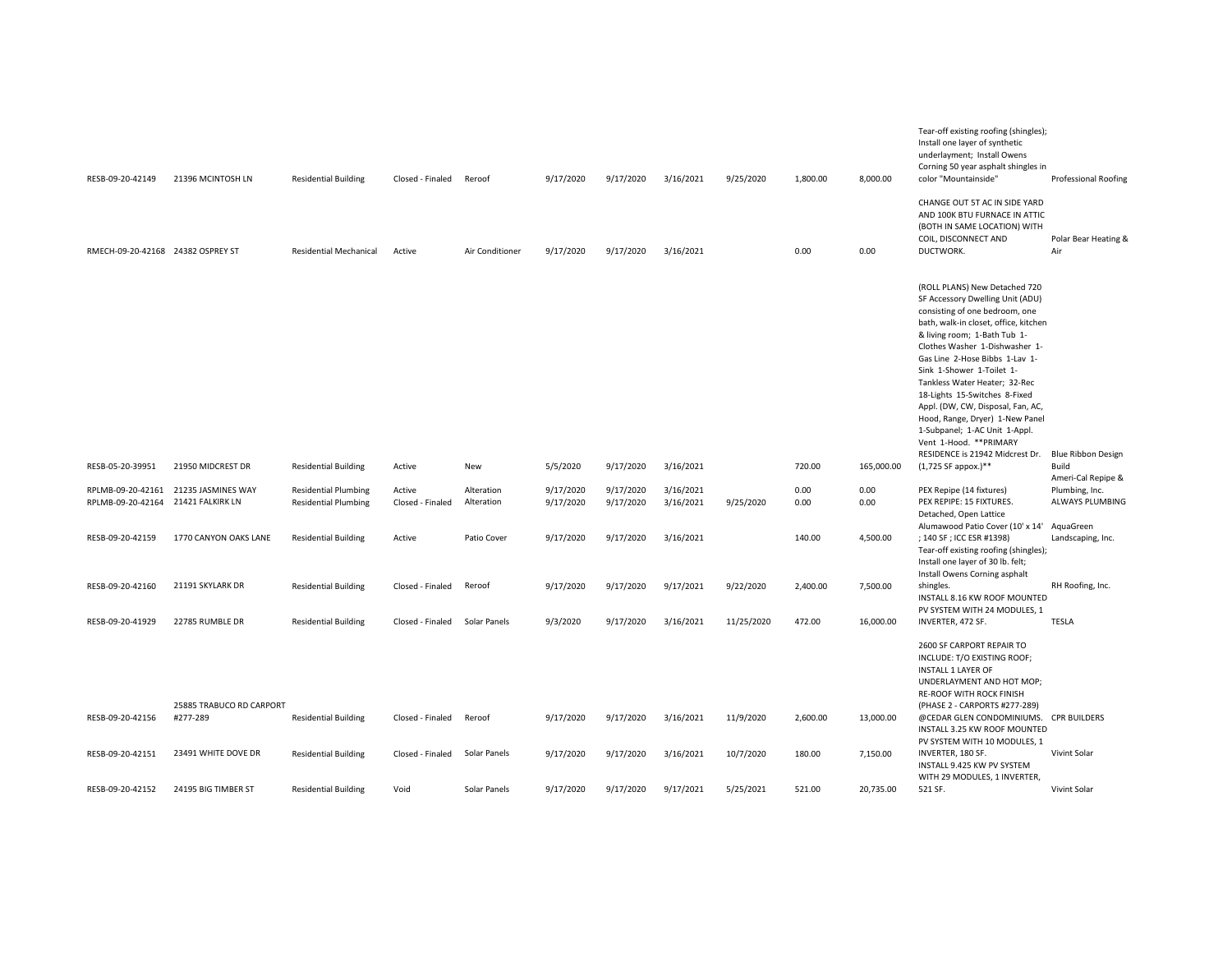| RESB-09-20-42149                       | 21396 MCINTOSH LN                      | <b>Residential Building</b>                                | Closed - Finaled           | Reroof                   | 9/17/2020              | 9/17/2020              | 3/16/2021              | 9/25/2020  | 1,800.00     | 8,000.00     | Tear-off existing roofing (shingles);<br>Install one layer of synthetic<br>underlayment; Install Owens<br>Corning 50 year asphalt shingles in<br>color "Mountainside"                                                                                                                                                                                                                                                                                                               | <b>Professional Roofing</b>                             |
|----------------------------------------|----------------------------------------|------------------------------------------------------------|----------------------------|--------------------------|------------------------|------------------------|------------------------|------------|--------------|--------------|-------------------------------------------------------------------------------------------------------------------------------------------------------------------------------------------------------------------------------------------------------------------------------------------------------------------------------------------------------------------------------------------------------------------------------------------------------------------------------------|---------------------------------------------------------|
| RMECH-09-20-42168 24382 OSPREY ST      |                                        | <b>Residential Mechanical</b>                              | Active                     | Air Conditioner          | 9/17/2020              | 9/17/2020              | 3/16/2021              |            | 0.00         | 0.00         | CHANGE OUT 5T AC IN SIDE YARD<br>AND 100K BTU FURNACE IN ATTIC<br>(BOTH IN SAME LOCATION) WITH<br>COIL, DISCONNECT AND<br>DUCTWORK.                                                                                                                                                                                                                                                                                                                                                 | Polar Bear Heating &<br>Air                             |
|                                        |                                        |                                                            |                            |                          |                        |                        |                        |            |              |              | (ROLL PLANS) New Detached 720<br>SF Accessory Dwelling Unit (ADU)<br>consisting of one bedroom, one<br>bath, walk-in closet, office, kitchen<br>& living room; 1-Bath Tub 1-<br>Clothes Washer 1-Dishwasher 1-<br>Gas Line 2-Hose Bibbs 1-Lav 1-<br>Sink 1-Shower 1-Toilet 1-<br>Tankless Water Heater; 32-Rec<br>18-Lights 15-Switches 8-Fixed<br>Appl. (DW, CW, Disposal, Fan, AC,<br>Hood, Range, Dryer) 1-New Panel<br>1-Subpanel; 1-AC Unit 1-Appl.<br>Vent 1-Hood. ** PRIMARY |                                                         |
| RESB-05-20-39951                       | 21950 MIDCREST DR                      | <b>Residential Building</b>                                | Active                     | New                      | 5/5/2020               | 9/17/2020              | 3/16/2021              |            | 720.00       | 165,000.00   | RESIDENCE is 21942 Midcrest Dr.<br>(1,725 SF appox.)**                                                                                                                                                                                                                                                                                                                                                                                                                              | Blue Ribbon Design<br>Build                             |
| RPLMB-09-20-42161<br>RPLMB-09-20-42164 | 21235 JASMINES WAY<br>21421 FALKIRK LN | <b>Residential Plumbing</b><br><b>Residential Plumbing</b> | Active<br>Closed - Finaled | Alteration<br>Alteration | 9/17/2020<br>9/17/2020 | 9/17/2020<br>9/17/2020 | 3/16/2021<br>3/16/2021 | 9/25/2020  | 0.00<br>0.00 | 0.00<br>0.00 | PEX Repipe (14 fixtures)<br>PEX REPIPE: 15 FIXTURES.<br>Detached, Open Lattice                                                                                                                                                                                                                                                                                                                                                                                                      | Ameri-Cal Repipe &<br>Plumbing, Inc.<br>ALWAYS PLUMBING |
| RESB-09-20-42159                       | 1770 CANYON OAKS LANE                  | <b>Residential Building</b>                                | Active                     | Patio Cover              | 9/17/2020              | 9/17/2020              | 3/16/2021              |            | 140.00       | 4,500.00     | Alumawood Patio Cover (10' x 14' AquaGreen<br>; 140 SF ; ICC ESR #1398)<br>Tear-off existing roofing (shingles);<br>Install one layer of 30 lb. felt;<br>Install Owens Corning asphalt                                                                                                                                                                                                                                                                                              | Landscaping, Inc.                                       |
| RESB-09-20-42160                       | 21191 SKYLARK DR                       | <b>Residential Building</b>                                | Closed - Finaled           | Reroof                   | 9/17/2020              | 9/17/2020              | 9/17/2021              | 9/22/2020  | 2,400.00     | 7,500.00     | shingles.<br>INSTALL 8.16 KW ROOF MOUNTED<br>PV SYSTEM WITH 24 MODULES, 1                                                                                                                                                                                                                                                                                                                                                                                                           | RH Roofing, Inc.                                        |
| RESB-09-20-41929                       | 22785 RUMBLE DR                        | <b>Residential Building</b>                                | Closed - Finaled           | Solar Panels             | 9/3/2020               | 9/17/2020              | 3/16/2021              | 11/25/2020 | 472.00       | 16,000.00    | INVERTER, 472 SF.                                                                                                                                                                                                                                                                                                                                                                                                                                                                   | TESLA                                                   |
|                                        |                                        |                                                            |                            |                          |                        |                        |                        |            |              |              | 2600 SF CARPORT REPAIR TO<br>INCLUDE: T/O EXISTING ROOF;<br><b>INSTALL 1 LAYER OF</b><br>UNDERLAYMENT AND HOT MOP;<br>RE-ROOF WITH ROCK FINISH                                                                                                                                                                                                                                                                                                                                      |                                                         |
| RESB-09-20-42156                       | 25885 TRABUCO RD CARPORT<br>#277-289   | <b>Residential Building</b>                                | Closed - Finaled           | Reroof                   | 9/17/2020              | 9/17/2020              | 3/16/2021              | 11/9/2020  | 2,600.00     | 13,000.00    | (PHASE 2 - CARPORTS #277-289)<br>@CEDAR GLEN CONDOMINIUMS. CPR BUILDERS<br>INSTALL 3.25 KW ROOF MOUNTED                                                                                                                                                                                                                                                                                                                                                                             |                                                         |
| RESB-09-20-42151                       | 23491 WHITE DOVE DR                    | <b>Residential Building</b>                                | Closed - Finaled           | Solar Panels             | 9/17/2020              | 9/17/2020              | 3/16/2021              | 10/7/2020  | 180.00       | 7,150.00     | PV SYSTEM WITH 10 MODULES, 1<br>INVERTER, 180 SF.<br>INSTALL 9.425 KW PV SYSTEM                                                                                                                                                                                                                                                                                                                                                                                                     | Vivint Solar                                            |
| RESB-09-20-42152                       | 24195 BIG TIMBER ST                    | <b>Residential Building</b>                                | Void                       | Solar Panels             | 9/17/2020              | 9/17/2020              | 9/17/2021              | 5/25/2021  | 521.00       | 20,735.00    | WITH 29 MODULES, 1 INVERTER,<br>521 SF.                                                                                                                                                                                                                                                                                                                                                                                                                                             | Vivint Solar                                            |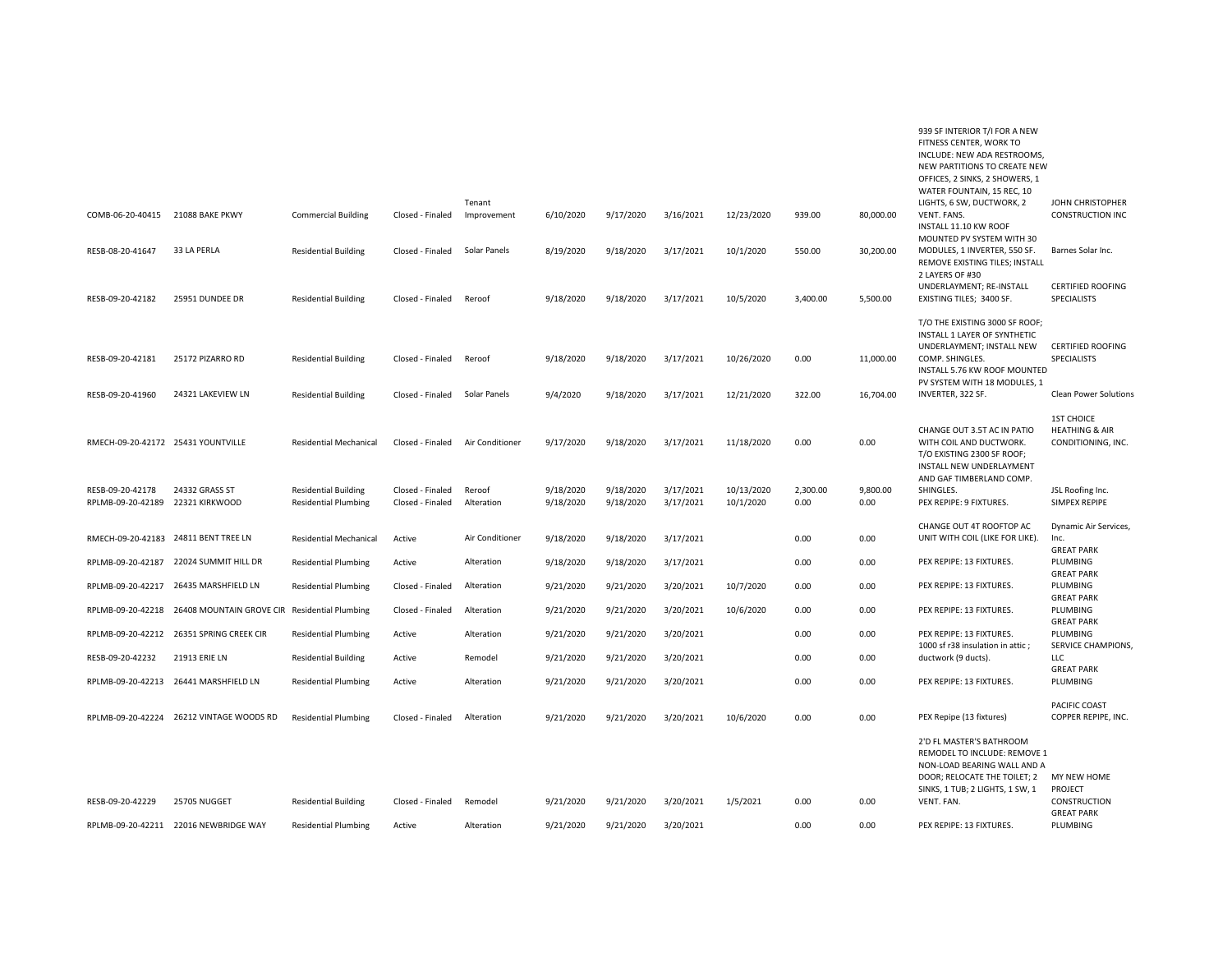|                                      |                                               |                               |                  |                 |           |           |           |            |          |           | INCLUDE: NEW ADA RESTROOMS,<br>NEW PARTITIONS TO CREATE NEW<br>OFFICES, 2 SINKS, 2 SHOWERS, 1<br>WATER FOUNTAIN, 15 REC, 10                                                    |                                                                      |
|--------------------------------------|-----------------------------------------------|-------------------------------|------------------|-----------------|-----------|-----------|-----------|------------|----------|-----------|--------------------------------------------------------------------------------------------------------------------------------------------------------------------------------|----------------------------------------------------------------------|
|                                      |                                               |                               |                  | Tenant          |           |           |           |            |          |           | LIGHTS, 6 SW, DUCTWORK, 2                                                                                                                                                      | JOHN CHRISTOPHER                                                     |
| COMB-06-20-40415 21088 BAKE PKWY     |                                               | <b>Commercial Building</b>    | Closed - Finaled | Improvement     | 6/10/2020 | 9/17/2020 | 3/16/2021 | 12/23/2020 | 939.00   | 80,000.00 | VENT. FANS.<br>INSTALL 11.10 KW ROOF<br>MOUNTED PV SYSTEM WITH 30                                                                                                              | <b>CONSTRUCTION INC</b>                                              |
| RESB-08-20-41647                     | 33 LA PERLA                                   | <b>Residential Building</b>   | Closed - Finaled | Solar Panels    | 8/19/2020 | 9/18/2020 | 3/17/2021 | 10/1/2020  | 550.00   | 30,200.00 | MODULES, 1 INVERTER, 550 SF.<br>REMOVE EXISTING TILES; INSTALL<br>2 LAYERS OF #30                                                                                              | Barnes Solar Inc.                                                    |
| RESB-09-20-42182                     | 25951 DUNDEE DR                               | <b>Residential Building</b>   | Closed - Finaled | Reroof          | 9/18/2020 | 9/18/2020 | 3/17/2021 | 10/5/2020  | 3,400.00 | 5,500.00  | UNDERLAYMENT; RE-INSTALL<br>EXISTING TILES; 3400 SF.                                                                                                                           | <b>CERTIFIED ROOFING</b><br><b>SPECIALISTS</b>                       |
| RESB-09-20-42181                     | 25172 PIZARRO RD                              | <b>Residential Building</b>   | Closed - Finaled | Reroof          | 9/18/2020 | 9/18/2020 | 3/17/2021 | 10/26/2020 | 0.00     | 11,000.00 | T/O THE EXISTING 3000 SF ROOF;<br>INSTALL 1 LAYER OF SYNTHETIC<br>UNDERLAYMENT; INSTALL NEW<br>COMP. SHINGLES.<br>INSTALL 5.76 KW ROOF MOUNTED<br>PV SYSTEM WITH 18 MODULES. 1 | <b>CERTIFIED ROOFING</b><br>SPECIALISTS                              |
| RESB-09-20-41960                     | 24321 LAKEVIEW LN                             | <b>Residential Building</b>   | Closed - Finaled | Solar Panels    | 9/4/2020  | 9/18/2020 | 3/17/2021 | 12/21/2020 | 322.00   | 16,704.00 | INVERTER, 322 SF.                                                                                                                                                              | <b>Clean Power Solutions</b>                                         |
| RMECH-09-20-42172 25431 YOUNTVILLE   |                                               | <b>Residential Mechanical</b> | Closed - Finaled | Air Conditioner | 9/17/2020 | 9/18/2020 | 3/17/2021 | 11/18/2020 | 0.00     | 0.00      | CHANGE OUT 3.5T AC IN PATIO<br>WITH COIL AND DUCTWORK.<br>T/O EXISTING 2300 SF ROOF;<br>INSTALL NEW UNDERLAYMENT<br>AND GAF TIMBERLAND COMP.                                   | <b>1ST CHOICE</b><br><b>HEATHING &amp; AIR</b><br>CONDITIONING, INC. |
| RESB-09-20-42178                     | 24332 GRASS ST                                | <b>Residential Building</b>   | Closed - Finaled | Reroof          | 9/18/2020 | 9/18/2020 | 3/17/2021 | 10/13/2020 | 2,300.00 | 9,800.00  | SHINGLES.                                                                                                                                                                      | JSL Roofing Inc.                                                     |
| RPLMB-09-20-42189                    | 22321 KIRKWOOD                                | <b>Residential Plumbing</b>   | Closed - Finaled | Alteration      | 9/18/2020 | 9/18/2020 | 3/17/2021 | 10/1/2020  | 0.00     | 0.00      | PEX REPIPE: 9 FIXTURES.                                                                                                                                                        | <b>SIMPEX REPIPE</b>                                                 |
| RMECH-09-20-42183 24811 BENT TREE LN |                                               | <b>Residential Mechanical</b> | Active           | Air Conditioner | 9/18/2020 | 9/18/2020 | 3/17/2021 |            | 0.00     | 0.00      | CHANGE OUT 4T ROOFTOP AC<br>UNIT WITH COIL (LIKE FOR LIKE).                                                                                                                    | Dynamic Air Services,<br>Inc.<br><b>GREAT PARK</b>                   |
| RPLMB-09-20-42187                    | 22024 SUMMIT HILL DR                          | <b>Residential Plumbing</b>   | Active           | Alteration      | 9/18/2020 | 9/18/2020 | 3/17/2021 |            | 0.00     | 0.00      | PEX REPIPE: 13 FIXTURES.                                                                                                                                                       | PLUMBING                                                             |
| RPLMB-09-20-42217                    | 26435 MARSHFIELD LN                           | <b>Residential Plumbing</b>   | Closed - Finaled | Alteration      | 9/21/2020 | 9/21/2020 | 3/20/2021 | 10/7/2020  | 0.00     | 0.00      | PEX REPIPE: 13 FIXTURES.                                                                                                                                                       | <b>GREAT PARK</b><br>PLUMBING<br><b>GREAT PARK</b>                   |
| RPLMB-09-20-42218                    | 26408 MOUNTAIN GROVE CIR Residential Plumbing |                               | Closed - Finaled | Alteration      | 9/21/2020 | 9/21/2020 | 3/20/2021 | 10/6/2020  | 0.00     | 0.00      | PEX REPIPE: 13 FIXTURES.                                                                                                                                                       | PLUMBING<br><b>GREAT PARK</b>                                        |
|                                      | RPLMB-09-20-42212 26351 SPRING CREEK CIR      | <b>Residential Plumbing</b>   | Active           | Alteration      | 9/21/2020 | 9/21/2020 | 3/20/2021 |            | 0.00     | 0.00      | PEX REPIPE: 13 FIXTURES.<br>1000 sf r38 insulation in attic;                                                                                                                   | PLUMBING<br><b>SERVICE CHAMPIONS,</b>                                |
| RESB-09-20-42232                     | 21913 ERIE LN                                 | <b>Residential Building</b>   | Active           | Remodel         | 9/21/2020 | 9/21/2020 | 3/20/2021 |            | 0.00     | 0.00      | ductwork (9 ducts).                                                                                                                                                            | LLC<br><b>GREAT PARK</b>                                             |
|                                      | RPLMB-09-20-42213 26441 MARSHFIELD LN         | <b>Residential Plumbing</b>   | Active           | Alteration      | 9/21/2020 | 9/21/2020 | 3/20/2021 |            | 0.00     | 0.00      | PEX REPIPE: 13 FIXTURES.                                                                                                                                                       | PLUMBING                                                             |
| RPLMB-09-20-42224                    | 26212 VINTAGE WOODS RD                        | <b>Residential Plumbing</b>   | Closed - Finaled | Alteration      | 9/21/2020 | 9/21/2020 | 3/20/2021 | 10/6/2020  | 0.00     | 0.00      | PEX Repipe (13 fixtures)                                                                                                                                                       | <b>PACIFIC COAST</b><br>COPPER REPIPE, INC.                          |
|                                      |                                               |                               |                  |                 |           |           |           |            |          |           | 2'D FL MASTER'S BATHROOM<br>REMODEL TO INCLUDE: REMOVE 1<br>NON-LOAD BEARING WALL AND A<br>DOOR; RELOCATE THE TOILET; 2<br>SINKS, 1 TUB; 2 LIGHTS, 1 SW, 1                     | MY NEW HOME<br>PROJECT                                               |
| RESB-09-20-42229                     | 25705 NUGGET                                  | <b>Residential Building</b>   | Closed - Finaled | Remodel         | 9/21/2020 | 9/21/2020 | 3/20/2021 | 1/5/2021   | 0.00     | 0.00      | VENT. FAN.                                                                                                                                                                     | CONSTRUCTION<br><b>GREAT PARK</b>                                    |
|                                      | RPLMB-09-20-42211 22016 NEWBRIDGE WAY         | <b>Residential Plumbing</b>   | Active           | Alteration      | 9/21/2020 | 9/21/2020 | 3/20/2021 |            | 0.00     | 0.00      | PEX REPIPE: 13 FIXTURES.                                                                                                                                                       | PLUMBING                                                             |

939 SF INTERIOR T/I FOR A NEW FITNESS CENTER, WORK TO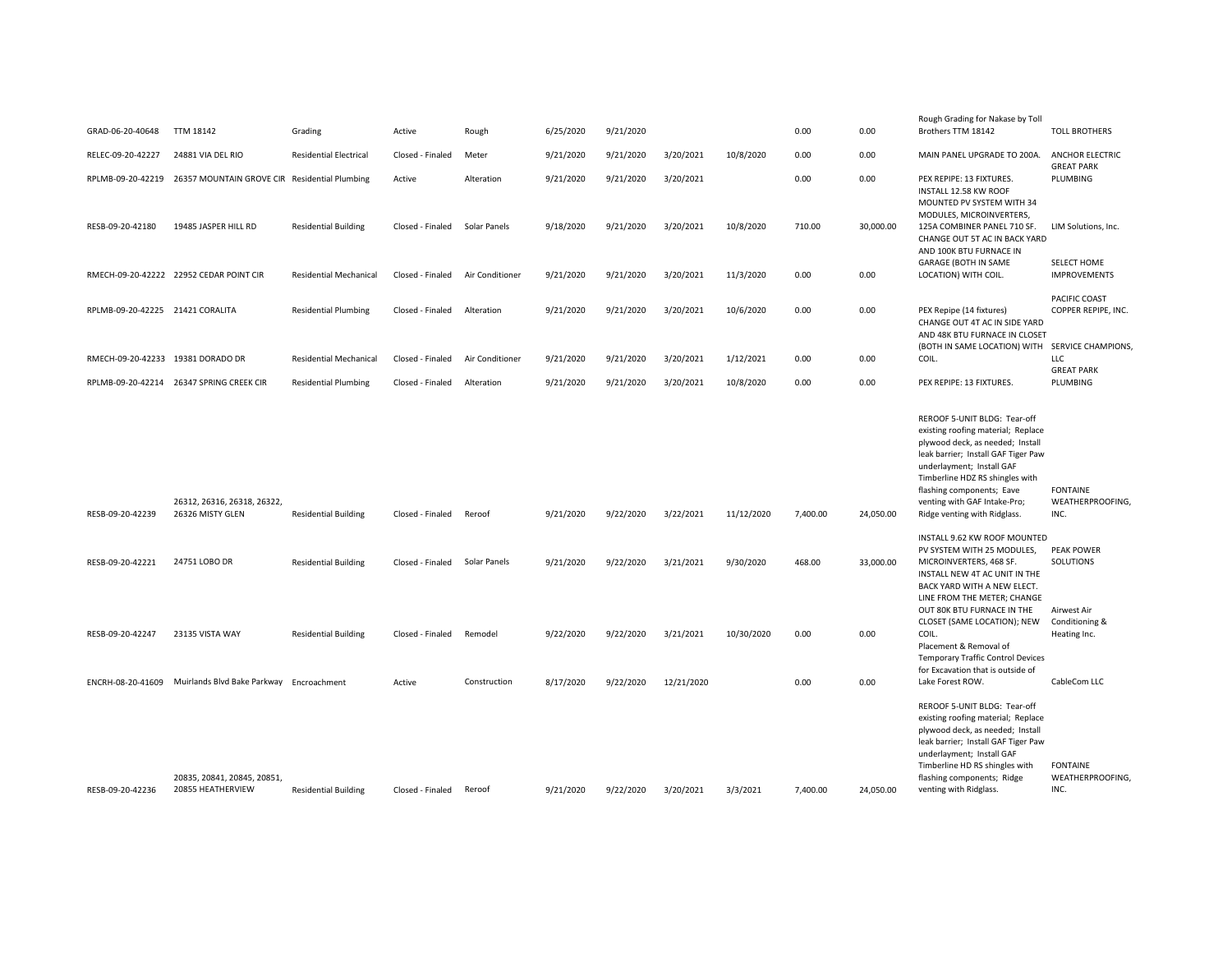| GRAD-06-20-40648                  | <b>TTM 18142</b>                                                | Grading                       | Active           | Rough           | 6/25/2020 | 9/21/2020 |            |            | 0.00     | 0.00      | Rough Grading for Nakase by Toll<br>Brothers TTM 18142                                                                                                                                                                                                                                                     | <b>TOLL BROTHERS</b>                                            |
|-----------------------------------|-----------------------------------------------------------------|-------------------------------|------------------|-----------------|-----------|-----------|------------|------------|----------|-----------|------------------------------------------------------------------------------------------------------------------------------------------------------------------------------------------------------------------------------------------------------------------------------------------------------------|-----------------------------------------------------------------|
| RELEC-09-20-42227                 | 24881 VIA DEL RIO                                               | <b>Residential Electrical</b> | Closed - Finaled | Meter           | 9/21/2020 | 9/21/2020 | 3/20/2021  | 10/8/2020  | 0.00     | 0.00      | MAIN PANEL UPGRADE TO 200A.                                                                                                                                                                                                                                                                                | <b>ANCHOR ELECTRIC</b>                                          |
|                                   | RPLMB-09-20-42219 26357 MOUNTAIN GROVE CIR Residential Plumbing |                               | Active           | Alteration      | 9/21/2020 | 9/21/2020 | 3/20/2021  |            | 0.00     | 0.00      | PEX REPIPE: 13 FIXTURES.<br>INSTALL 12.58 KW ROOF<br>MOUNTED PV SYSTEM WITH 34                                                                                                                                                                                                                             | <b>GREAT PARK</b><br>PLUMBING                                   |
| RESB-09-20-42180                  | 19485 JASPER HILL RD                                            | <b>Residential Building</b>   | Closed - Finaled | Solar Panels    | 9/18/2020 | 9/21/2020 | 3/20/2021  | 10/8/2020  | 710.00   | 30,000.00 | MODULES, MICROINVERTERS,<br>125A COMBINER PANEL 710 SF.<br>CHANGE OUT 5T AC IN BACK YARD<br>AND 100K BTU FURNACE IN                                                                                                                                                                                        | LIM Solutions, Inc.                                             |
|                                   | RMECH-09-20-42222 22952 CEDAR POINT CIR                         | <b>Residential Mechanical</b> | Closed - Finaled | Air Conditioner | 9/21/2020 | 9/21/2020 | 3/20/2021  | 11/3/2020  | 0.00     | 0.00      | <b>GARAGE (BOTH IN SAME</b><br>LOCATION) WITH COIL.                                                                                                                                                                                                                                                        | SELECT HOME<br><b>IMPROVEMENTS</b>                              |
| RPLMB-09-20-42225 21421 CORALITA  |                                                                 | <b>Residential Plumbing</b>   | Closed - Finaled | Alteration      | 9/21/2020 | 9/21/2020 | 3/20/2021  | 10/6/2020  | 0.00     | 0.00      | PEX Repipe (14 fixtures)<br>CHANGE OUT 4T AC IN SIDE YARD<br>AND 48K BTU FURNACE IN CLOSET                                                                                                                                                                                                                 | PACIFIC COAST<br>COPPER REPIPE, INC.                            |
| RMECH-09-20-42233 19381 DORADO DR |                                                                 | Residential Mechanical        | Closed - Finaled | Air Conditioner | 9/21/2020 | 9/21/2020 | 3/20/2021  | 1/12/2021  | 0.00     | 0.00      | (BOTH IN SAME LOCATION) WITH SERVICE CHAMPIONS,<br>COIL.                                                                                                                                                                                                                                                   | LLC                                                             |
|                                   | RPLMB-09-20-42214 26347 SPRING CREEK CIR                        | <b>Residential Plumbing</b>   | Closed - Finaled | Alteration      | 9/21/2020 | 9/21/2020 | 3/20/2021  | 10/8/2020  | 0.00     | 0.00      | PEX REPIPE: 13 FIXTURES.                                                                                                                                                                                                                                                                                   | <b>GREAT PARK</b><br>PLUMBING                                   |
| RESB-09-20-42239                  | 26312, 26316, 26318, 26322,<br>26326 MISTY GLEN                 | <b>Residential Building</b>   | Closed - Finaled | Reroof          | 9/21/2020 | 9/22/2020 | 3/22/2021  | 11/12/2020 | 7,400.00 | 24,050.00 | REROOF 5-UNIT BLDG: Tear-off<br>existing roofing material; Replace<br>plywood deck, as needed; Install<br>leak barrier; Install GAF Tiger Paw<br>underlayment; Install GAF<br>Timberline HDZ RS shingles with<br>flashing components; Eave<br>venting with GAF Intake-Pro;<br>Ridge venting with Ridglass. | FONTAINE<br>WEATHERPROOFING.<br>INC.                            |
| RESB-09-20-42221                  | 24751 LOBO DR                                                   | <b>Residential Building</b>   | Closed - Finaled | Solar Panels    | 9/21/2020 | 9/22/2020 | 3/21/2021  | 9/30/2020  | 468.00   | 33,000.00 | INSTALL 9.62 KW ROOF MOUNTED<br>PV SYSTEM WITH 25 MODULES,<br>MICROINVERTERS, 468 SF.<br>INSTALL NEW 4T AC UNIT IN THE<br>BACK YARD WITH A NEW ELECT.<br>LINE FROM THE METER; CHANGE<br>OUT 80K BTU FURNACE IN THE                                                                                         | <b>PEAK POWER</b><br>SOLUTIONS<br>Airwest Air<br>Conditioning & |
| RESB-09-20-42247                  | 23135 VISTA WAY                                                 | <b>Residential Building</b>   | Closed - Finaled | Remodel         | 9/22/2020 | 9/22/2020 | 3/21/2021  | 10/30/2020 | 0.00     | 0.00      | CLOSET (SAME LOCATION); NEW<br>COIL.<br>Placement & Removal of<br><b>Temporary Traffic Control Devices</b><br>for Excavation that is outside of                                                                                                                                                            | Heating Inc.                                                    |
| ENCRH-08-20-41609                 | Muirlands Blvd Bake Parkway Encroachment                        |                               | Active           | Construction    | 8/17/2020 | 9/22/2020 | 12/21/2020 |            | 0.00     | 0.00      | Lake Forest ROW.                                                                                                                                                                                                                                                                                           | CableCom LLC                                                    |
| RESB-09-20-42236                  | 20835, 20841, 20845, 20851,<br>20855 HEATHERVIEW                | <b>Residential Building</b>   | Closed - Finaled | Reroof          | 9/21/2020 | 9/22/2020 | 3/20/2021  | 3/3/2021   | 7,400.00 | 24,050.00 | REROOF 5-UNIT BLDG: Tear-off<br>existing roofing material; Replace<br>plywood deck, as needed; Install<br>leak barrier; Install GAF Tiger Paw<br>underlayment; Install GAF<br>Timberline HD RS shingles with<br>flashing components; Ridge<br>venting with Ridglass.                                       | <b>FONTAINE</b><br>WEATHERPROOFING,<br>INC.                     |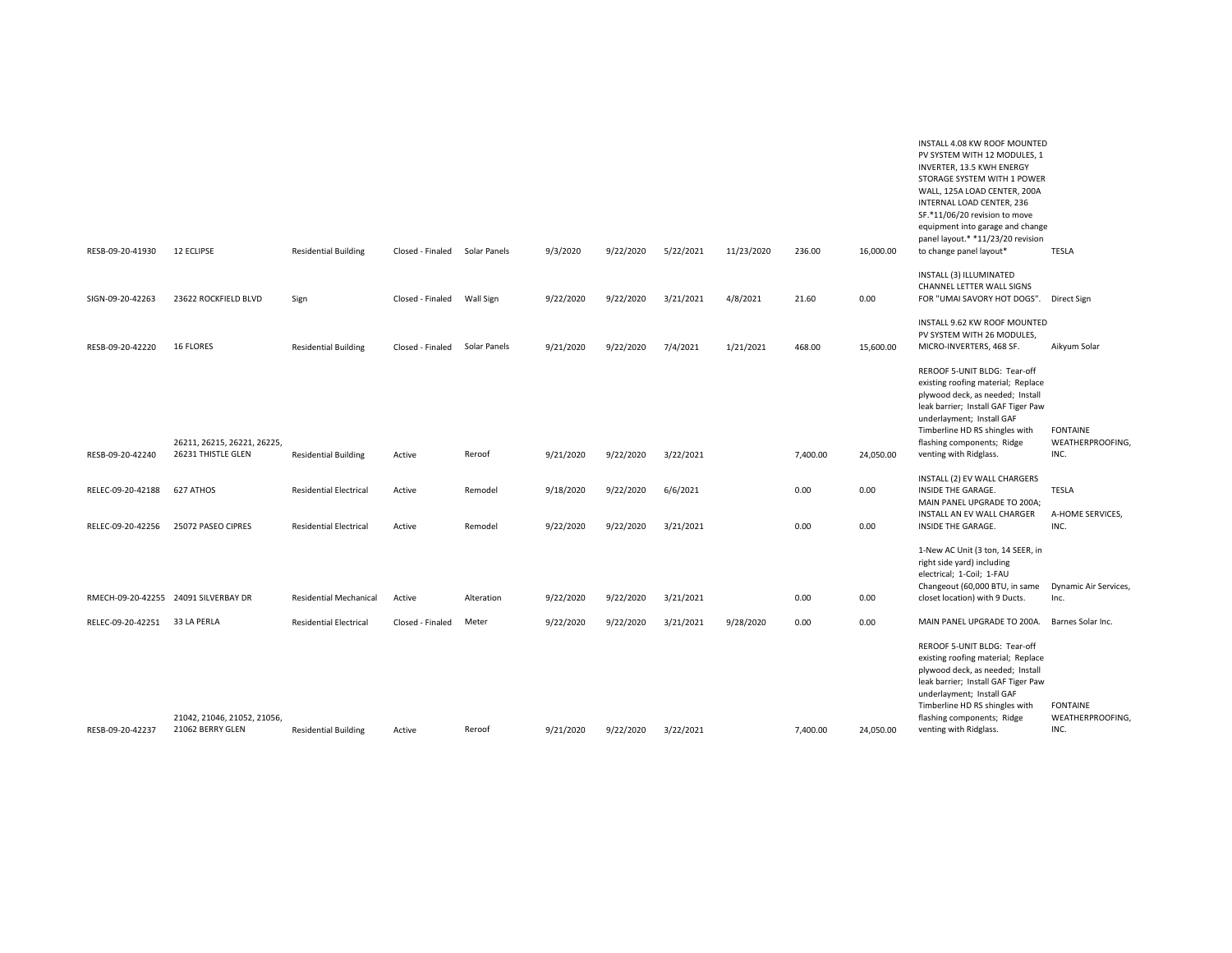|                   |                                      |                               |                  |              |           |           |           |            |          |           | INVERTER, 13.5 KWH ENERGY<br>STORAGE SYSTEM WITH 1 POWER<br>WALL, 125A LOAD CENTER, 200A<br>INTERNAL LOAD CENTER, 236<br>SF.*11/06/20 revision to move<br>equipment into garage and change<br>panel layout.* *11/23/20 revision            |                              |
|-------------------|--------------------------------------|-------------------------------|------------------|--------------|-----------|-----------|-----------|------------|----------|-----------|--------------------------------------------------------------------------------------------------------------------------------------------------------------------------------------------------------------------------------------------|------------------------------|
| RESB-09-20-41930  | 12 ECLIPSE                           | <b>Residential Building</b>   | Closed - Finaled | Solar Panels | 9/3/2020  | 9/22/2020 | 5/22/2021 | 11/23/2020 | 236.00   | 16,000.00 | to change panel layout*                                                                                                                                                                                                                    | TESLA                        |
| SIGN-09-20-42263  | 23622 ROCKFIELD BLVD                 | Sign                          | Closed - Finaled | Wall Sign    | 9/22/2020 | 9/22/2020 | 3/21/2021 | 4/8/2021   | 21.60    | 0.00      | INSTALL (3) ILLUMINATED<br>CHANNEL LETTER WALL SIGNS<br>FOR "UMAI SAVORY HOT DOGS". Direct Sign                                                                                                                                            |                              |
| RESB-09-20-42220  | <b>16 FLORES</b>                     | <b>Residential Building</b>   | Closed - Finaled | Solar Panels | 9/21/2020 | 9/22/2020 | 7/4/2021  | 1/21/2021  | 468.00   | 15,600.00 | INSTALL 9.62 KW ROOF MOUNTED<br>PV SYSTEM WITH 26 MODULES,<br>MICRO-INVERTERS, 468 SF.                                                                                                                                                     | Aikyum Solar                 |
|                   |                                      |                               |                  |              |           |           |           |            |          |           | REROOF 5-UNIT BLDG: Tear-off<br>existing roofing material; Replace<br>plywood deck, as needed; Install<br>leak barrier; Install GAF Tiger Paw<br>underlayment; Install GAF<br>Timberline HD RS shingles with                               | <b>FONTAINE</b>              |
|                   | 26211, 26215, 26221, 26225,          |                               |                  |              |           |           |           |            |          |           | flashing components; Ridge                                                                                                                                                                                                                 | WEATHERPROOFING,             |
| RESB-09-20-42240  | 26231 THISTLE GLEN                   | <b>Residential Building</b>   | Active           | Reroof       | 9/21/2020 | 9/22/2020 | 3/22/2021 |            | 7,400.00 | 24,050.00 | venting with Ridglass.                                                                                                                                                                                                                     | INC.                         |
| RELEC-09-20-42188 | 627 ATHOS                            | <b>Residential Electrical</b> | Active           | Remodel      | 9/18/2020 | 9/22/2020 | 6/6/2021  |            | 0.00     | 0.00      | INSTALL (2) EV WALL CHARGERS<br>INSIDE THE GARAGE.<br>MAIN PANEL UPGRADE TO 200A;<br>INSTALL AN EV WALL CHARGER                                                                                                                            | TESLA<br>A-HOME SERVICES,    |
| RELEC-09-20-42256 | 25072 PASEO CIPRES                   | <b>Residential Electrical</b> | Active           | Remodel      | 9/22/2020 | 9/22/2020 | 3/21/2021 |            | 0.00     | 0.00      | INSIDE THE GARAGE.                                                                                                                                                                                                                         | INC.                         |
|                   |                                      |                               |                  |              |           |           |           |            |          |           | 1-New AC Unit (3 ton, 14 SEER, in<br>right side yard) including<br>electrical; 1-Coil; 1-FAU<br>Changeout (60,000 BTU, in same                                                                                                             | Dynamic Air Services,        |
|                   | RMECH-09-20-42255 24091 SILVERBAY DR | <b>Residential Mechanical</b> | Active           | Alteration   | 9/22/2020 | 9/22/2020 | 3/21/2021 |            | 0.00     | 0.00      | closet location) with 9 Ducts.                                                                                                                                                                                                             | Inc.                         |
| RELEC-09-20-42251 | 33 LA PERLA                          | <b>Residential Electrical</b> | Closed - Finaled | Meter        | 9/22/2020 | 9/22/2020 | 3/21/2021 | 9/28/2020  | 0.00     | 0.00      | MAIN PANEL UPGRADE TO 200A.                                                                                                                                                                                                                | Barnes Solar Inc.            |
|                   | 21042, 21046, 21052, 21056,          |                               |                  |              |           |           |           |            |          |           | REROOF 5-UNIT BLDG: Tear-off<br>existing roofing material; Replace<br>plywood deck, as needed; Install<br>leak barrier; Install GAF Tiger Paw<br>underlayment; Install GAF<br>Timberline HD RS shingles with<br>flashing components; Ridge | FONTAINE<br>WEATHERPROOFING, |
| RESB-09-20-42237  | 21062 BERRY GLEN                     | <b>Residential Building</b>   | Active           | Reroof       | 9/21/2020 | 9/22/2020 | 3/22/2021 |            | 7.400.00 | 24,050.00 | venting with Ridglass.                                                                                                                                                                                                                     | INC.                         |

INSTALL 4.08 KW ROOF MOUNTED PV SYSTEM WITH 12 MODULES, 1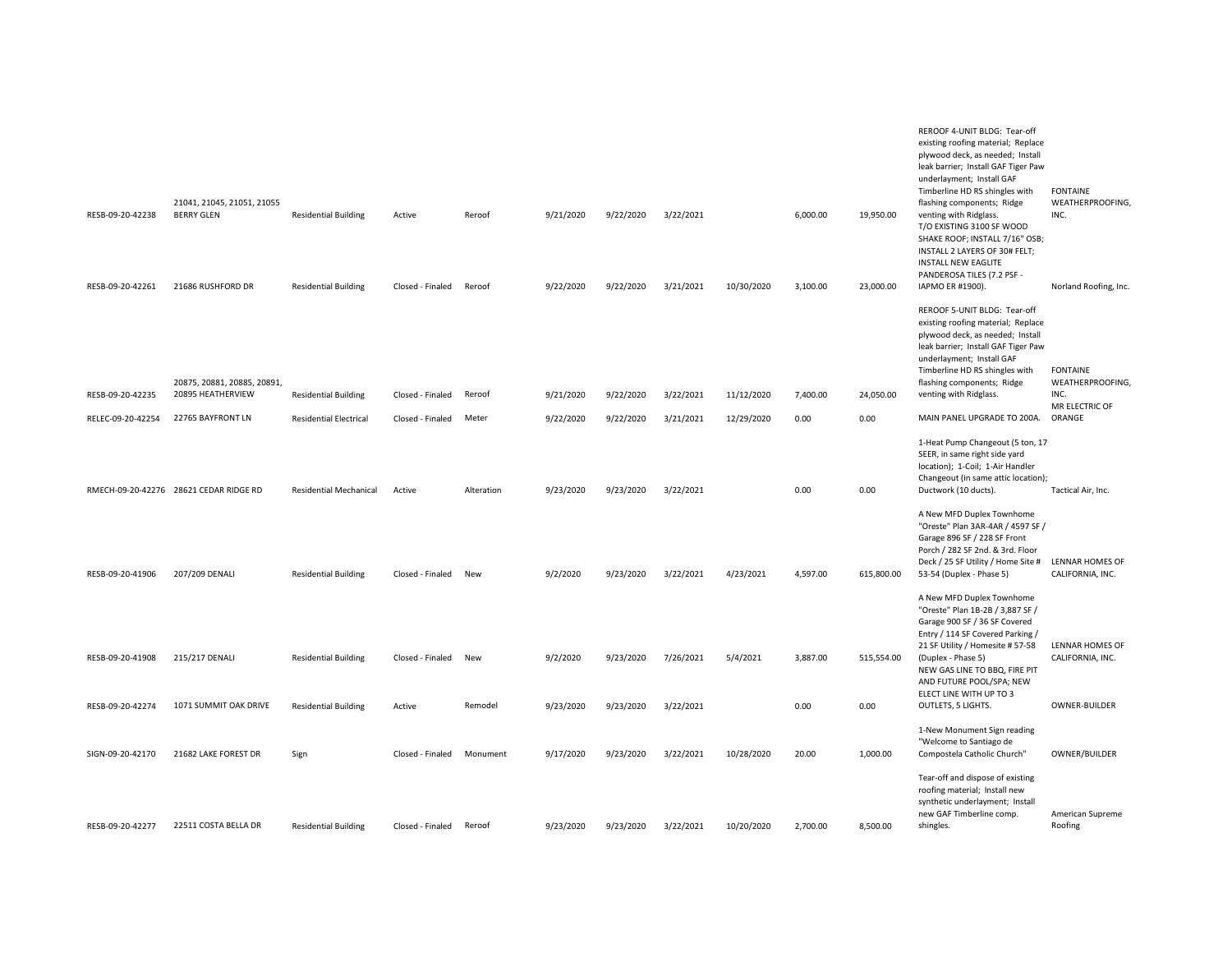|                   |                                                  |                               |                  |            |           |           |           |            |          |            | REROOF 4-UNIT BLDG: Tear-off<br>existing roofing material; Replace<br>plywood deck, as needed; Install<br>leak barrier; Install GAF Tiger Paw<br>underlayment; Install GAF                                                                                           |                                             |
|-------------------|--------------------------------------------------|-------------------------------|------------------|------------|-----------|-----------|-----------|------------|----------|------------|----------------------------------------------------------------------------------------------------------------------------------------------------------------------------------------------------------------------------------------------------------------------|---------------------------------------------|
| RESB-09-20-42238  | 21041, 21045, 21051, 21055<br><b>BERRY GLEN</b>  | <b>Residential Building</b>   | Active           | Reroof     | 9/21/2020 | 9/22/2020 | 3/22/2021 |            | 6,000.00 | 19,950.00  | Timberline HD RS shingles with<br>flashing components; Ridge<br>venting with Ridglass.<br>T/O EXISTING 3100 SF WOOD<br>SHAKE ROOF; INSTALL 7/16" OSB;<br>INSTALL 2 LAYERS OF 30# FELT;<br><b>INSTALL NEW EAGLITE</b><br>PANDEROSA TILES (7.2 PSF -                   | <b>FONTAINE</b><br>WEATHERPROOFING,<br>INC. |
| RESB-09-20-42261  | 21686 RUSHFORD DR                                | <b>Residential Building</b>   | Closed - Finaled | Reroof     | 9/22/2020 | 9/22/2020 | 3/21/2021 | 10/30/2020 | 3,100.00 | 23,000.00  | IAPMO ER #1900).                                                                                                                                                                                                                                                     | Norland Roofing, Inc.                       |
| RESB-09-20-42235  | 20875, 20881, 20885, 20891,<br>20895 HEATHERVIEW | <b>Residential Building</b>   | Closed - Finaled | Reroof     | 9/21/2020 | 9/22/2020 | 3/22/2021 | 11/12/2020 | 7,400.00 | 24,050.00  | REROOF 5-UNIT BLDG: Tear-off<br>existing roofing material; Replace<br>plywood deck, as needed; Install<br>leak barrier; Install GAF Tiger Paw<br>underlayment; Install GAF<br>Timberline HD RS shingles with<br>flashing components; Ridge<br>venting with Ridglass. | <b>FONTAINE</b><br>WEATHERPROOFING,<br>INC. |
| RELEC-09-20-42254 | 22765 BAYFRONT LN                                | <b>Residential Electrical</b> | Closed - Finaled | Meter      | 9/22/2020 | 9/22/2020 | 3/21/2021 | 12/29/2020 | 0.00     | 0.00       | MAIN PANEL UPGRADE TO 200A.                                                                                                                                                                                                                                          | MR ELECTRIC OF<br>ORANGE                    |
|                   | RMECH-09-20-42276 28621 CEDAR RIDGE RD           | <b>Residential Mechanical</b> | Active           | Alteration | 9/23/2020 | 9/23/2020 | 3/22/2021 |            | 0.00     | 0.00       | 1-Heat Pump Changeout (5 ton, 17<br>SEER, in same right side yard<br>location); 1-Coil; 1-Air Handler<br>Changeout (in same attic location);<br>Ductwork (10 ducts).                                                                                                 | Tactical Air, Inc.                          |
| RESB-09-20-41906  | 207/209 DENALI                                   | <b>Residential Building</b>   | Closed - Finaled | New        | 9/2/2020  | 9/23/2020 | 3/22/2021 | 4/23/2021  | 4,597.00 | 615,800.00 | A New MFD Duplex Townhome<br>"Oreste" Plan 3AR-4AR / 4597 SF /<br>Garage 896 SF / 228 SF Front<br>Porch / 282 SF 2nd. & 3rd. Floor<br>Deck / 25 SF Utility / Home Site # LENNAR HOMES OF<br>53-54 (Duplex - Phase 5)                                                 | CALIFORNIA, INC.                            |
|                   |                                                  |                               |                  |            |           |           |           |            |          |            | A New MFD Duplex Townhome<br>"Oreste" Plan 1B-2B / 3,887 SF /<br>Garage 900 SF / 36 SF Covered<br>Entry / 114 SF Covered Parking /                                                                                                                                   |                                             |
| RESB-09-20-41908  | 215/217 DENALI                                   | <b>Residential Building</b>   | Closed - Finaled | New        | 9/2/2020  | 9/23/2020 | 7/26/2021 | 5/4/2021   | 3,887.00 | 515,554.00 | 21 SF Utility / Homesite #57-58<br>(Duplex - Phase 5)<br>NEW GAS LINE TO BBQ, FIRE PIT<br>AND FUTURE POOL/SPA; NEW                                                                                                                                                   | <b>LENNAR HOMES OF</b><br>CALIFORNIA, INC.  |
| RESB-09-20-42274  | 1071 SUMMIT OAK DRIVE                            | <b>Residential Building</b>   | Active           | Remodel    | 9/23/2020 | 9/23/2020 | 3/22/2021 |            | 0.00     | 0.00       | ELECT LINE WITH UP TO 3<br>OUTLETS, 5 LIGHTS.                                                                                                                                                                                                                        | OWNER-BUILDER                               |
| SIGN-09-20-42170  | 21682 LAKE FOREST DR                             | Sign                          | Closed - Finaled | Monument   | 9/17/2020 | 9/23/2020 | 3/22/2021 | 10/28/2020 | 20.00    | 1,000.00   | 1-New Monument Sign reading<br>"Welcome to Santiago de<br>Compostela Catholic Church"                                                                                                                                                                                | OWNER/BUILDER                               |
| RESB-09-20-42277  | 22511 COSTA BELLA DR                             | <b>Residential Building</b>   | Closed - Finaled | Reroof     | 9/23/2020 | 9/23/2020 | 3/22/2021 | 10/20/2020 | 2,700.00 | 8,500.00   | Tear-off and dispose of existing<br>roofing material; Install new<br>synthetic underlayment; Install<br>new GAF Timberline comp.<br>shingles.                                                                                                                        | American Supreme<br>Roofing                 |
|                   |                                                  |                               |                  |            |           |           |           |            |          |            |                                                                                                                                                                                                                                                                      |                                             |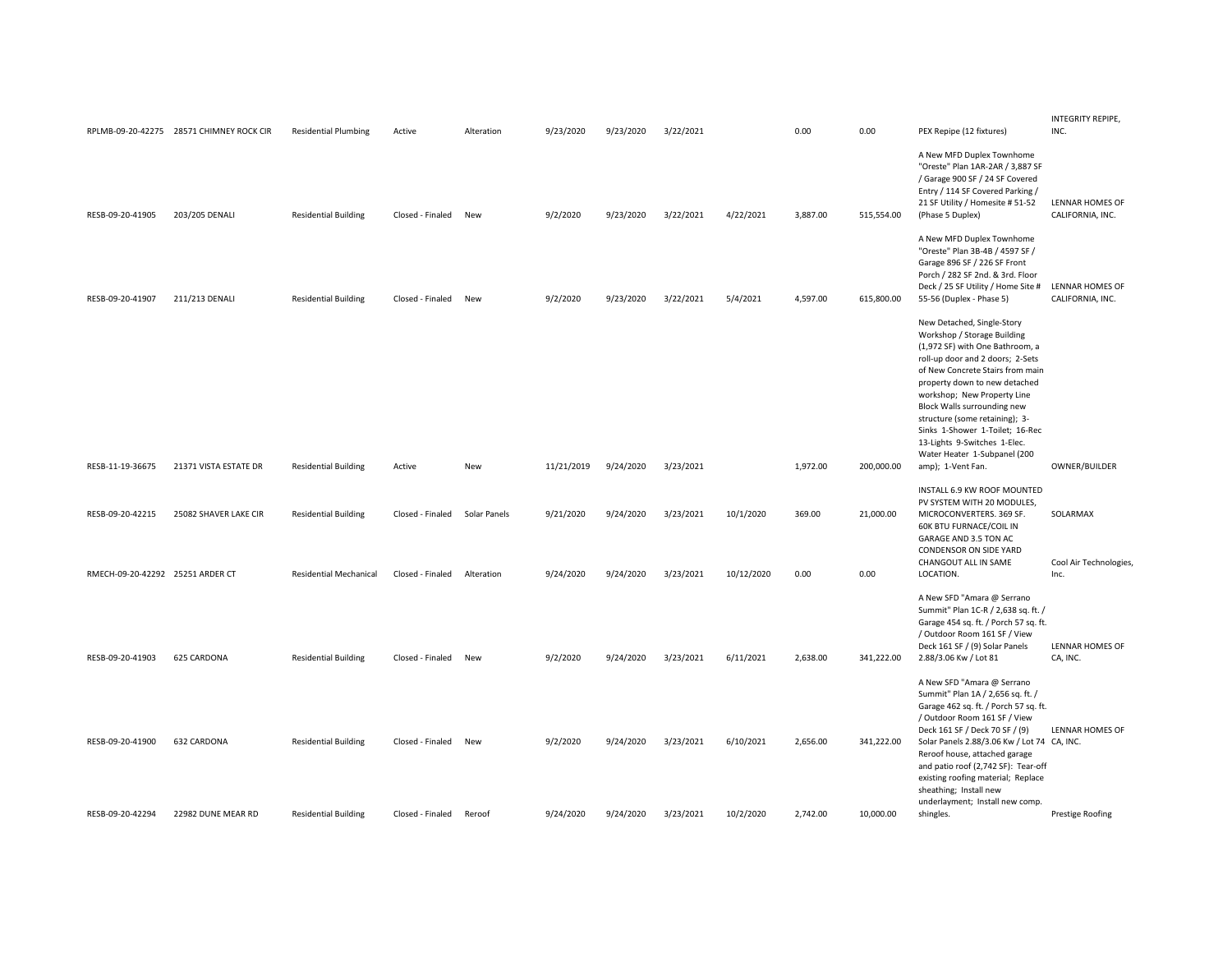|                                  | RPLMB-09-20-42275 28571 CHIMNEY ROCK CIR | <b>Residential Plumbing</b>   | Active           | Alteration   | 9/23/2020  | 9/23/2020 | 3/22/2021 |            | 0.00     | 0.00       | PEX Repipe (12 fixtures)                                                                                                                                                                                                                                                                                                                                                                                                      | INTEGRITY REPIPE,<br>INC.                  |
|----------------------------------|------------------------------------------|-------------------------------|------------------|--------------|------------|-----------|-----------|------------|----------|------------|-------------------------------------------------------------------------------------------------------------------------------------------------------------------------------------------------------------------------------------------------------------------------------------------------------------------------------------------------------------------------------------------------------------------------------|--------------------------------------------|
| RESB-09-20-41905                 | 203/205 DENALI                           | <b>Residential Building</b>   | Closed - Finaled | New          | 9/2/2020   | 9/23/2020 | 3/22/2021 | 4/22/2021  | 3,887.00 | 515,554.00 | A New MFD Duplex Townhome<br>"Oreste" Plan 1AR-2AR / 3,887 SF<br>/ Garage 900 SF / 24 SF Covered<br>Entry / 114 SF Covered Parking /<br>21 SF Utility / Homesite # 51-52<br>(Phase 5 Duplex)                                                                                                                                                                                                                                  | <b>LENNAR HOMES OF</b><br>CALIFORNIA, INC. |
| RESB-09-20-41907                 | 211/213 DENALI                           | <b>Residential Building</b>   | Closed - Finaled | New          | 9/2/2020   | 9/23/2020 | 3/22/2021 | 5/4/2021   | 4,597.00 | 615,800.00 | A New MFD Duplex Townhome<br>"Oreste" Plan 3B-4B / 4597 SF /<br>Garage 896 SF / 226 SF Front<br>Porch / 282 SF 2nd. & 3rd. Floor<br>Deck / 25 SF Utility / Home Site #<br>55-56 (Duplex - Phase 5)                                                                                                                                                                                                                            | LENNAR HOMES OF<br>CALIFORNIA, INC.        |
| RESB-11-19-36675                 | 21371 VISTA ESTATE DR                    | <b>Residential Building</b>   | Active           | <b>New</b>   | 11/21/2019 | 9/24/2020 | 3/23/2021 |            | 1,972.00 | 200,000.00 | New Detached, Single-Story<br>Workshop / Storage Building<br>(1,972 SF) with One Bathroom, a<br>roll-up door and 2 doors; 2-Sets<br>of New Concrete Stairs from main<br>property down to new detached<br>workshop; New Property Line<br>Block Walls surrounding new<br>structure (some retaining); 3-<br>Sinks 1-Shower 1-Toilet; 16-Rec<br>13-Lights 9-Switches 1-Elec.<br>Water Heater 1-Subpanel (200<br>amp); 1-Vent Fan. | OWNER/BUILDER                              |
|                                  |                                          |                               |                  |              |            |           |           |            |          |            | INSTALL 6.9 KW ROOF MOUNTED<br>PV SYSTEM WITH 20 MODULES,                                                                                                                                                                                                                                                                                                                                                                     |                                            |
| RESB-09-20-42215                 | 25082 SHAVER LAKE CIR                    | <b>Residential Building</b>   | Closed - Finaled | Solar Panels | 9/21/2020  | 9/24/2020 | 3/23/2021 | 10/1/2020  | 369.00   | 21,000.00  | MICROCONVERTERS. 369 SF.<br>60K BTU FURNACE/COIL IN<br>GARAGE AND 3.5 TON AC<br>CONDENSOR ON SIDE YARD<br>CHANGOUT ALL IN SAME                                                                                                                                                                                                                                                                                                | SOLARMAX<br>Cool Air Technologies,         |
| RMECH-09-20-42292 25251 ARDER CT |                                          | <b>Residential Mechanical</b> | Closed - Finaled | Alteration   | 9/24/2020  | 9/24/2020 | 3/23/2021 | 10/12/2020 | 0.00     | 0.00       | LOCATION.<br>A New SFD "Amara @ Serrano                                                                                                                                                                                                                                                                                                                                                                                       | Inc.                                       |
| RESB-09-20-41903                 | 625 CARDONA                              | <b>Residential Building</b>   | Closed - Finaled | New          | 9/2/2020   | 9/24/2020 | 3/23/2021 | 6/11/2021  | 2,638.00 | 341,222.00 | Summit" Plan 1C-R / 2,638 sq. ft. /<br>Garage 454 sq. ft. / Porch 57 sq. ft.<br>/ Outdoor Room 161 SF / View<br>Deck 161 SF / (9) Solar Panels<br>2.88/3.06 Kw / Lot 81                                                                                                                                                                                                                                                       | <b>LENNAR HOMES OF</b><br>CA, INC.         |
| RESB-09-20-41900                 | 632 CARDONA                              | <b>Residential Building</b>   | Closed - Finaled | New          | 9/2/2020   | 9/24/2020 | 3/23/2021 | 6/10/2021  | 2,656.00 | 341,222.00 | A New SFD "Amara @ Serrano<br>Summit" Plan 1A / 2,656 sq. ft. /<br>Garage 462 sq. ft. / Porch 57 sq. ft.<br>/ Outdoor Room 161 SF / View<br>Deck 161 SF / Deck 70 SF / (9)<br>Solar Panels 2.88/3.06 Kw / Lot 74 CA, INC.<br>Reroof house, attached garage<br>and patio roof (2,742 SF): Tear-off<br>existing roofing material; Replace<br>sheathing; Install new                                                             | LENNAR HOMES OF                            |
| RESB-09-20-42294                 | 22982 DUNE MEAR RD                       | <b>Residential Building</b>   | Closed - Finaled | Reroof       | 9/24/2020  | 9/24/2020 | 3/23/2021 | 10/2/2020  | 2,742.00 | 10,000.00  | underlayment; Install new comp.<br>shingles.                                                                                                                                                                                                                                                                                                                                                                                  | Prestige Roofing                           |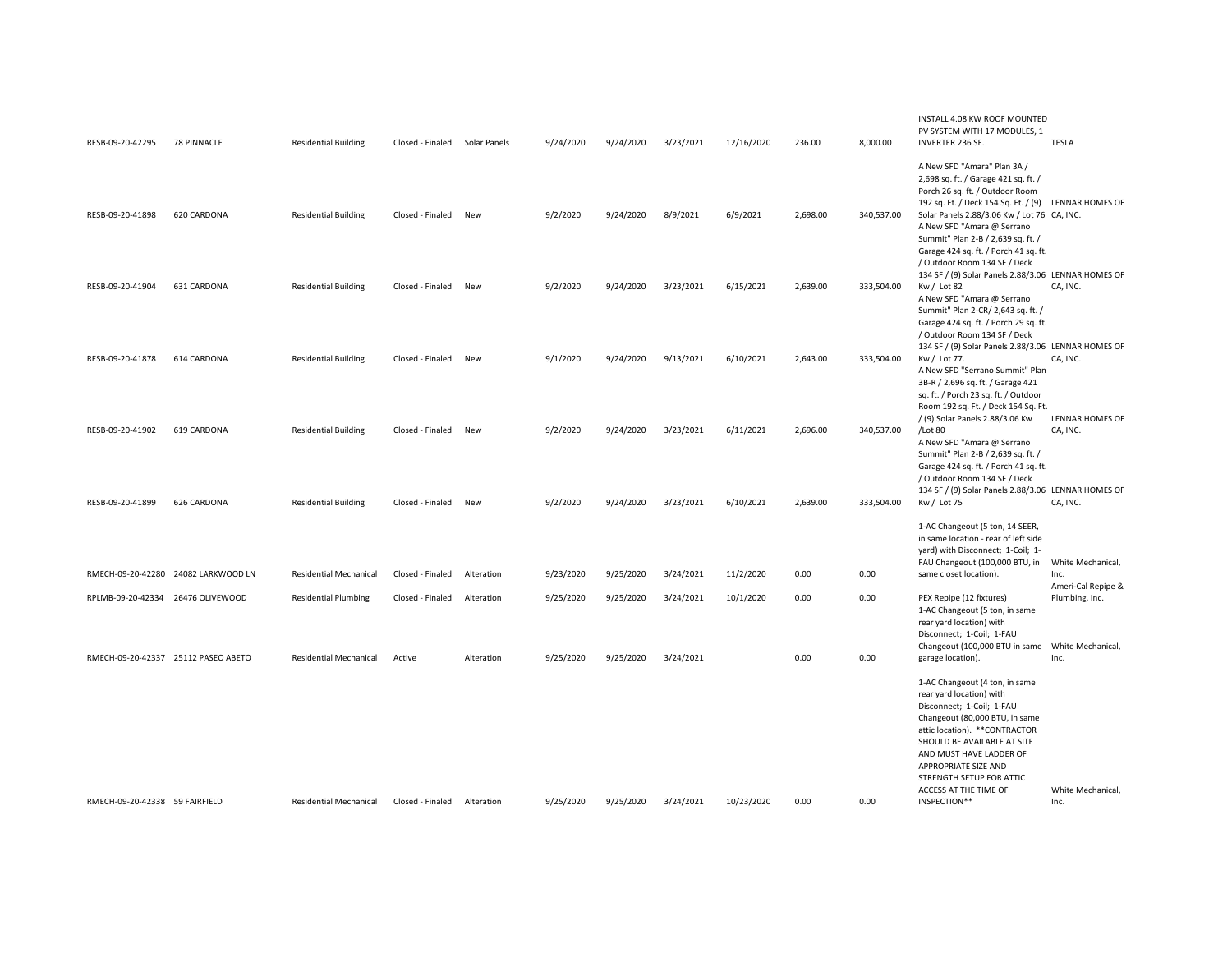| RESB-09-20-42295               | <b>78 PINNACLE</b>                  | <b>Residential Building</b>   | Closed - Finaled Solar Panels |            | 9/24/2020 | 9/24/2020 | 3/23/2021 | 12/16/2020 | 236.00   | 8,000.00   | INSTALL 4.08 KW ROOF MOUNTED<br>PV SYSTEM WITH 17 MODULES. 1<br><b>INVERTER 236 SF.</b>                                                                                                                                                                                                                                    | <b>TESLA</b>                         |
|--------------------------------|-------------------------------------|-------------------------------|-------------------------------|------------|-----------|-----------|-----------|------------|----------|------------|----------------------------------------------------------------------------------------------------------------------------------------------------------------------------------------------------------------------------------------------------------------------------------------------------------------------------|--------------------------------------|
| RESB-09-20-41898               | 620 CARDONA                         | <b>Residential Building</b>   | Closed - Finaled              | New        | 9/2/2020  | 9/24/2020 | 8/9/2021  | 6/9/2021   | 2,698.00 | 340,537.00 | A New SFD "Amara" Plan 3A /<br>2,698 sq. ft. / Garage 421 sq. ft. /<br>Porch 26 sq. ft. / Outdoor Room<br>192 sq. Ft. / Deck 154 Sq. Ft. / (9) LENNAR HOMES OF<br>Solar Panels 2.88/3.06 Kw / Lot 76 CA, INC.<br>A New SFD "Amara @ Serrano<br>Summit" Plan 2-B / 2,639 sq. ft. /<br>Garage 424 sq. ft. / Porch 41 sq. ft. |                                      |
| RESB-09-20-41904               | 631 CARDONA                         | <b>Residential Building</b>   | Closed - Finaled              | New        | 9/2/2020  | 9/24/2020 | 3/23/2021 | 6/15/2021  | 2,639.00 | 333,504.00 | / Outdoor Room 134 SF / Deck<br>134 SF / (9) Solar Panels 2.88/3.06 LENNAR HOMES OF<br>$Kw /$ Lot 82<br>A New SFD "Amara @ Serrano<br>Summit" Plan 2-CR/ 2,643 sq. ft. /                                                                                                                                                   | CA, INC.                             |
| RESB-09-20-41878               | 614 CARDONA                         | <b>Residential Building</b>   | Closed - Finaled              | New        | 9/1/2020  | 9/24/2020 | 9/13/2021 | 6/10/2021  | 2,643.00 | 333,504.00 | Garage 424 sq. ft. / Porch 29 sq. ft.<br>/ Outdoor Room 134 SF / Deck<br>134 SF / (9) Solar Panels 2.88/3.06 LENNAR HOMES OF<br>Kw / Lot 77.<br>A New SFD "Serrano Summit" Plan<br>3B-R / 2,696 sq. ft. / Garage 421<br>sq. ft. / Porch 23 sq. ft. / Outdoor                                                               | CA, INC.                             |
| RESB-09-20-41902               | 619 CARDONA                         | <b>Residential Building</b>   | Closed - Finaled              | New        | 9/2/2020  | 9/24/2020 | 3/23/2021 | 6/11/2021  | 2,696.00 | 340,537.00 | Room 192 sq. Ft. / Deck 154 Sq. Ft.<br>/ (9) Solar Panels 2.88/3.06 Kw<br>/Lot 80<br>A New SFD "Amara @ Serrano<br>Summit" Plan 2-B / 2,639 sq. ft. /<br>Garage 424 sq. ft. / Porch 41 sq. ft.                                                                                                                             | <b>LENNAR HOMES OF</b><br>CA, INC.   |
| RESB-09-20-41899               | 626 CARDONA                         | <b>Residential Building</b>   | Closed - Finaled              | <b>New</b> | 9/2/2020  | 9/24/2020 | 3/23/2021 | 6/10/2021  | 2,639.00 | 333,504.00 | / Outdoor Room 134 SF / Deck<br>134 SF / (9) Solar Panels 2.88/3.06 LENNAR HOMES OF<br>Kw / Lot 75                                                                                                                                                                                                                         | CA, INC.                             |
|                                | RMECH-09-20-42280 24082 LARKWOOD LN | <b>Residential Mechanical</b> | Closed - Finaled              | Alteration | 9/23/2020 | 9/25/2020 | 3/24/2021 | 11/2/2020  | 0.00     | 0.00       | 1-AC Changeout (5 ton, 14 SEER,<br>in same location - rear of left side<br>yard) with Disconnect; 1-Coil; 1-<br>FAU Changeout (100,000 BTU, in<br>same closet location).                                                                                                                                                   | White Mechanical,<br>Inc.            |
|                                | RPLMB-09-20-42334 26476 OLIVEWOOD   | <b>Residential Plumbing</b>   | Closed - Finaled              | Alteration | 9/25/2020 | 9/25/2020 | 3/24/2021 | 10/1/2020  | 0.00     | 0.00       | PEX Repipe (12 fixtures)<br>1-AC Changeout (5 ton, in same<br>rear yard location) with                                                                                                                                                                                                                                     | Ameri-Cal Repipe &<br>Plumbing, Inc. |
|                                | RMECH-09-20-42337 25112 PASEO ABETO | <b>Residential Mechanical</b> | Active                        | Alteration | 9/25/2020 | 9/25/2020 | 3/24/2021 |            | 0.00     | 0.00       | Disconnect; 1-Coil; 1-FAU<br>Changeout (100,000 BTU in same<br>garage location).                                                                                                                                                                                                                                           | White Mechanical,<br>Inc.            |
| RMECH-09-20-42338 59 FAIRFIELD |                                     | <b>Residential Mechanical</b> | Closed - Finaled              | Alteration | 9/25/2020 | 9/25/2020 | 3/24/2021 | 10/23/2020 | 0.00     | 0.00       | 1-AC Changeout (4 ton, in same<br>rear yard location) with<br>Disconnect; 1-Coil; 1-FAU<br>Changeout (80,000 BTU, in same<br>attic location). ** CONTRACTOR<br>SHOULD BE AVAILABLE AT SITE<br>AND MUST HAVE LADDER OF<br>APPROPRIATE SIZE AND<br>STRENGTH SETUP FOR ATTIC<br>ACCESS AT THE TIME OF<br>INSPECTION**         | White Mechanical,<br>Inc.            |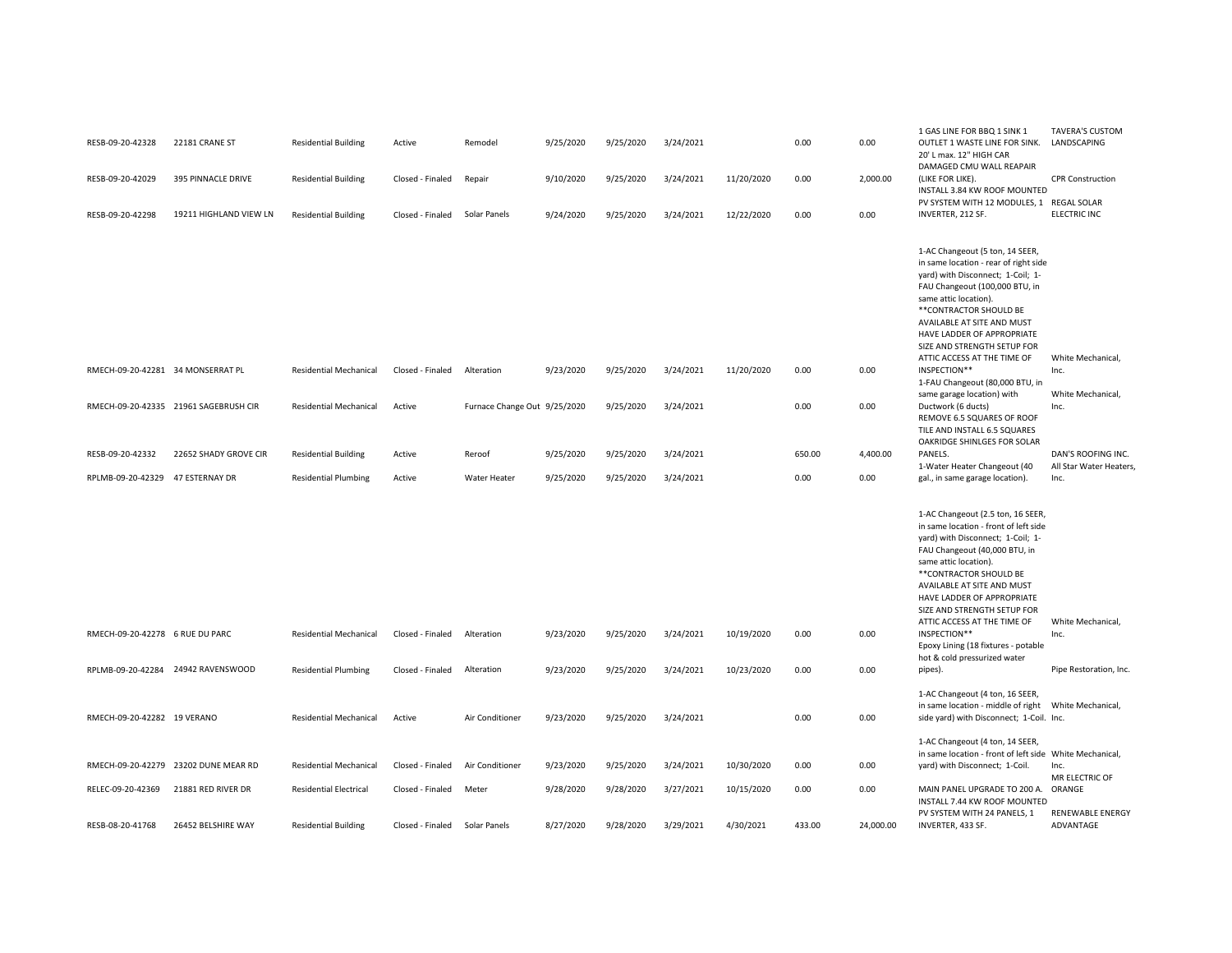| RESB-09-20-42328                  | 22181 CRANE ST                        | <b>Residential Building</b>   | Active           | Remodel                      | 9/25/2020 | 9/25/2020 | 3/24/2021 |            | 0.00   | 0.00      | 1 GAS LINE FOR BBQ 1 SINK 1<br>OUTLET 1 WASTE LINE FOR SINK.<br>20' L max. 12" HIGH CAR                                                                                                                                                                                                                                                        | TAVERA'S CUSTOM<br>LANDSCAPING                |
|-----------------------------------|---------------------------------------|-------------------------------|------------------|------------------------------|-----------|-----------|-----------|------------|--------|-----------|------------------------------------------------------------------------------------------------------------------------------------------------------------------------------------------------------------------------------------------------------------------------------------------------------------------------------------------------|-----------------------------------------------|
| RESB-09-20-42029                  | 395 PINNACLE DRIVE                    | <b>Residential Building</b>   | Closed - Finaled | Repair                       | 9/10/2020 | 9/25/2020 | 3/24/2021 | 11/20/2020 | 0.00   | 2,000.00  | DAMAGED CMU WALL REAPAIR<br>(LIKE FOR LIKE).<br>INSTALL 3.84 KW ROOF MOUNTED                                                                                                                                                                                                                                                                   | <b>CPR Construction</b>                       |
| RESB-09-20-42298                  | 19211 HIGHLAND VIEW LN                | <b>Residential Building</b>   | Closed - Finaled | Solar Panels                 | 9/24/2020 | 9/25/2020 | 3/24/2021 | 12/22/2020 | 0.00   | 0.00      | PV SYSTEM WITH 12 MODULES, 1 REGAL SOLAR<br>INVERTER, 212 SF.                                                                                                                                                                                                                                                                                  | ELECTRIC INC                                  |
|                                   |                                       |                               |                  |                              |           |           |           |            |        |           | 1-AC Changeout (5 ton, 14 SEER,<br>in same location - rear of right side<br>yard) with Disconnect; 1-Coil; 1-<br>FAU Changeout (100,000 BTU, in<br>same attic location).<br>** CONTRACTOR SHOULD BE<br>AVAILABLE AT SITE AND MUST<br>HAVE LADDER OF APPROPRIATE<br>SIZE AND STRENGTH SETUP FOR                                                 |                                               |
| RMECH-09-20-42281 34 MONSERRAT PL |                                       | <b>Residential Mechanical</b> | Closed - Finaled | Alteration                   | 9/23/2020 | 9/25/2020 | 3/24/2021 | 11/20/2020 | 0.00   | 0.00      | ATTIC ACCESS AT THE TIME OF<br>INSPECTION**<br>1-FAU Changeout (80,000 BTU, in                                                                                                                                                                                                                                                                 | White Mechanical,<br>Inc.                     |
|                                   | RMECH-09-20-42335 21961 SAGEBRUSH CIR | <b>Residential Mechanical</b> | Active           | Furnace Change Out 9/25/2020 |           | 9/25/2020 | 3/24/2021 |            | 0.00   | 0.00      | same garage location) with<br>Ductwork (6 ducts)<br>REMOVE 6.5 SQUARES OF ROOF<br>TILE AND INSTALL 6.5 SQUARES<br>OAKRIDGE SHINLGES FOR SOLAR                                                                                                                                                                                                  | White Mechanical,<br>Inc.                     |
| RESB-09-20-42332                  | 22652 SHADY GROVE CIR                 | <b>Residential Building</b>   | Active           | Reroof                       | 9/25/2020 | 9/25/2020 | 3/24/2021 |            | 650.00 | 4,400.00  | PANELS.<br>1-Water Heater Changeout (40                                                                                                                                                                                                                                                                                                        | DAN'S ROOFING INC.<br>All Star Water Heaters, |
| RPLMB-09-20-42329                 | 47 ESTERNAY DR                        | <b>Residential Plumbing</b>   | Active           | Water Heater                 | 9/25/2020 | 9/25/2020 | 3/24/2021 |            | 0.00   | 0.00      | gal., in same garage location).                                                                                                                                                                                                                                                                                                                | Inc.                                          |
| RMECH-09-20-42278 6 RUE DU PARC   |                                       | <b>Residential Mechanical</b> | Closed - Finaled | Alteration                   | 9/23/2020 | 9/25/2020 | 3/24/2021 | 10/19/2020 | 0.00   | 0.00      | 1-AC Changeout (2.5 ton, 16 SEER,<br>in same location - front of left side<br>yard) with Disconnect; 1-Coil; 1-<br>FAU Changeout (40,000 BTU, in<br>same attic location).<br>** CONTRACTOR SHOULD BE<br>AVAILABLE AT SITE AND MUST<br>HAVE LADDER OF APPROPRIATE<br>SIZE AND STRENGTH SETUP FOR<br>ATTIC ACCESS AT THE TIME OF<br>INSPECTION** | White Mechanical,<br>Inc.                     |
|                                   |                                       |                               |                  |                              |           |           |           |            |        |           | Epoxy Lining (18 fixtures - potable<br>hot & cold pressurized water                                                                                                                                                                                                                                                                            |                                               |
|                                   | RPLMB-09-20-42284 24942 RAVENSWOOD    | <b>Residential Plumbing</b>   | Closed - Finaled | Alteration                   | 9/23/2020 | 9/25/2020 | 3/24/2021 | 10/23/2020 | 0.00   | 0.00      | pipes).                                                                                                                                                                                                                                                                                                                                        | Pipe Restoration, Inc.                        |
| RMECH-09-20-42282 19 VERANO       |                                       | <b>Residential Mechanical</b> | Active           | Air Conditioner              | 9/23/2020 | 9/25/2020 | 3/24/2021 |            | 0.00   | 0.00      | 1-AC Changeout (4 ton, 16 SEER,<br>side yard) with Disconnect; 1-Coil. Inc.                                                                                                                                                                                                                                                                    |                                               |
|                                   | RMECH-09-20-42279 23202 DUNE MEAR RD  | <b>Residential Mechanical</b> | Closed - Finaled | Air Conditioner              | 9/23/2020 | 9/25/2020 | 3/24/2021 | 10/30/2020 | 0.00   | 0.00      | 1-AC Changeout (4 ton, 14 SEER,<br>in same location - front of left side White Mechanical,<br>yard) with Disconnect; 1-Coil.                                                                                                                                                                                                                   | Inc.<br>MR ELECTRIC OF                        |
| RELEC-09-20-42369                 | 21881 RED RIVER DR                    | <b>Residential Electrical</b> | Closed - Finaled | Meter                        | 9/28/2020 | 9/28/2020 | 3/27/2021 | 10/15/2020 | 0.00   | 0.00      | MAIN PANEL UPGRADE TO 200 A.<br>INSTALL 7.44 KW ROOF MOUNTED<br>PV SYSTEM WITH 24 PANELS, 1                                                                                                                                                                                                                                                    | ORANGE<br><b>RENEWABLE ENERGY</b>             |
| RESB-08-20-41768                  | 26452 BELSHIRE WAY                    | <b>Residential Building</b>   | Closed - Finaled | Solar Panels                 | 8/27/2020 | 9/28/2020 | 3/29/2021 | 4/30/2021  | 433.00 | 24,000.00 | INVERTER, 433 SF.                                                                                                                                                                                                                                                                                                                              | ADVANTAGE                                     |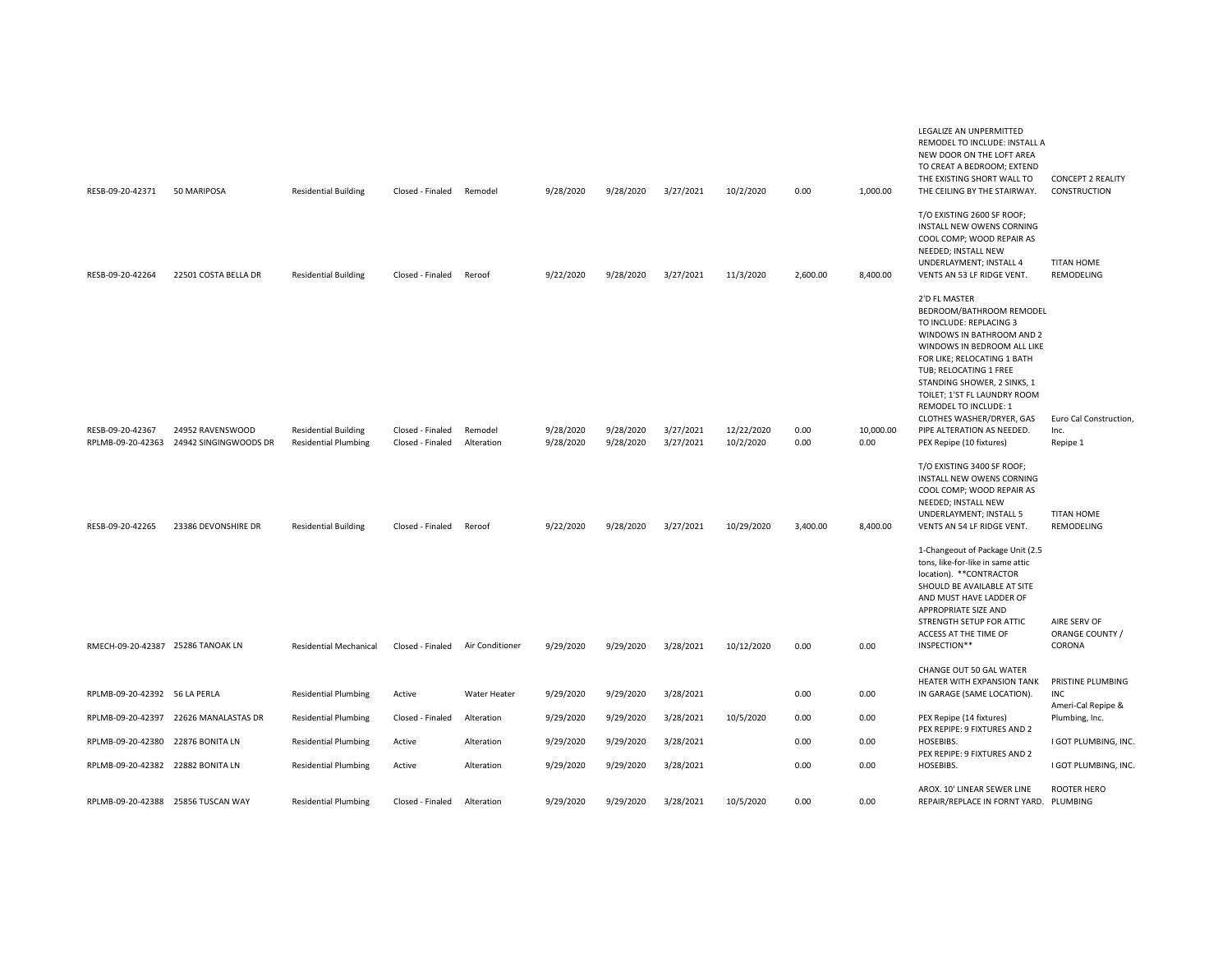| RESB-09-20-42371                      | 50 MARIPOSA                               | <b>Residential Building</b>                                | Closed - Finaled                     | Remodel               | 9/28/2020              | 9/28/2020              | 3/27/2021              | 10/2/2020               | 0.00         | 1,000.00          | LEGALIZE AN UNPERMITTED<br>REMODEL TO INCLUDE: INSTALL A<br>NEW DOOR ON THE LOFT AREA<br>TO CREAT A BEDROOM; EXTEND<br>THE EXISTING SHORT WALL TO<br>THE CEILING BY THE STAIRWAY.                                                                                                                                                                                        | <b>CONCEPT 2 REALITY</b><br>CONSTRUCTION   |
|---------------------------------------|-------------------------------------------|------------------------------------------------------------|--------------------------------------|-----------------------|------------------------|------------------------|------------------------|-------------------------|--------------|-------------------|--------------------------------------------------------------------------------------------------------------------------------------------------------------------------------------------------------------------------------------------------------------------------------------------------------------------------------------------------------------------------|--------------------------------------------|
| RESB-09-20-42264                      | 22501 COSTA BELLA DR                      | <b>Residential Building</b>                                | Closed - Finaled                     | Reroof                | 9/22/2020              | 9/28/2020              | 3/27/2021              | 11/3/2020               | 2,600.00     | 8,400.00          | T/O EXISTING 2600 SF ROOF;<br>INSTALL NEW OWENS CORNING<br>COOL COMP; WOOD REPAIR AS<br>NEEDED; INSTALL NEW<br>UNDERLAYMENT; INSTALL 4<br>VENTS AN 53 LF RIDGE VENT.                                                                                                                                                                                                     | <b>TITAN HOME</b><br>REMODELING            |
| RESB-09-20-42367<br>RPLMB-09-20-42363 | 24952 RAVENSWOOD<br>24942 SINGINGWOODS DR | <b>Residential Building</b><br><b>Residential Plumbing</b> | Closed - Finaled<br>Closed - Finaled | Remodel<br>Alteration | 9/28/2020<br>9/28/2020 | 9/28/2020<br>9/28/2020 | 3/27/2021<br>3/27/2021 | 12/22/2020<br>10/2/2020 | 0.00<br>0.00 | 10,000.00<br>0.00 | 2'D FL MASTER<br>BEDROOM/BATHROOM REMODEL<br>TO INCLUDE: REPLACING 3<br>WINDOWS IN BATHROOM AND 2<br>WINDOWS IN BEDROOM ALL LIKE<br>FOR LIKE; RELOCATING 1 BATH<br>TUB; RELOCATING 1 FREE<br>STANDING SHOWER, 2 SINKS, 1<br>TOILET; 1'ST FL LAUNDRY ROOM<br>REMODEL TO INCLUDE: 1<br>CLOTHES WASHER/DRYER, GAS<br>PIPE ALTERATION AS NEEDED.<br>PEX Repipe (10 fixtures) | Euro Cal Construction,<br>Inc.<br>Repipe 1 |
| RESB-09-20-42265                      | 23386 DEVONSHIRE DR                       | <b>Residential Building</b>                                | Closed - Finaled                     | Reroof                | 9/22/2020              | 9/28/2020              | 3/27/2021              | 10/29/2020              | 3.400.00     | 8,400.00          | T/O EXISTING 3400 SF ROOF;<br>INSTALL NEW OWENS CORNING<br>COOL COMP; WOOD REPAIR AS<br>NEEDED; INSTALL NEW<br>UNDERLAYMENT; INSTALL 5<br>VENTS AN 54 LF RIDGE VENT.                                                                                                                                                                                                     | <b>TITAN HOME</b><br>REMODELING            |
| RMECH-09-20-42387 25286 TANOAK LN     |                                           | <b>Residential Mechanical</b>                              | Closed - Finaled                     | Air Conditioner       | 9/29/2020              | 9/29/2020              | 3/28/2021              | 10/12/2020              | 0.00         | 0.00              | 1-Changeout of Package Unit (2.5<br>tons, like-for-like in same attic<br>location). ** CONTRACTOR<br>SHOULD BE AVAILABLE AT SITE<br>AND MUST HAVE LADDER OF<br>APPROPRIATE SIZE AND<br>STRENGTH SETUP FOR ATTIC<br>ACCESS AT THE TIME OF<br>INSPECTION**                                                                                                                 | AIRE SERV OF<br>ORANGE COUNTY /<br>CORONA  |
|                                       |                                           |                                                            |                                      |                       |                        |                        |                        |                         |              |                   | CHANGE OUT 50 GAL WATER<br>HEATER WITH EXPANSION TANK                                                                                                                                                                                                                                                                                                                    | PRISTINE PLUMBING                          |
| RPLMB-09-20-42392 56 LA PERLA         |                                           | <b>Residential Plumbing</b>                                | Active                               | Water Heater          | 9/29/2020              | 9/29/2020              | 3/28/2021              |                         | 0.00         | 0.00              | IN GARAGE (SAME LOCATION).                                                                                                                                                                                                                                                                                                                                               | <b>INC</b><br>Ameri-Cal Repipe &           |
| RPLMB-09-20-42397                     | 22626 MANALASTAS DR                       | <b>Residential Plumbing</b>                                | Closed - Finaled                     | Alteration            | 9/29/2020              | 9/29/2020              | 3/28/2021              | 10/5/2020               | 0.00         | 0.00              | PEX Repipe (14 fixtures)<br>PEX REPIPE: 9 FIXTURES AND 2                                                                                                                                                                                                                                                                                                                 | Plumbing, Inc.                             |
| RPLMB-09-20-42380                     | 22876 BONITA LN                           | <b>Residential Plumbing</b>                                | Active                               | Alteration            | 9/29/2020              | 9/29/2020              | 3/28/2021              |                         | 0.00         | 0.00              | HOSEBIBS.<br>PEX REPIPE: 9 FIXTURES AND 2                                                                                                                                                                                                                                                                                                                                | I GOT PLUMBING, INC.                       |
| RPLMB-09-20-42382 22882 BONITA LN     |                                           | <b>Residential Plumbing</b>                                | Active                               | Alteration            | 9/29/2020              | 9/29/2020              | 3/28/2021              |                         | 0.00         | 0.00              | HOSEBIBS.                                                                                                                                                                                                                                                                                                                                                                | I GOT PLUMBING, INC.                       |
| RPLMB-09-20-42388 25856 TUSCAN WAY    |                                           | <b>Residential Plumbing</b>                                | Closed - Finaled                     | Alteration            | 9/29/2020              | 9/29/2020              | 3/28/2021              | 10/5/2020               | 0.00         | 0.00              | AROX. 10' LINEAR SEWER LINE<br>REPAIR/REPLACE IN FORNT YARD. PLUMBING                                                                                                                                                                                                                                                                                                    | <b>ROOTER HERO</b>                         |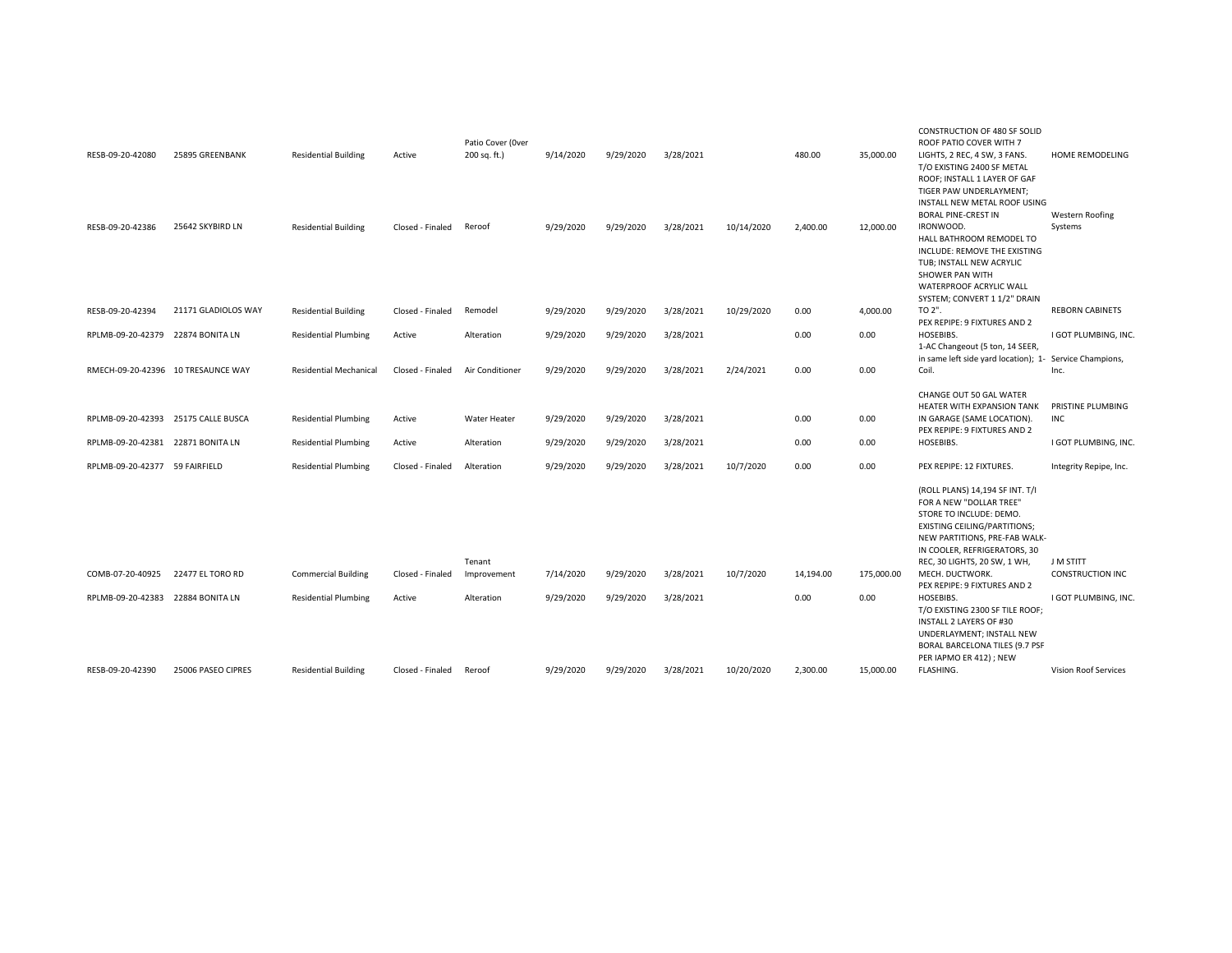|                                       |                                     |                                                           |                            | Patio Cover (Over                   |                        |                        |                        |            |                   |                    | CONSTRUCTION OF 480 SF SOLID<br>ROOF PATIO COVER WITH 7                                                                                                                                                                                                                                                                                                                                                                                                      |                                                              |
|---------------------------------------|-------------------------------------|-----------------------------------------------------------|----------------------------|-------------------------------------|------------------------|------------------------|------------------------|------------|-------------------|--------------------|--------------------------------------------------------------------------------------------------------------------------------------------------------------------------------------------------------------------------------------------------------------------------------------------------------------------------------------------------------------------------------------------------------------------------------------------------------------|--------------------------------------------------------------|
| RESB-09-20-42080                      | 25895 GREENBANK                     | <b>Residential Building</b>                               | Active                     | 200 sq. ft.)                        | 9/14/2020              | 9/29/2020              | 3/28/2021              |            | 480.00            | 35,000.00          | LIGHTS, 2 REC, 4 SW, 3 FANS.<br>T/O EXISTING 2400 SF METAL<br>ROOF; INSTALL 1 LAYER OF GAF<br>TIGER PAW UNDERLAYMENT;<br>INSTALL NEW METAL ROOF USING                                                                                                                                                                                                                                                                                                        | <b>HOME REMODELING</b>                                       |
| RESB-09-20-42386                      | 25642 SKYBIRD LN                    | <b>Residential Building</b>                               | Closed - Finaled           | Reroof                              | 9/29/2020              | 9/29/2020              | 3/28/2021              | 10/14/2020 | 2,400.00          | 12,000.00          | <b>BORAL PINE-CREST IN</b><br>IRONWOOD.<br>HALL BATHROOM REMODEL TO<br>INCLUDE: REMOVE THE EXISTING<br>TUB; INSTALL NEW ACRYLIC<br>SHOWER PAN WITH<br>WATERPROOF ACRYLIC WALL<br>SYSTEM; CONVERT 1 1/2" DRAIN                                                                                                                                                                                                                                                | <b>Western Roofing</b><br>Systems                            |
| RESB-09-20-42394                      | 21171 GLADIOLOS WAY                 | <b>Residential Building</b>                               | Closed - Finaled           | Remodel                             | 9/29/2020              | 9/29/2020              | 3/28/2021              | 10/29/2020 | 0.00              | 4,000.00           | TO 2".<br>PEX REPIPE: 9 FIXTURES AND 2                                                                                                                                                                                                                                                                                                                                                                                                                       | <b>REBORN CABINETS</b>                                       |
| RPLMB-09-20-42379                     | 22874 BONITA LN                     | <b>Residential Plumbing</b>                               | Active                     | Alteration                          | 9/29/2020              | 9/29/2020              | 3/28/2021              |            | 0.00              | 0.00               | HOSEBIBS.<br>1-AC Changeout (5 ton, 14 SEER,<br>in same left side yard location); 1- Service Champions,                                                                                                                                                                                                                                                                                                                                                      | I GOT PLUMBING, INC.                                         |
| RMECH-09-20-42396 10 TRESAUNCE WAY    |                                     | <b>Residential Mechanical</b>                             | Closed - Finaled           | Air Conditioner                     | 9/29/2020              | 9/29/2020              | 3/28/2021              | 2/24/2021  | 0.00              | 0.00               | Coil.                                                                                                                                                                                                                                                                                                                                                                                                                                                        | Inc.                                                         |
|                                       |                                     |                                                           |                            |                                     |                        |                        |                        |            |                   |                    | CHANGE OUT 50 GAL WATER<br>HEATER WITH EXPANSION TANK                                                                                                                                                                                                                                                                                                                                                                                                        | PRISTINE PLUMBING                                            |
| RPLMB-09-20-42393                     | 25175 CALLE BUSCA                   | <b>Residential Plumbing</b>                               | Active                     | <b>Water Heater</b>                 | 9/29/2020              | 9/29/2020              | 3/28/2021              |            | 0.00              | 0.00               | IN GARAGE (SAME LOCATION).<br>PEX REPIPE: 9 FIXTURES AND 2                                                                                                                                                                                                                                                                                                                                                                                                   | <b>INC</b>                                                   |
| RPLMB-09-20-42381                     | 22871 BONITA LN                     | <b>Residential Plumbing</b>                               | Active                     | Alteration                          | 9/29/2020              | 9/29/2020              | 3/28/2021              |            | 0.00              | 0.00               | HOSEBIBS.                                                                                                                                                                                                                                                                                                                                                                                                                                                    | I GOT PLUMBING, INC.                                         |
| RPLMB-09-20-42377                     | 59 FAIRFIELD                        | <b>Residential Plumbing</b>                               | Closed - Finaled           | Alteration                          | 9/29/2020              | 9/29/2020              | 3/28/2021              | 10/7/2020  | 0.00              | 0.00               | PEX REPIPE: 12 FIXTURES.                                                                                                                                                                                                                                                                                                                                                                                                                                     | Integrity Repipe, Inc.                                       |
| COMB-07-20-40925<br>RPLMB-09-20-42383 | 22477 EL TORO RD<br>22884 BONITA LN | <b>Commercial Building</b><br><b>Residential Plumbing</b> | Closed - Finaled<br>Active | Tenant<br>Improvement<br>Alteration | 7/14/2020<br>9/29/2020 | 9/29/2020<br>9/29/2020 | 3/28/2021<br>3/28/2021 | 10/7/2020  | 14,194.00<br>0.00 | 175,000.00<br>0.00 | (ROLL PLANS) 14,194 SF INT. T/I<br>FOR A NEW "DOLLAR TREE"<br>STORE TO INCLUDE: DEMO.<br><b>EXISTING CEILING/PARTITIONS;</b><br>NEW PARTITIONS, PRE-FAB WALK-<br>IN COOLER, REFRIGERATORS, 30<br>REC, 30 LIGHTS, 20 SW, 1 WH,<br>MECH. DUCTWORK.<br>PEX REPIPE: 9 FIXTURES AND 2<br>HOSEBIBS.<br>T/O EXISTING 2300 SF TILE ROOF;<br>INSTALL 2 LAYERS OF #30<br>UNDERLAYMENT; INSTALL NEW<br><b>BORAL BARCELONA TILES (9.7 PSF</b><br>PER IAPMO ER 412) ; NEW | J M STITT<br><b>CONSTRUCTION INC</b><br>I GOT PLUMBING, INC. |
| RESB-09-20-42390                      | 25006 PASEO CIPRES                  | <b>Residential Building</b>                               | Closed - Finaled           | Reroof                              | 9/29/2020              | 9/29/2020              | 3/28/2021              | 10/20/2020 | 2,300.00          | 15,000.00          | FLASHING.                                                                                                                                                                                                                                                                                                                                                                                                                                                    | <b>Vision Roof Services</b>                                  |
|                                       |                                     |                                                           |                            |                                     |                        |                        |                        |            |                   |                    |                                                                                                                                                                                                                                                                                                                                                                                                                                                              |                                                              |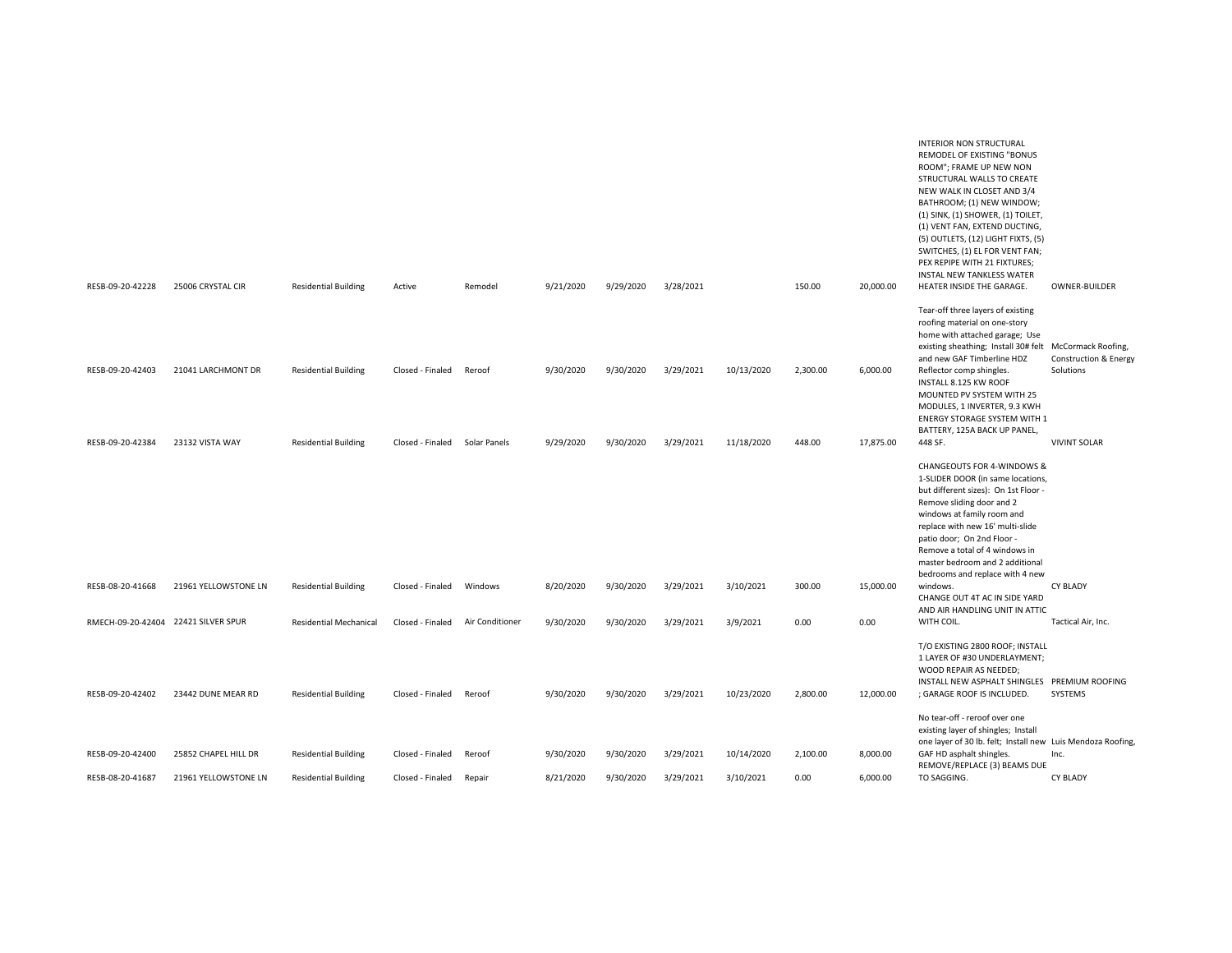|                                     |                      |                               |                  |                 |           |           |           |            |          |           | <b>INTERIOR NON STRUCTURAL</b><br>REMODEL OF EXISTING "BONUS<br>ROOM"; FRAME UP NEW NON<br>STRUCTURAL WALLS TO CREATE<br>NEW WALK IN CLOSET AND 3/4<br>BATHROOM; (1) NEW WINDOW;<br>(1) SINK, (1) SHOWER, (1) TOILET,<br>(1) VENT FAN, EXTEND DUCTING,<br>(5) OUTLETS, (12) LIGHT FIXTS, (5)<br>SWITCHES, (1) EL FOR VENT FAN;<br>PEX REPIPE WITH 21 FIXTURES;<br>INSTAL NEW TANKLESS WATER |                                    |
|-------------------------------------|----------------------|-------------------------------|------------------|-----------------|-----------|-----------|-----------|------------|----------|-----------|---------------------------------------------------------------------------------------------------------------------------------------------------------------------------------------------------------------------------------------------------------------------------------------------------------------------------------------------------------------------------------------------|------------------------------------|
| RESB-09-20-42228                    | 25006 CRYSTAL CIR    | <b>Residential Building</b>   | Active           | Remodel         | 9/21/2020 | 9/29/2020 | 3/28/2021 |            | 150.00   | 20,000.00 | HEATER INSIDE THE GARAGE.                                                                                                                                                                                                                                                                                                                                                                   | OWNER-BUILDER                      |
| RESB-09-20-42403                    | 21041 LARCHMONT DR   | <b>Residential Building</b>   | Closed - Finaled | Reroof          | 9/30/2020 | 9/30/2020 | 3/29/2021 | 10/13/2020 | 2,300.00 | 6,000.00  | Tear-off three layers of existing<br>roofing material on one-story<br>home with attached garage; Use<br>existing sheathing; Install 30# felt McCormack Roofing,<br>and new GAF Timberline HDZ<br>Reflector comp shingles.<br>INSTALL 8.125 KW ROOF<br>MOUNTED PV SYSTEM WITH 25<br>MODULES, 1 INVERTER, 9.3 KWH<br>ENERGY STORAGE SYSTEM WITH 1<br>BATTERY, 125A BACK UP PANEL,             | Construction & Energy<br>Solutions |
| RESB-09-20-42384                    | 23132 VISTA WAY      | <b>Residential Building</b>   | Closed - Finaled | Solar Panels    | 9/29/2020 | 9/30/2020 | 3/29/2021 | 11/18/2020 | 448.00   | 17,875.00 | 448 SF.                                                                                                                                                                                                                                                                                                                                                                                     | <b>VIVINT SOLAR</b>                |
|                                     |                      |                               |                  |                 |           |           |           |            |          |           | <b>CHANGEOUTS FOR 4-WINDOWS &amp;</b><br>1-SLIDER DOOR (in same locations,<br>but different sizes): On 1st Floor -<br>Remove sliding door and 2<br>windows at family room and<br>replace with new 16' multi-slide<br>patio door; On 2nd Floor -<br>Remove a total of 4 windows in<br>master bedroom and 2 additional<br>bedrooms and replace with 4 new                                     |                                    |
| RESB-08-20-41668                    | 21961 YELLOWSTONE LN | <b>Residential Building</b>   | Closed - Finaled | Windows         | 8/20/2020 | 9/30/2020 | 3/29/2021 | 3/10/2021  | 300.00   | 15,000.00 | windows.                                                                                                                                                                                                                                                                                                                                                                                    | <b>CY BLADY</b>                    |
| RMECH-09-20-42404 22421 SILVER SPUR |                      | <b>Residential Mechanical</b> | Closed - Finaled | Air Conditioner | 9/30/2020 | 9/30/2020 | 3/29/2021 | 3/9/2021   | 0.00     | 0.00      | CHANGE OUT 4T AC IN SIDE YARD<br>AND AIR HANDLING UNIT IN ATTIC<br>WITH COIL.                                                                                                                                                                                                                                                                                                               | Tactical Air, Inc.                 |
| RESB-09-20-42402                    | 23442 DUNE MEAR RD   | <b>Residential Building</b>   | Closed - Finaled | Reroof          | 9/30/2020 | 9/30/2020 | 3/29/2021 | 10/23/2020 | 2,800.00 | 12,000.00 | T/O EXISTING 2800 ROOF; INSTALL<br>1 LAYER OF #30 UNDERLAYMENT;<br>WOOD REPAIR AS NEEDED;<br>INSTALL NEW ASPHALT SHINGLES PREMIUM ROOFING<br>; GARAGE ROOF IS INCLUDED.<br>No tear-off - reroof over one<br>existing layer of shingles; Install                                                                                                                                             | SYSTEMS                            |
| RESB-09-20-42400                    | 25852 CHAPEL HILL DR | <b>Residential Building</b>   | Closed - Finaled | Reroof          | 9/30/2020 | 9/30/2020 | 3/29/2021 | 10/14/2020 | 2,100.00 | 8,000.00  | one layer of 30 lb. felt; Install new Luis Mendoza Roofing,<br>GAF HD asphalt shingles.                                                                                                                                                                                                                                                                                                     | Inc.                               |
| RESB-08-20-41687                    | 21961 YELLOWSTONE LN | <b>Residential Building</b>   | Closed - Finaled | Repair          | 8/21/2020 | 9/30/2020 | 3/29/2021 | 3/10/2021  | 0.00     | 6,000.00  | REMOVE/REPLACE (3) BEAMS DUE<br>TO SAGGING.                                                                                                                                                                                                                                                                                                                                                 | <b>CY BLADY</b>                    |